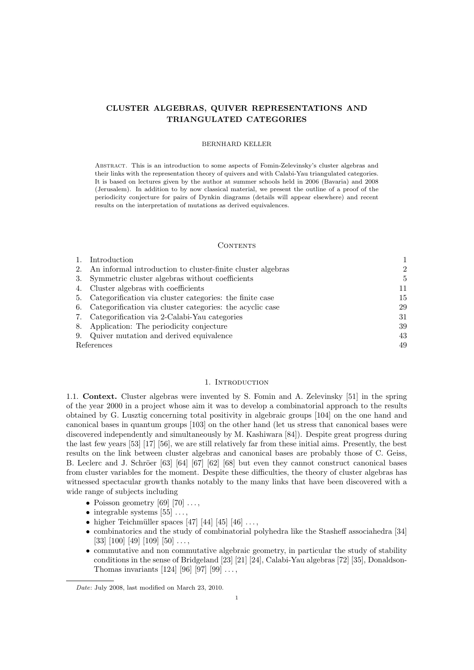# CLUSTER ALGEBRAS, QUIVER REPRESENTATIONS AND TRIANGULATED CATEGORIES

## BERNHARD KELLER

Abstract. This is an introduction to some aspects of Fomin-Zelevinsky's cluster algebras and their links with the representation theory of quivers and with Calabi-Yau triangulated categories. It is based on lectures given by the author at summer schools held in 2006 (Bavaria) and 2008 (Jerusalem). In addition to by now classical material, we present the outline of a proof of the periodicity conjecture for pairs of Dynkin diagrams (details will appear elsewhere) and recent results on the interpretation of mutations as derived equivalences.

#### CONTENTS

|            | Introduction                                                   |                |
|------------|----------------------------------------------------------------|----------------|
|            | 2. An informal introduction to cluster-finite cluster algebras | $\mathfrak{D}$ |
|            | 3. Symmetric cluster algebras without coefficients             | 5              |
| 4.         | Cluster algebras with coefficients                             | 11             |
|            | 5. Categorification via cluster categories: the finite case    | 15             |
| 6.         | Categorification via cluster categories: the acyclic case      | 29             |
|            | 7. Categorification via 2-Calabi-Yau categories                | 31             |
|            | 8. Application: The periodicity conjecture                     | 39             |
| 9.         | Quiver mutation and derived equivalence                        | 43             |
| References |                                                                | 49             |

### 1. INTRODUCTION

1.1. Context. Cluster algebras were invented by S. Fomin and A. Zelevinsky [51] in the spring of the year 2000 in a project whose aim it was to develop a combinatorial approach to the results obtained by G. Lusztig concerning total positivity in algebraic groups [104] on the one hand and canonical bases in quantum groups [103] on the other hand (let us stress that canonical bases were discovered independently and simultaneously by M. Kashiwara [84]). Despite great progress during the last few years [53] [17] [56], we are still relatively far from these initial aims. Presently, the best results on the link between cluster algebras and canonical bases are probably those of C. Geiss, B. Leclerc and J. Schröer [63] [64] [67] [62] [68] but even they cannot construct canonical bases from cluster variables for the moment. Despite these difficulties, the theory of cluster algebras has witnessed spectacular growth thanks notably to the many links that have been discovered with a wide range of subjects including

- Poisson geometry [69]  $[70]$  ...
- integrable systems  $[55]$ ...
- higher Teichmüller spaces [47] [44] [45]  $[46] \ldots$ ,
- combinatorics and the study of combinatorial polyhedra like the Stasheff associahedra [34] [33]  $[100]$   $[49]$   $[109]$   $[50]$  ...,
- commutative and non commutative algebraic geometry, in particular the study of stability conditions in the sense of Bridgeland [23] [21] [24], Calabi-Yau algebras [72] [35], Donaldson-Thomas invariants [124] [96] [97] [99] ...,

Date: July 2008, last modified on March 23, 2010.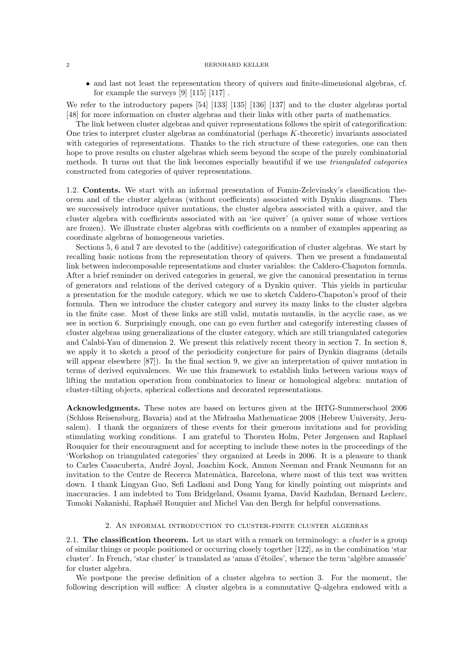## 2 BERNHARD KELLER

• and last not least the representation theory of quivers and finite-dimensional algebras, cf. for example the surveys [9] [115] [117] .

We refer to the introductory papers [54] [133] [135] [136] [137] and to the cluster algebras portal [48] for more information on cluster algebras and their links with other parts of mathematics.

The link between cluster algebras and quiver representations follows the spirit of categorification: One tries to interpret cluster algebras as combinatorial (perhaps K-theoretic) invariants associated with categories of representations. Thanks to the rich structure of these categories, one can then hope to prove results on cluster algebras which seem beyond the scope of the purely combinatorial methods. It turns out that the link becomes especially beautiful if we use *triangulated categories* constructed from categories of quiver representations.

1.2. Contents. We start with an informal presentation of Fomin-Zelevinsky's classification theorem and of the cluster algebras (without coefficients) associated with Dynkin diagrams. Then we successively introduce quiver mutations, the cluster algebra associated with a quiver, and the cluster algebra with coefficients associated with an 'ice quiver' (a quiver some of whose vertices are frozen). We illustrate cluster algebras with coefficients on a number of examples appearing as coordinate algebras of homogeneous varieties.

Sections 5, 6 and 7 are devoted to the (additive) categorification of cluster algebras. We start by recalling basic notions from the representation theory of quivers. Then we present a fundamental link between indecomposable representations and cluster variables: the Caldero-Chapoton formula. After a brief reminder on derived categories in general, we give the canonical presentation in terms of generators and relations of the derived category of a Dynkin quiver. This yields in particular a presentation for the module category, which we use to sketch Caldero-Chapoton's proof of their formula. Then we introduce the cluster category and survey its many links to the cluster algebra in the finite case. Most of these links are still valid, mutatis mutandis, in the acyclic case, as we see in section 6. Surprisingly enough, one can go even further and categorify interesting classes of cluster algebras using generalizations of the cluster category, which are still triangulated categories and Calabi-Yau of dimension 2. We present this relatively recent theory in section 7. In section 8, we apply it to sketch a proof of the periodicity conjecture for pairs of Dynkin diagrams (details will appear elsewhere [87]). In the final section 9, we give an interpretation of quiver mutation in terms of derived equivalences. We use this framework to establish links between various ways of lifting the mutation operation from combinatorics to linear or homological algebra: mutation of cluster-tilting objects, spherical collections and decorated representations.

Acknowledgments. These notes are based on lectures given at the IRTG-Summerschool 2006 (Schloss Reisensburg, Bavaria) and at the Midrasha Mathematicae 2008 (Hebrew University, Jerusalem). I thank the organizers of these events for their generous invitations and for providing stimulating working conditions. I am grateful to Thorsten Holm, Peter Jørgensen and Raphael Rouquier for their encouragment and for accepting to include these notes in the proceedings of the 'Workshop on triangulated categories' they organized at Leeds in 2006. It is a pleasure to thank to Carles Casacuberta, André Joyal, Joachim Kock, Amnon Neeman and Frank Neumann for an invitation to the Centre de Recerca Matemàtica, Barcelona, where most of this text was written down. I thank Lingyan Guo, Sefi Ladkani and Dong Yang for kindly pointing out misprints and inaccuracies. I am indebted to Tom Bridgeland, Osamu Iyama, David Kazhdan, Bernard Leclerc, Tomoki Nakanishi, Raphaël Rouquier and Michel Van den Bergh for helpful conversations.

## 2. An informal introduction to cluster-finite cluster algebras

2.1. The classification theorem. Let us start with a remark on terminology: a *cluster* is a group of similar things or people positioned or occurring closely together [122], as in the combination 'star cluster'. In French, 'star cluster' is translated as 'amas d'étoiles', whence the term 'algèbre amassée' for cluster algebra.

We postpone the precise definition of a cluster algebra to section 3. For the moment, the following description will suffice: A cluster algebra is a commutative Q-algebra endowed with a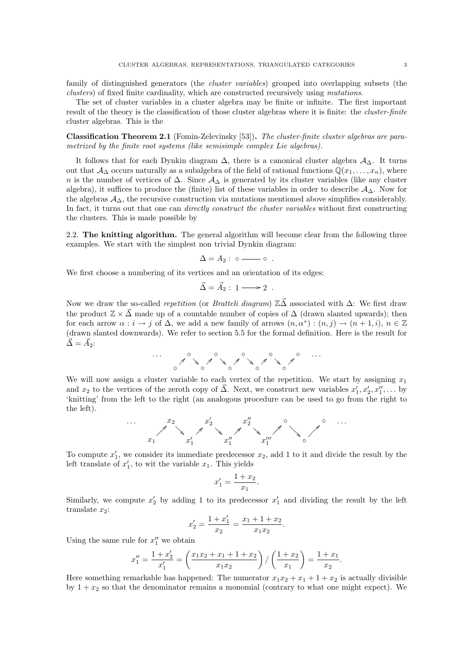family of distinguished generators (the *cluster variables*) grouped into overlapping subsets (the clusters) of fixed finite cardinality, which are constructed recursively using mutations.

The set of cluster variables in a cluster algebra may be finite or infinite. The first important result of the theory is the classification of those cluster algebras where it is finite: the *cluster-finite* cluster algebras. This is the

Classification Theorem 2.1 (Fomin-Zelevinsky [53]). The cluster-finite cluster algebras are parametrized by the finite root systems (like semisimple complex Lie algebras).

It follows that for each Dynkin diagram  $\Delta$ , there is a canonical cluster algebra  $\mathcal{A}_{\Delta}$ . It turns out that  $A_{\Delta}$  occurs naturally as a subalgebra of the field of rational functions  $\mathbb{Q}(x_1, \ldots, x_n)$ , where n is the number of vertices of  $\Delta$ . Since  $\mathcal{A}_{\Delta}$  is generated by its cluster variables (like any cluster algebra), it suffices to produce the (finite) list of these variables in order to describe  $A_{\Delta}$ . Now for the algebras  $A_{\Delta}$ , the recursive construction via mutations mentioned above simplifies considerably. In fact, it turns out that one can *directly construct the cluster variables* without first constructing the clusters. This is made possible by

2.2. The knitting algorithm. The general algorithm will become clear from the following three examples. We start with the simplest non trivial Dynkin diagram:

$$
\Delta = A_2: \circ \underline{\hspace{1cm}} \circ \underline{\hspace{1cm}} \circ .
$$

We first choose a numbering of its vertices and an orientation of its edges:

. . .

$$
\vec{\Delta} = \vec{A}_2 : 1 \longrightarrow 2 .
$$

Now we draw the so-called *repetition* (or *Bratteli diagram*)  $\mathbb{Z}\vec{\Delta}$  associated with  $\Delta$ : We first draw the product  $\mathbb{Z} \times \vec{\Delta}$  made up of a countable number of copies of  $\Delta$  (drawn slanted upwards); then for each arrow  $\alpha : i \to j$  of  $\Delta$ , we add a new family of arrows  $(n, \alpha^*) : (n, j) \to (n + 1, i)$ ,  $n \in \mathbb{Z}$ (drawn slanted downwards). We refer to section 5.5 for the formal definition. Here is the result for  $\vec{\Delta} = \vec{A}_2$ :

$$
\begin{array}{c}\n\circ \\
\circ \\
\circ\n\end{array}
$$

We will now assign a cluster variable to each vertex of the repetition. We start by assigning  $x_1$ and  $x_2$  to the vertices of the zeroth copy of  $\vec{\Delta}$ . Next, we construct new variables  $x'_1, x'_2, x''_1, \ldots$  by 'knitting' from the left to the right (an analogous procedure can be used to go from the right to the left).

$$
\cdots \qquad \qquad x_2 \qquad \qquad x_2' \qquad \qquad x_1'' \qquad \qquad x_1'' \qquad \qquad x_1''' \qquad \qquad x_1''' \qquad \qquad x_2''' \qquad \qquad x_2''' \qquad \qquad x_1''' \qquad \qquad x_2''' \qquad \qquad x_2''' \qquad \qquad x_2''' \qquad \qquad x_2''' \qquad \qquad x_2''' \qquad \qquad x_2''' \qquad \qquad x_2''' \qquad \qquad x_2''' \qquad \qquad x_2''' \qquad \qquad x_2''' \qquad \qquad x_2''' \qquad \qquad x_2''' \qquad \qquad x_2''' \qquad \qquad x_2''' \qquad \qquad x_2''' \qquad \qquad x_2''' \qquad \qquad x_2''' \qquad \qquad x_2''' \qquad \qquad x_2''' \qquad \qquad x_2''' \qquad \qquad x_2''' \qquad \qquad x_2''' \qquad \qquad x_2''' \qquad \qquad x_2''' \qquad \qquad x_2''' \qquad \qquad x_2''' \qquad \qquad x_2''' \qquad \qquad x_2''' \qquad \qquad x_2''' \qquad \qquad x_2''' \qquad \qquad x_2''' \qquad \qquad x_2''' \qquad \qquad x_2''' \qquad \qquad x_2''' \qquad \qquad x_2''' \qquad \qquad x_2''' \qquad \qquad x_2''' \qquad \qquad x_2''' \qquad \qquad x_2''' \qquad \qquad x_2''' \qquad \qquad x_2''' \qquad \qquad x_2''' \qquad \qquad x_2''' \qquad \qquad x_2''' \qquad \qquad x_2''' \qquad \qquad x_2''' \qquad \qquad x_2''' \qquad \qquad x_2''' \qquad \qquad x_2''' \qquad \qquad x_2''' \qquad \qquad x_2''' \qquad \qquad x_2''' \qquad \qquad x_2''' \qquad \qquad x_2''' \qquad \qquad x_2''' \qquad \qquad x_2''' \qquad \qquad x_2''' \qquad \qquad x_2''' \qquad \qquad x_2''' \qquad \qquad x_2''' \qquad \qquad x_2''' \qquad \qquad x_2''' \qquad \qquad x_2''' \qquad \qquad x_2''' \qquad \qquad x_2''' \qquad \qquad x_2''' \qquad \qquad x_
$$

To compute  $x_1'$ , we consider its immediate predecessor  $x_2$ , add 1 to it and divide the result by the left translate of  $x'_1$ , to wit the variable  $x_1$ . This yields

$$
x_1' = \frac{1 + x_2}{x_1}.
$$

Similarly, we compute  $x_2'$  by adding 1 to its predecessor  $x_1'$  and dividing the result by the left translate  $x_2$ :

$$
x_2' = \frac{1 + x_1'}{x_2} = \frac{x_1 + 1 + x_2}{x_1 x_2}.
$$

Using the same rule for  $x_1''$  we obtain

$$
x_1'' = \frac{1 + x_2'}{x_1'} = \left(\frac{x_1 x_2 + x_1 + 1 + x_2}{x_1 x_2}\right) / \left(\frac{1 + x_2}{x_1}\right) = \frac{1 + x_1}{x_2}.
$$

Here something remarkable has happened: The numerator  $x_1x_2 + x_1 + 1 + x_2$  is actually divisible by  $1 + x_2$  so that the denominator remains a monomial (contrary to what one might expect). We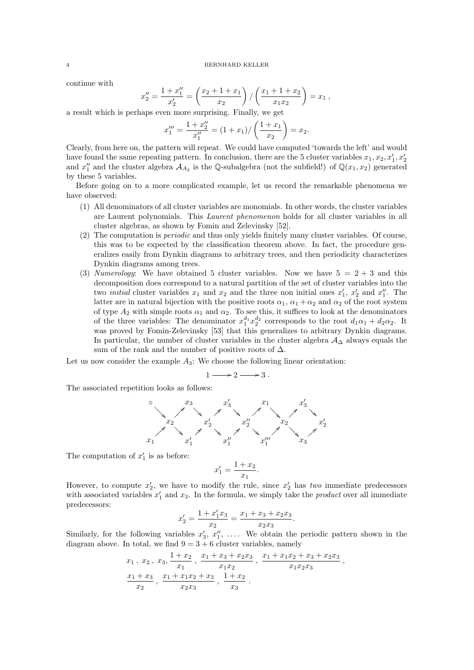continue with

$$
x_2'' = \frac{1 + x_1''}{x_2'} = \left(\frac{x_2 + 1 + x_1}{x_2}\right) / \left(\frac{x_1 + 1 + x_2}{x_1 x_2}\right) = x_1,
$$

a result which is perhaps even more surprising. Finally, we get

$$
x_1''' = \frac{1 + x_2''}{x_1''} = (1 + x_1) / \left(\frac{1 + x_1}{x_2}\right) = x_2.
$$

Clearly, from here on, the pattern will repeat. We could have computed 'towards the left' and would have found the same repeating pattern. In conclusion, there are the 5 cluster variables  $x_1, x_2, x'_1, x'_2$ and  $x_1''$  and the cluster algebra  $\mathcal{A}_{A_2}$  is the Q-subalgebra (not the subfield!) of  $\mathbb{Q}(x_1, x_2)$  generated by these 5 variables.

Before going on to a more complicated example, let us record the remarkable phenomena we have observed:

- (1) All denominators of all cluster variables are monomials. In other words, the cluster variables are Laurent polynomials. This Laurent phenomenon holds for all cluster variables in all cluster algebras, as shown by Fomin and Zelevinsky [52].
- (2) The computation is periodic and thus only yields finitely many cluster variables. Of course, this was to be expected by the classification theorem above. In fact, the procedure generalizes easily from Dynkin diagrams to arbitrary trees, and then periodicity characterizes Dynkin diagrams among trees.
- (3) Numerology: We have obtained 5 cluster variables. Now we have  $5 = 2 + 3$  and this decomposition does correspond to a natural partition of the set of cluster variables into the two *initial* cluster variables  $x_1$  and  $x_2$  and the three non initial ones  $x'_1, x'_2$  and  $x''_1$ . The latter are in natural bijection with the positive roots  $\alpha_1$ ,  $\alpha_1 + \alpha_2$  and  $\alpha_2$  of the root system of type  $A_2$  with simple roots  $\alpha_1$  and  $\alpha_2$ . To see this, it suffices to look at the denominators of the three variables: The denominator  $x_1^{d_1} x_2^{d_2}$  corresponds to the root  $d_1\alpha_1 + d_2\alpha_2$ . It was proved by Fomin-Zelevinsky [53] that this generalizes to arbitrary Dynkin diagrams. In particular, the number of cluster variables in the cluster algebra  $A_{\Delta}$  always equals the sum of the rank and the number of positive roots of  $\Delta$ .

Let us now consider the example  $A_3$ : We choose the following linear orientation:  $1 -$ 

$$
\longrightarrow 2 \longrightarrow 3.
$$

The associated repetition looks as follows:



The computation of  $x'_1$  is as before:

$$
x_1' = \frac{1 + x_2}{x_1}.
$$

However, to compute  $x_2'$ , we have to modify the rule, since  $x_2'$  has two immediate predecessors with associated variables  $x'_1$  and  $x_3$ . In the formula, we simply take the *product* over all immediate predecessors:

$$
x_2' = \frac{1 + x_1' x_3}{x_2} = \frac{x_1 + x_3 + x_2 x_3}{x_2 x_3}.
$$

Similarly, for the following variables  $x'_3, x''_1, \ldots$ . We obtain the periodic pattern shown in the diagram above. In total, we find  $9 = 3 + 6$  cluster variables, namely

$$
\frac{x_1, x_2, x_3, \frac{1+x_2}{x_1}, \frac{x_1+x_3+x_2x_3}{x_1x_2}, \frac{x_1+x_1x_2+x_3+x_2x_3}{x_1x_2x_3}, \frac{x_1+x_3}{x_2}, \frac{x_1+x_1x_2+x_3}{x_2x_3}.
$$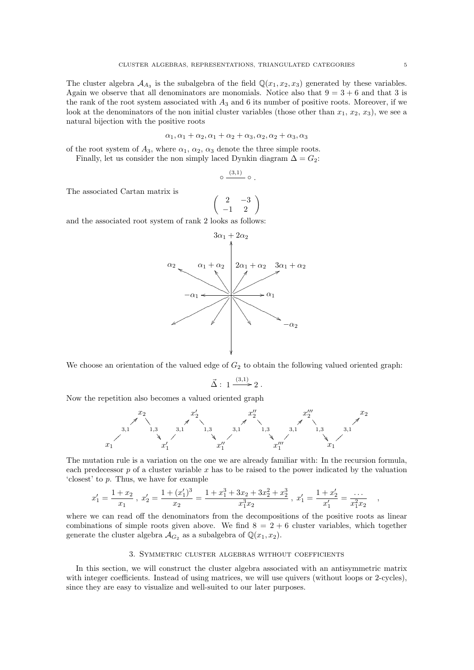The cluster algebra  $A_{A_3}$  is the subalgebra of the field  $\mathbb{Q}(x_1, x_2, x_3)$  generated by these variables. Again we observe that all denominators are monomials. Notice also that  $9 = 3 + 6$  and that 3 is the rank of the root system associated with  $A_3$  and 6 its number of positive roots. Moreover, if we look at the denominators of the non initial cluster variables (those other than  $x_1, x_2, x_3$ ), we see a natural bijection with the positive roots

$$
\alpha_1, \alpha_1 + \alpha_2, \alpha_1 + \alpha_2 + \alpha_3, \alpha_2, \alpha_2 + \alpha_3, \alpha_3
$$

of the root system of  $A_3$ , where  $\alpha_1, \alpha_2, \alpha_3$  denote the three simple roots.

Finally, let us consider the non simply laced Dynkin diagram  $\Delta = G_2$ :

$$
\circ \stackrel{(3,1)}{-\!\!\!-\!\!\!-\!\!\!-\!\!\!-\!\!\!-\!\!\!\longrightarrow} \circ.
$$

The associated Cartan matrix is

$$
\left(\begin{array}{cc}2 & -3 \\-1 & 2\end{array}\right)
$$

and the associated root system of rank 2 looks as follows:



We choose an orientation of the valued edge of  $G_2$  to obtain the following valued oriented graph:

$$
\vec{\Delta} : 1 \xrightarrow{(3,1)} 2.
$$

Now the repetition also becomes a valued oriented graph



The mutation rule is a variation on the one we are already familiar with: In the recursion formula, each predecessor  $p$  of a cluster variable  $x$  has to be raised to the power indicated by the valuation 'closest' to p. Thus, we have for example

$$
x'_1 = \frac{1+x_2}{x_1} , \ x'_2 = \frac{1+(x'_1)^3}{x_2} = \frac{1+x_1^3+3x_2+3x_2^2+x_2^3}{x_1^3x_2} , \ x'_1 = \frac{1+x'_2}{x'_1} = \frac{\dots}{x_1^2x_2}
$$

where we can read off the denominators from the decompositions of the positive roots as linear combinations of simple roots given above. We find  $8 = 2 + 6$  cluster variables, which together generate the cluster algebra  $\mathcal{A}_{G_2}$  as a subalgebra of  $\mathbb{Q}(x_1, x_2)$ .

## 3. Symmetric cluster algebras without coefficients

In this section, we will construct the cluster algebra associated with an antisymmetric matrix with integer coefficients. Instead of using matrices, we will use quivers (without loops or 2-cycles), since they are easy to visualize and well-suited to our later purposes.

,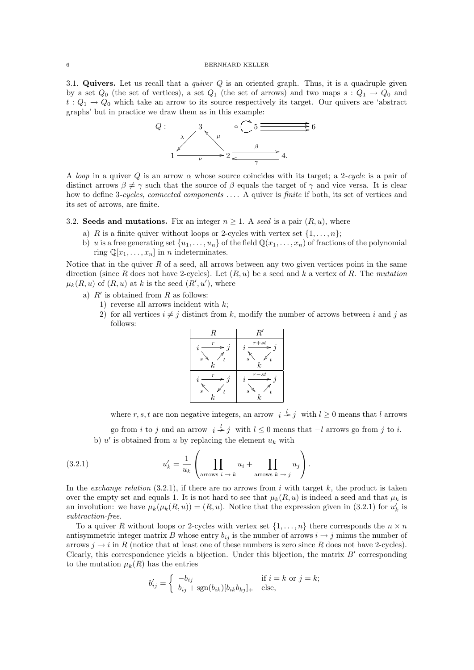## 6 BERNHARD KELLER

3.1. Quivers. Let us recall that a *quiver Q* is an oriented graph. Thus, it is a quadruple given by a set  $Q_0$  (the set of vertices), a set  $Q_1$  (the set of arrows) and two maps  $s: Q_1 \rightarrow Q_0$  and  $t: Q_1 \to Q_0$  which take an arrow to its source respectively its target. Our quivers are 'abstract' graphs' but in practice we draw them as in this example:



A loop in a quiver Q is an arrow  $\alpha$  whose source coincides with its target; a 2-cycle is a pair of distinct arrows  $\beta \neq \gamma$  such that the source of  $\beta$  equals the target of  $\gamma$  and vice versa. It is clear how to define 3-cycles, connected components .... A quiver is finite if both, its set of vertices and its set of arrows, are finite.

3.2. Seeds and mutations. Fix an integer  $n \geq 1$ . A seed is a pair  $(R, u)$ , where

- a) R is a finite quiver without loops or 2-cycles with vertex set  $\{1, \ldots, n\}$ ;
- b) u is a free generating set  $\{u_1, \ldots, u_n\}$  of the field  $\mathbb{Q}(x_1, \ldots, x_n)$  of fractions of the polynomial ring  $\mathbb{Q}[x_1,\ldots,x_n]$  in n indeterminates.

Notice that in the quiver  $R$  of a seed, all arrows between any two given vertices point in the same direction (since R does not have 2-cycles). Let  $(R, u)$  be a seed and k a vertex of R. The mutation  $\mu_k(R, u)$  of  $(R, u)$  at k is the seed  $(R', u')$ , where

- a)  $R'$  is obtained from  $R$  as follows:
	- 1) reverse all arrows incident with  $k$ ;
	- 2) for all vertices  $i \neq j$  distinct from k, modify the number of arrows between i and j as follows:



where r, s, t are non negative integers, an arrow  $i \stackrel{l}{\geq} j$  with  $l \geq 0$  means that l arrows

go from *i* to *j* and an arrow  $i \stackrel{l}{\Rightarrow} j$  with  $l \leq 0$  means that  $-l$  arrows go from *j* to *i*. b)  $u'$  is obtained from u by replacing the element  $u_k$  with

(3.2.1) 
$$
u'_{k} = \frac{1}{u_{k}} \left( \prod_{\text{arrows } i \to k} u_{i} + \prod_{\text{arrows } k \to j} u_{j} \right).
$$

In the exchange relation  $(3.2.1)$ , if there are no arrows from i with target k, the product is taken over the empty set and equals 1. It is not hard to see that  $\mu_k(R, u)$  is indeed a seed and that  $\mu_k$  is an involution: we have  $\mu_k(\mu_k(R, u)) = (R, u)$ . Notice that the expression given in (3.2.1) for  $u'_k$  is subtraction-free.

To a quiver R without loops or 2-cycles with vertex set  $\{1,\ldots,n\}$  there corresponds the  $n \times n$ antisymmetric integer matrix B whose entry  $b_{ij}$  is the number of arrows  $i \rightarrow j$  minus the number of arrows  $j \to i$  in R (notice that at least one of these numbers is zero since R does not have 2-cycles). Clearly, this correspondence yields a bijection. Under this bijection, the matrix  $B'$  corresponding to the mutation  $\mu_k(R)$  has the entries

$$
b'_{ij} = \begin{cases} -b_{ij} & \text{if } i = k \text{ or } j = k; \\ b_{ij} + \text{sgn}(b_{ik})[b_{ik}b_{kj}]_+ & \text{else,} \end{cases}
$$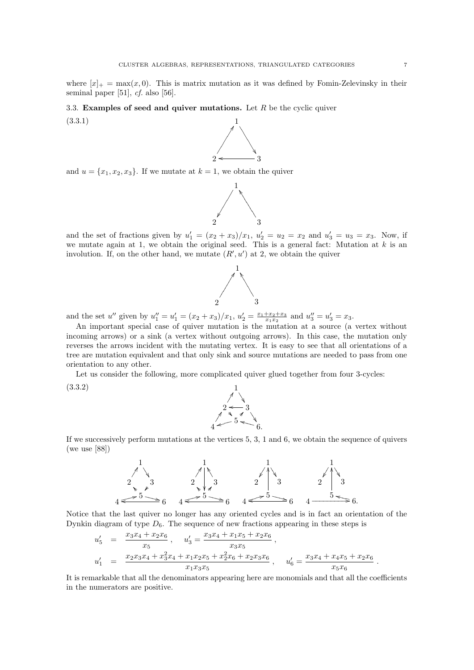where  $[x]_+ = \max(x, 0)$ . This is matrix mutation as it was defined by Fomin-Zelevinsky in their seminal paper [51], cf. also [56].

3.3. Examples of seed and quiver mutations. Let  $R$  be the cyclic quiver

 $(3.3.1)$ 





 $2 \leftarrow 3$ 

EE **2** 

and the set of fractions given by  $u'_1 = (x_2 + x_3)/x_1$ ,  $u'_2 = u_2 = x_2$  and  $u'_3 = u_3 = x_3$ . Now, if we mutate again at 1, we obtain the original seed. This is a general fact: Mutation at  $k$  is an involution. If, on the other hand, we mutate  $(R', u')$  at 2, we obtain the quiver



and the set u'' given by  $u_1'' = u_1' = (x_2 + x_3)/x_1$ ,  $u_2' = \frac{x_1 + x_2 + x_3}{x_1 x_2}$  and  $u_3'' = u_3' = x_3$ .

An important special case of quiver mutation is the mutation at a source (a vertex without incoming arrows) or a sink (a vertex without outgoing arrows). In this case, the mutation only reverses the arrows incident with the mutating vertex. It is easy to see that all orientations of a tree are mutation equivalent and that only sink and source mutations are needed to pass from one orientation to any other.

Let us consider the following, more complicated quiver glued together from four 3-cycles:

 $(3.3.2)$ 



If we successively perform mutations at the vertices 5, 3, 1 and 6, we obtain the sequence of quivers (we use [88])



Notice that the last quiver no longer has any oriented cycles and is in fact an orientation of the Dynkin diagram of type  $D_6$ . The sequence of new fractions appearing in these steps is

$$
u'_5 = \frac{x_3x_4 + x_2x_6}{x_5}, \quad u'_3 = \frac{x_3x_4 + x_1x_5 + x_2x_6}{x_3x_5},
$$
  

$$
u'_1 = \frac{x_2x_3x_4 + x_3^2x_4 + x_1x_2x_5 + x_2^2x_6 + x_2x_3x_6}{x_1x_3x_5}, \quad u'_6 = \frac{x_3x_4 + x_4x_5 + x_2x_6}{x_5x_6}.
$$

It is remarkable that all the denominators appearing here are monomials and that all the coefficients in the numerators are positive.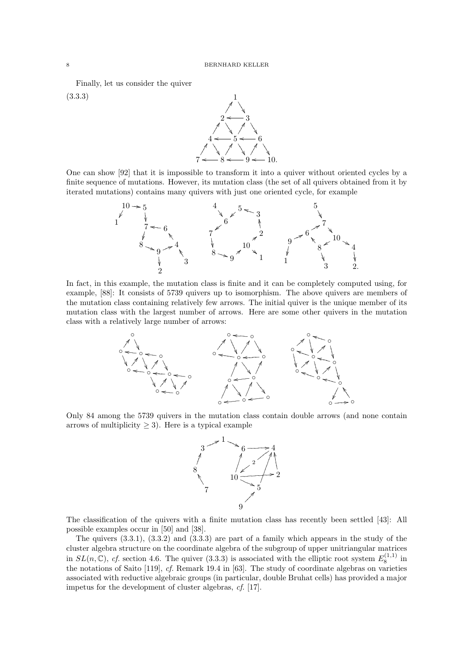Finally, let us consider the quiver

 $(3.3.3)$ 



One can show [92] that it is impossible to transform it into a quiver without oriented cycles by a finite sequence of mutations. However, its mutation class (the set of all quivers obtained from it by iterated mutations) contains many quivers with just one oriented cycle, for example



In fact, in this example, the mutation class is finite and it can be completely computed using, for example, [88]: It consists of 5739 quivers up to isomorphism. The above quivers are members of the mutation class containing relatively few arrows. The initial quiver is the unique member of its mutation class with the largest number of arrows. Here are some other quivers in the mutation class with a relatively large number of arrows:



Only 84 among the 5739 quivers in the mutation class contain double arrows (and none contain arrows of multiplicity  $\geq$  3). Here is a typical example



The classification of the quivers with a finite mutation class has recently been settled [43]: All possible examples occur in [50] and [38].

The quivers  $(3.3.1)$ ,  $(3.3.2)$  and  $(3.3.3)$  are part of a family which appears in the study of the cluster algebra structure on the coordinate algebra of the subgroup of upper unitriangular matrices in  $SL(n,\mathbb{C})$ , cf. section 4.6. The quiver (3.3.3) is associated with the elliptic root system  $E_8^{(1,1)}$  in the notations of Saito [119], cf. Remark 19.4 in [63]. The study of coordinate algebras on varieties associated with reductive algebraic groups (in particular, double Bruhat cells) has provided a major impetus for the development of cluster algebras, cf. [17].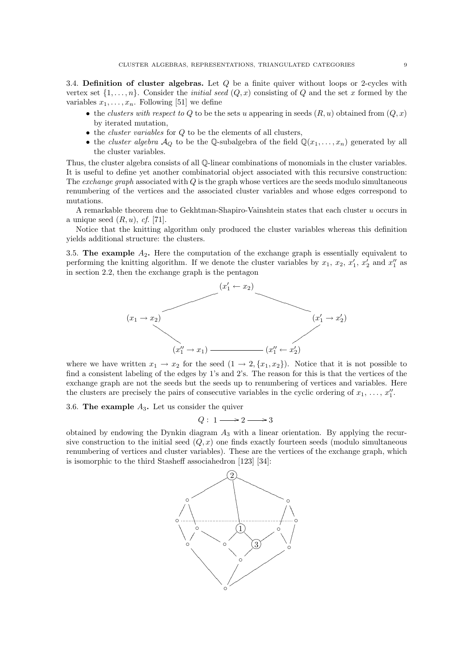3.4. Definition of cluster algebras. Let  $Q$  be a finite quiver without loops or 2-cycles with vertex set  $\{1,\ldots,n\}$ . Consider the *initial seed*  $(Q, x)$  consisting of Q and the set x formed by the variables  $x_1, \ldots, x_n$ . Following [51] we define

- the clusters with respect to Q to be the sets u appearing in seeds  $(R, u)$  obtained from  $(Q, x)$ by iterated mutation,
- $\bullet$  the *cluster variables* for  $Q$  to be the elements of all clusters,
- the *cluster algebra*  $\mathcal{A}_Q$  to be the Q-subalgebra of the field  $\mathbb{Q}(x_1, \ldots, x_n)$  generated by all the cluster variables.

Thus, the cluster algebra consists of all Q-linear combinations of monomials in the cluster variables. It is useful to define yet another combinatorial object associated with this recursive construction: The exchange graph associated with  $Q$  is the graph whose vertices are the seeds modulo simultaneous renumbering of the vertices and the associated cluster variables and whose edges correspond to mutations.

A remarkable theorem due to Gekhtman-Shapiro-Vainshtein states that each cluster u occurs in a unique seed  $(R, u)$ , cf. [71].

Notice that the knitting algorithm only produced the cluster variables whereas this definition yields additional structure: the clusters.

3.5. The example  $A_2$ . Here the computation of the exchange graph is essentially equivalent to performing the knitting algorithm. If we denote the cluster variables by  $x_1, x_2, x'_1, x'_2$  and  $x''_1$  as in section 2.2, then the exchange graph is the pentagon



where we have written  $x_1 \to x_2$  for the seed  $(1 \to 2, \{x_1, x_2\})$ . Notice that it is not possible to find a consistent labeling of the edges by 1's and 2's. The reason for this is that the vertices of the exchange graph are not the seeds but the seeds up to renumbering of vertices and variables. Here the clusters are precisely the pairs of consecutive variables in the cyclic ordering of  $x_1, \ldots, x_1''$ .

3.6. The example  $A_3$ . Let us consider the quiver

$$
Q: 1 \longrightarrow 2 \longrightarrow 3
$$

obtained by endowing the Dynkin diagram  $A_3$  with a linear orientation. By applying the recursive construction to the initial seed  $(O, x)$  one finds exactly fourteen seeds (modulo simultaneous renumbering of vertices and cluster variables). These are the vertices of the exchange graph, which is isomorphic to the third Stasheff associahedron [123] [34]:

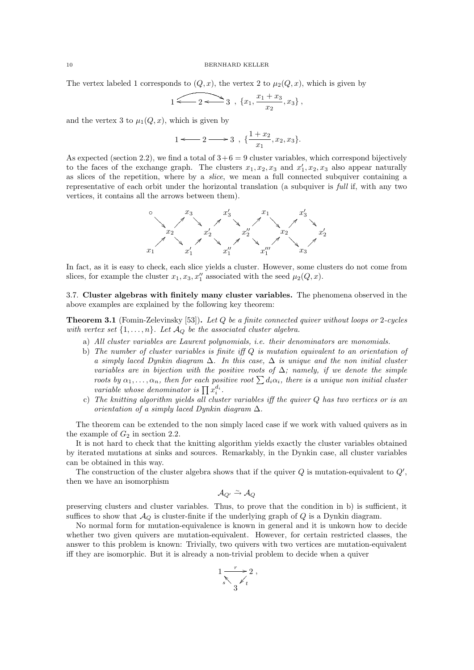The vertex labeled 1 corresponds to  $(Q, x)$ , the vertex 2 to  $\mu_2(Q, x)$ , which is given by

$$
1 \leq 2 \leq 3 , \{x_1, \frac{x_1 + x_3}{x_2}, x_3\} ,
$$

and the vertex 3 to  $\mu_1(Q, x)$ , which is given by

$$
1 \longleftarrow 2 \longrightarrow 3 , \ \{\frac{1+x_2}{x_1}, x_2, x_3\}.
$$

As expected (section 2.2), we find a total of  $3+6=9$  cluster variables, which correspond bijectively to the faces of the exchange graph. The clusters  $x_1, x_2, x_3$  and  $x'_1, x_2, x_3$  also appear naturally as slices of the repetition, where by a *slice*, we mean a full connected subquiver containing a representative of each orbit under the horizontal translation (a subquiver is full if, with any two vertices, it contains all the arrows between them).



In fact, as it is easy to check, each slice yields a cluster. However, some clusters do not come from slices, for example the cluster  $x_1, x_3, x_1''$  associated with the seed  $\mu_2(Q, x)$ .

3.7. Cluster algebras with finitely many cluster variables. The phenomena observed in the above examples are explained by the following key theorem:

**Theorem 3.1** (Fomin-Zelevinsky [53]). Let  $Q$  be a finite connected quiver without loops or 2-cycles with vertex set  $\{1, \ldots, n\}$ . Let  $\mathcal{A}_Q$  be the associated cluster algebra.

- a) All cluster variables are Laurent polynomials, i.e. their denominators are monomials.
- b) The number of cluster variables is finite iff  $Q$  is mutation equivalent to an orientation of a simply laced Dynkin diagram  $\Delta$ . In this case,  $\Delta$  is unique and the non initial cluster variables are in bijection with the positive roots of  $\Delta$ ; namely, if we denote the simple roots by  $\alpha_1, \ldots, \alpha_n$ , then for each positive root  $\sum d_i \alpha_i$ , there is a unique non initial cluster variable whose denominator is  $\prod x_i^{d_i}$ .
- c) The knitting algorithm yields all cluster variables iff the quiver Q has two vertices or is an orientation of a simply laced Dynkin diagram  $\Delta$ .

The theorem can be extended to the non simply laced case if we work with valued quivers as in the example of  $G_2$  in section 2.2.

It is not hard to check that the knitting algorithm yields exactly the cluster variables obtained by iterated mutations at sinks and sources. Remarkably, in the Dynkin case, all cluster variables can be obtained in this way.

The construction of the cluster algebra shows that if the quiver  $Q$  is mutation-equivalent to  $Q'$ , then we have an isomorphism

$$
\mathcal{A}_{Q'}\xrightarrow{\sim}\mathcal{A}_{Q}
$$

preserving clusters and cluster variables. Thus, to prove that the condition in b) is sufficient, it suffices to show that  $\mathcal{A}_Q$  is cluster-finite if the underlying graph of Q is a Dynkin diagram.

No normal form for mutation-equivalence is known in general and it is unkown how to decide whether two given quivers are mutation-equivalent. However, for certain restricted classes, the answer to this problem is known: Trivially, two quivers with two vertices are mutation-equivalent iff they are isomorphic. But it is already a non-trivial problem to decide when a quiver

$$
1 \xrightarrow[s \searrow]{} \searrow 2 ,
$$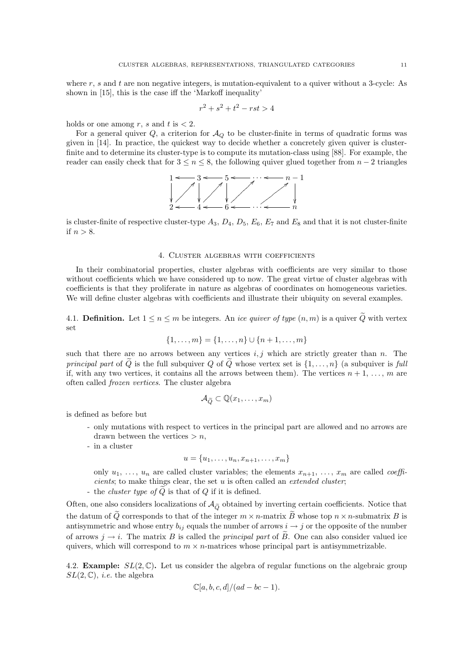where  $r$ , s and  $t$  are non negative integers, is mutation-equivalent to a quiver without a 3-cycle: As shown in [15], this is the case iff the 'Markoff inequality'

$$
r^2 + s^2 + t^2 - rst > 4
$$

holds or one among r, s and t is  $< 2$ .

For a general quiver  $Q$ , a criterion for  $A_Q$  to be cluster-finite in terms of quadratic forms was given in [14]. In practice, the quickest way to decide whether a concretely given quiver is clusterfinite and to determine its cluster-type is to compute its mutation-class using [88]. For example, the reader can easily check that for  $3 \leq n \leq 8$ , the following quiver glued together from  $n-2$  triangles



is cluster-finite of respective cluster-type  $A_3$ ,  $D_4$ ,  $D_5$ ,  $E_6$ ,  $E_7$  and  $E_8$  and that it is not cluster-finite if  $n > 8$ .

## 4. Cluster algebras with coefficients

In their combinatorial properties, cluster algebras with coefficients are very similar to those without coefficients which we have considered up to now. The great virtue of cluster algebras with coefficients is that they proliferate in nature as algebras of coordinates on homogeneous varieties. We will define cluster algebras with coefficients and illustrate their ubiquity on several examples.

4.1. **Definition.** Let  $1 \leq n \leq m$  be integers. An *ice quiver of type*  $(n, m)$  is a quiver  $\widetilde{Q}$  with vertex set

$$
\{1, \ldots, m\} = \{1, \ldots, n\} \cup \{n+1, \ldots, m\}
$$

such that there are no arrows between any vertices  $i, j$  which are strictly greater than n. The principal part of  $\tilde{Q}$  is the full subquiver Q of  $\tilde{Q}$  whose vertex set is  $\{1,\ldots,n\}$  (a subquiver is full if, with any two vertices, it contains all the arrows between them). The vertices  $n + 1, \ldots, m$  are often called frozen vertices. The cluster algebra

$$
\mathcal{A}_{\widetilde{Q}} \subset \mathbb{Q}(x_1,\ldots,x_m)
$$

is defined as before but

- only mutations with respect to vertices in the principal part are allowed and no arrows are drawn between the vertices  $> n$ ,
- in a cluster

$$
u = \{u_1, \ldots, u_n, x_{n+1}, \ldots, x_m\}
$$

only  $u_1, \ldots, u_n$  are called cluster variables; the elements  $x_{n+1}, \ldots, x_m$  are called *coeffi*cients; to make things clear, the set  $u$  is often called an *extended cluster*;

- the *cluster type of*  $\widetilde{Q}$  is that of  $Q$  if it is defined.

Often, one also considers localizations of  $\mathcal{A}_{\tilde{O}}$  obtained by inverting certain coefficients. Notice that the datum of  $\tilde{Q}$  corresponds to that of the integer  $m \times n$ -matrix  $\tilde{B}$  whose top  $n \times n$ -submatrix B is antisymmetric and whose entry  $b_{ij}$  equals the number of arrows  $i \rightarrow j$  or the opposite of the number of arrows  $j \to i$ . The matrix B is called the *principal part* of  $\tilde{B}$ . One can also consider valued ice quivers, which will correspond to  $m \times n$ -matrices whose principal part is antisymmetrizable.

4.2. **Example:**  $SL(2,\mathbb{C})$ . Let us consider the algebra of regular functions on the algebraic group  $SL(2,\mathbb{C}), i.e.$  the algebra

$$
\mathbb{C}[a,b,c,d]/(ad-bc-1).
$$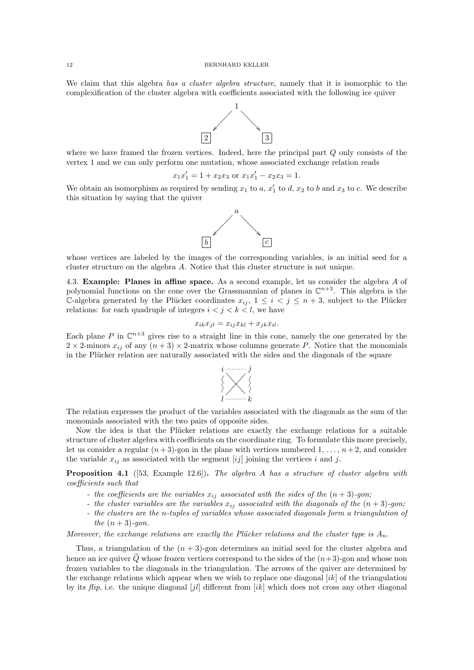We claim that this algebra has a cluster algebra structure, namely that it is isomorphic to the complexification of the cluster algebra with coefficients associated with the following ice quiver



where we have framed the frozen vertices. Indeed, here the principal part  $Q$  only consists of the vertex 1 and we can only perform one mutation, whose associated exchange relation reads

$$
x_1x'_1 = 1 + x_2x_3
$$
 or  $x_1x'_1 - x_2x_3 = 1$ .

We obtain an isomorphism as required by sending  $x_1$  to  $a, x'_1$  to  $d, x_2$  to  $b$  and  $x_3$  to  $c$ . We describe this situation by saying that the quiver



whose vertices are labeled by the images of the corresponding variables, is an initial seed for a cluster structure on the algebra A. Notice that this cluster structure is not unique.

4.3. Example: Planes in affine space. As a second example, let us consider the algebra A of polynomial functions on the cone over the Grassmannian of planes in  $\mathbb{C}^{n+3}$ . This algebra is the C-algebra generated by the Plücker coordinates  $x_{ij}$ ,  $1 \leq i \leq j \leq n+3$ , subject to the Plücker relations: for each quadruple of integers  $i < j < k < l$ , we have

#### $x_{ik}x_{jl} = x_{ij}x_{kl} + x_{jk}x_{il}.$

Each plane  $P$  in  $\mathbb{C}^{n+3}$  gives rise to a straight line in this cone, namely the one generated by the  $2 \times 2$ -minors  $x_{ij}$  of any  $(n+3) \times 2$ -matrix whose columns generate P. Notice that the monomials in the Plücker relation are naturally associated with the sides and the diagonals of the square



The relation expresses the product of the variables associated with the diagonals as the sum of the monomials associated with the two pairs of opposite sides.

Now the idea is that the Plücker relations are exactly the exchange relations for a suitable structure of cluster algebra with coefficients on the coordinate ring. To formulate this more precisely, let us consider a regular  $(n+3)$ -gon in the plane with vertices numbered  $1, \ldots, n+2$ , and consider the variable  $x_{ij}$  as associated with the segment [ij] joining the vertices i and j.

Proposition 4.1 ([53, Example 12.6]). The algebra A has a structure of cluster algebra with coefficients such that

- the coefficients are the variables  $x_{ij}$  associated with the sides of the  $(n+3)$ -gon;
- the cluster variables are the variables  $x_{ij}$  associated with the diagonals of the  $(n+3)$ -gon;
- the clusters are the n-tuples of variables whose associated diagonals form a triangulation of the  $(n+3)$ -gon.

Moreover, the exchange relations are exactly the Plücker relations and the cluster type is  $A_n$ .

Thus, a triangulation of the  $(n + 3)$ -gon determines an initial seed for the cluster algebra and hence an ice quiver  $\tilde{Q}$  whose frozen vertices correspond to the sides of the  $(n+3)$ -gon and whose non frozen variables to the diagonals in the triangulation. The arrows of the quiver are determined by the exchange relations which appear when we wish to replace one diagonal  $[ik]$  of the triangulation by its *flip*, i.e. the unique diagonal  $[i]$  different from  $[ik]$  which does not cross any other diagonal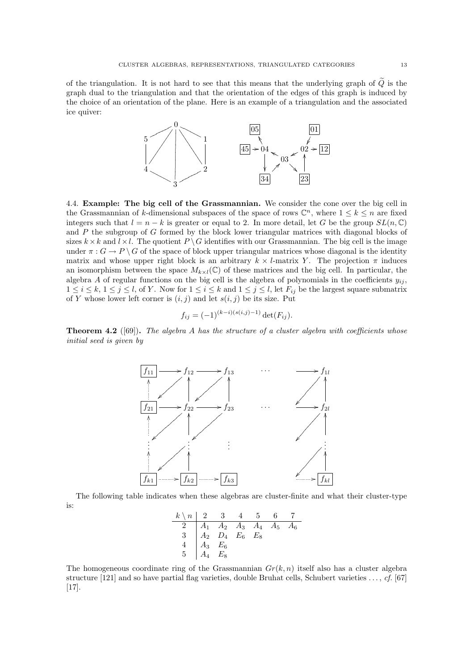of the triangulation. It is not hard to see that this means that the underlying graph of  $\tilde{Q}$  is the graph dual to the triangulation and that the orientation of the edges of this graph is induced by the choice of an orientation of the plane. Here is an example of a triangulation and the associated ice quiver:



4.4. Example: The big cell of the Grassmannian. We consider the cone over the big cell in the Grassmannian of k-dimensional subspaces of the space of rows  $\mathbb{C}^n$ , where  $1 \leq k \leq n$  are fixed integers such that  $l = n - k$  is greater or equal to 2. In more detail, let G be the group  $SL(n, \mathbb{C})$ and  $P$  the subgroup of  $G$  formed by the block lower triangular matrices with diagonal blocks of sizes  $k \times k$  and  $l \times l$ . The quotient  $P \setminus G$  identifies with our Grassmannian. The big cell is the image under  $\pi: G \to P \setminus G$  of the space of block upper triangular matrices whose diagonal is the identity matrix and whose upper right block is an arbitrary  $k \times l$ -matrix Y. The projection  $\pi$  induces an isomorphism between the space  $M_{k\times l}(\mathbb{C})$  of these matrices and the big cell. In particular, the algebra A of regular functions on the big cell is the algebra of polynomials in the coefficients  $y_{ij}$ ,  $1 \leq i \leq k, 1 \leq j \leq l$ , of Y. Now for  $1 \leq i \leq k$  and  $1 \leq j \leq l$ , let  $F_{ij}$  be the largest square submatrix of Y whose lower left corner is  $(i, j)$  and let  $s(i, j)$  be its size. Put

$$
f_{ij} = (-1)^{(k-i)(s(i,j)-1)} \det(F_{ij}).
$$

**Theorem 4.2** ([69]). The algebra A has the structure of a cluster algebra with coefficients whose initial seed is given by



The following table indicates when these algebras are cluster-finite and what their cluster-type is:

| $k \setminus n$ | 2     | 3     | 4     | 5     | 6     | 7     |
|-----------------|-------|-------|-------|-------|-------|-------|
| 2               | $A_1$ | $A_2$ | $A_3$ | $A_4$ | $A_5$ | $A_6$ |
| 3               | $A_2$ | $D_4$ | $E_6$ | $E_8$ |       |       |
| 4               | $A_3$ | $E_6$ | $E_8$ |       |       |       |
| 5               | $A_4$ | $E_8$ |       |       |       |       |

The homogeneous coordinate ring of the Grassmannian  $Gr(k, n)$  itself also has a cluster algebra structure [121] and so have partial flag varieties, double Bruhat cells, Schubert varieties  $\dots$ , cf. [67] [17].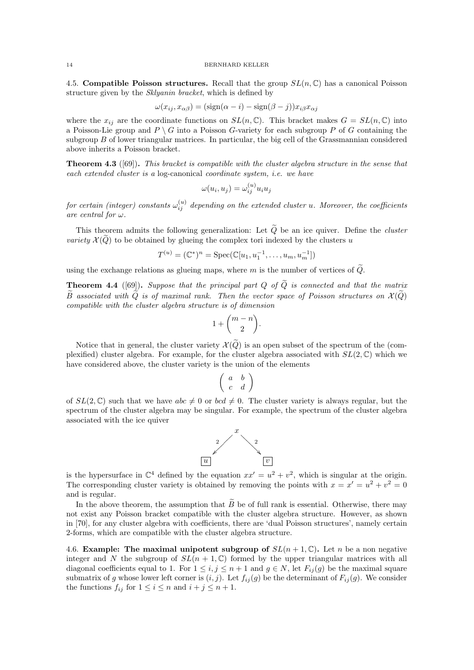4.5. Compatible Poisson structures. Recall that the group  $SL(n,\mathbb{C})$  has a canonical Poisson structure given by the *Sklyanin bracket*, which is defined by

$$
\omega(x_{ij}, x_{\alpha\beta}) = (\text{sign}(\alpha - i) - \text{sign}(\beta - j))x_{i\beta}x_{\alpha j}
$$

where the  $x_{ij}$  are the coordinate functions on  $SL(n,\mathbb{C})$ . This bracket makes  $G = SL(n,\mathbb{C})$  into a Poisson-Lie group and  $P \setminus G$  into a Poisson G-variety for each subgroup P of G containing the subgroup  $B$  of lower triangular matrices. In particular, the big cell of the Grassmannian considered above inherits a Poisson bracket.

**Theorem 4.3** ([69]). This bracket is compatible with the cluster algebra structure in the sense that each extended cluster is a log-canonical coordinate system, i.e. we have

$$
\omega(u_i, u_j) = \omega_{ij}^{(u)} u_i u_j
$$

for certain (integer) constants  $\omega_{ij}^{(u)}$  depending on the extended cluster  $u$ . Moreover, the coefficients are central for  $\omega$ .

This theorem admits the following generalization: Let  $\tilde{Q}$  be an ice quiver. Define the *cluster variety*  $\mathcal{X}(\widetilde{Q})$  to be obtained by glueing the complex tori indexed by the clusters u

$$
T^{(u)} = (\mathbb{C}^*)^n = \text{Spec}(\mathbb{C}[u_1, u_1^{-1}, \dots, u_m, u_m^{-1}])
$$

using the exchange relations as glueing maps, where m is the number of vertices of  $\tilde{Q}$ .

**Theorem 4.4** ([69]). Suppose that the principal part Q of  $\tilde{Q}$  is connected and that the matrix  $\widetilde{B}$  associated with  $\widetilde{Q}$  is of maximal rank. Then the vector space of Poisson structures on  $\mathcal{X}(\widetilde{Q})$ compatible with the cluster algebra structure is of dimension

$$
1 + \binom{m-n}{2}.
$$

Notice that in general, the cluster variety  $\mathcal{X}(\widetilde{Q})$  is an open subset of the spectrum of the (complexified) cluster algebra. For example, for the cluster algebra associated with  $SL(2,\mathbb{C})$  which we have considered above, the cluster variety is the union of the elements

$$
\left(\begin{array}{cc}a&b\\c&d\end{array}\right)
$$

of  $SL(2,\mathbb{C})$  such that we have  $abc \neq 0$  or  $bcd \neq 0$ . The cluster variety is always regular, but the spectrum of the cluster algebra may be singular. For example, the spectrum of the cluster algebra associated with the ice quiver



is the hypersurface in  $\mathbb{C}^4$  defined by the equation  $xx' = u^2 + v^2$ , which is singular at the origin. The corresponding cluster variety is obtained by removing the points with  $x = x' = u^2 + v^2 = 0$ and is regular.

In the above theorem, the assumption that  $\widetilde{B}$  be of full rank is essential. Otherwise, there may not exist any Poisson bracket compatible with the cluster algebra structure. However, as shown in [70], for any cluster algebra with coefficients, there are 'dual Poisson structures', namely certain 2-forms, which are compatible with the cluster algebra structure.

4.6. Example: The maximal unipotent subgroup of  $SL(n+1,\mathbb{C})$ . Let n be a non negative integer and N the subgroup of  $SL(n + 1, \mathbb{C})$  formed by the upper triangular matrices with all diagonal coefficients equal to 1. For  $1 \le i, j \le n+1$  and  $g \in N$ , let  $F_{ij}(g)$  be the maximal square submatrix of g whose lower left corner is  $(i, j)$ . Let  $f_{ij}(g)$  be the determinant of  $F_{ij}(g)$ . We consider the functions  $f_{ij}$  for  $1 \leq i \leq n$  and  $i + j \leq n + 1$ .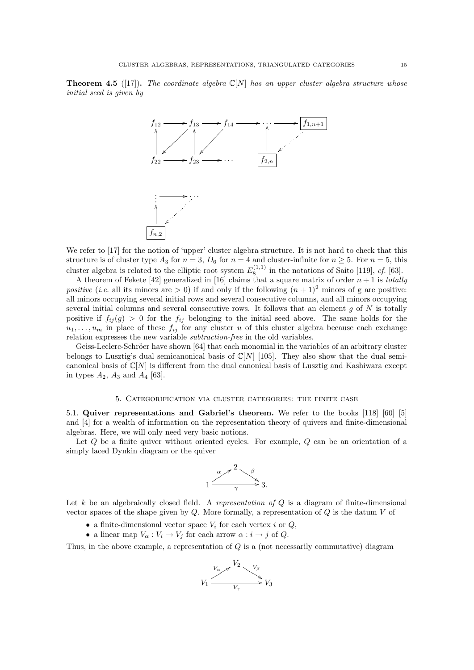**Theorem 4.5** ([17]). The coordinate algebra  $\mathbb{C}[N]$  has an upper cluster algebra structure whose initial seed is given by



We refer to [17] for the notion of 'upper' cluster algebra structure. It is not hard to check that this structure is of cluster type  $A_3$  for  $n = 3$ ,  $D_6$  for  $n = 4$  and cluster-infinite for  $n \ge 5$ . For  $n = 5$ , this cluster algebra is related to the elliptic root system  $E_8^{(1,1)}$  in the notations of Saito [119], *cf.* [63].

A theorem of Fekete [42] generalized in [16] claims that a square matrix of order  $n+1$  is totally positive (i.e. all its minors are  $> 0$ ) if and only if the following  $(n + 1)^2$  minors of g are positive: all minors occupying several initial rows and several consecutive columns, and all minors occupying several initial columns and several consecutive rows. It follows that an element  $g$  of  $N$  is totally positive if  $f_{ij}(g) > 0$  for the  $f_{ij}$  belonging to the initial seed above. The same holds for the  $u_1, \ldots, u_m$  in place of these  $f_{ij}$  for any cluster u of this cluster algebra because each exchange relation expresses the new variable subtraction-free in the old variables.

Geiss-Leclerc-Schröer have shown [64] that each monomial in the variables of an arbitrary cluster belongs to Lusztig's dual semicanonical basis of  $\mathbb{C}[N]$  [105]. They also show that the dual semicanonical basis of  $\mathbb{C}[N]$  is different from the dual canonical basis of Lusztig and Kashiwara except in types  $A_2$ ,  $A_3$  and  $A_4$  [63].

#### 5. Categorification via cluster categories: the finite case

5.1. Quiver representations and Gabriel's theorem. We refer to the books [118] [60] [5] and [4] for a wealth of information on the representation theory of quivers and finite-dimensional algebras. Here, we will only need very basic notions.

Let  $Q$  be a finite quiver without oriented cycles. For example,  $Q$  can be an orientation of a simply laced Dynkin diagram or the quiver



Let k be an algebraically closed field. A representation of  $Q$  is a diagram of finite-dimensional vector spaces of the shape given by  $Q$ . More formally, a representation of  $Q$  is the datum  $V$  of

- a finite-dimensional vector space  $V_i$  for each vertex i or  $Q$ ,
- a linear map  $V_{\alpha}: V_i \to V_j$  for each arrow  $\alpha : i \to j$  of Q.

Thus, in the above example, a representation of  $Q$  is a (not necessarily commutative) diagram

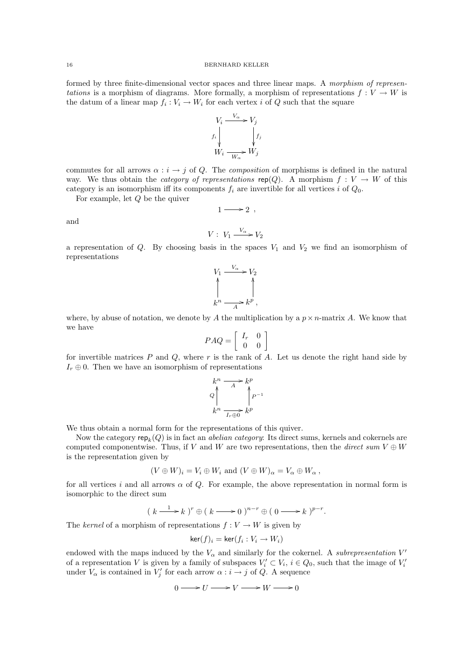formed by three finite-dimensional vector spaces and three linear maps. A morphism of representations is a morphism of diagrams. More formally, a morphism of representations  $f: V \to W$  is the datum of a linear map  $f_i: V_i \to W_i$  for each vertex i of Q such that the square



commutes for all arrows  $\alpha : i \to j$  of Q. The *composition* of morphisms is defined in the natural way. We thus obtain the *category of representations*  $rep(Q)$ . A morphism  $f: V \to W$  of this category is an isomorphism iff its components  $f_i$  are invertible for all vertices i of  $Q_0$ .

For example, let Q be the quiver

$$
1 \longrightarrow 2 ,
$$

and

$$
V: V_1 \xrightarrow{V_\alpha} V_2
$$

a representation of  $Q$ . By choosing basis in the spaces  $V_1$  and  $V_2$  we find an isomorphism of representations



where, by abuse of notation, we denote by A the multiplication by a  $p \times n$ -matrix A. We know that we have

$$
PAQ = \left[ \begin{array}{cc} I_r & 0 \\ 0 & 0 \end{array} \right]
$$

for invertible matrices  $P$  and  $Q$ , where  $r$  is the rank of  $A$ . Let us denote the right hand side by  $I_r \oplus 0$ . Then we have an isomorphism of representations

$$
k^n \xrightarrow{A} k^p
$$
  
\n
$$
Q \uparrow \qquad \qquad \uparrow P^{-1}
$$
  
\n
$$
k^n \xrightarrow{I_r \oplus \bullet} k^p
$$

We thus obtain a normal form for the representations of this quiver.

Now the category  $\mathsf{rep}_k(Q)$  is in fact an *abelian category*: Its direct sums, kernels and cokernels are computed componentwise. Thus, if V and W are two representations, then the *direct sum*  $V \oplus W$ is the representation given by

$$
(V \oplus W)_i = V_i \oplus W_i
$$
 and  $(V \oplus W)_{\alpha} = V_{\alpha} \oplus W_{\alpha}$ ,

for all vertices i and all arrows  $\alpha$  of Q. For example, the above representation in normal form is isomorphic to the direct sum

$$
(k \xrightarrow{1} k)^r \oplus (k \xrightarrow{p} 0)^{n-r} \oplus (0 \xrightarrow{p-r} k)^{p-r}.
$$

The kernel of a morphism of representations  $f: V \to W$  is given by

$$
\ker(f)_i = \ker(f_i : V_i \to W_i)
$$

endowed with the maps induced by the  $V_{\alpha}$  and similarly for the cokernel. A subrepresentation  $V'$ of a representation V is given by a family of subspaces  $V_i' \subset V_i$ ,  $i \in Q_0$ , such that the image of  $V_i'$ under  $V_{\alpha}$  is contained in  $V'_{j}$  for each arrow  $\alpha : i \to j$  of Q. A sequence

$$
0 \longrightarrow U \longrightarrow V \longrightarrow W \longrightarrow 0
$$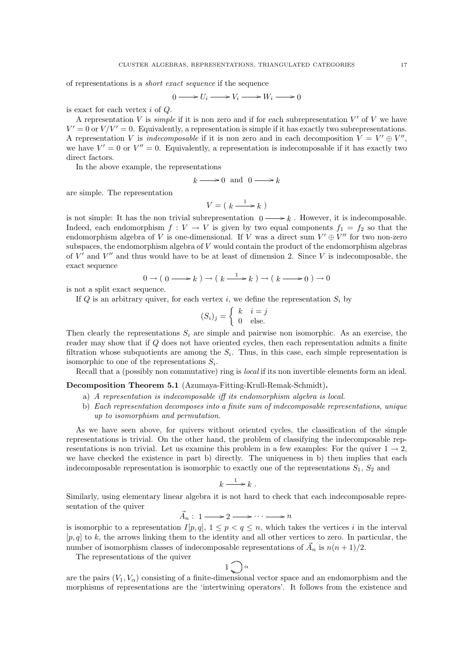of representations is a short exact sequence if the sequence

$$
0 \longrightarrow U_i \longrightarrow V_i \longrightarrow W_i \longrightarrow 0
$$

is exact for each vertex  $i$  of  $Q$ .

A representation V is *simple* if it is non zero and if for each subrepresentation  $V'$  of V we have  $V' = 0$  or  $V/V' = 0$ . Equivalently, a representation is simple if it has exactly two subrepresentations. A representation V is *indecomposable* if it is non zero and in each decomposition  $V = V' \oplus V''$ , we have  $V' = 0$  or  $V'' = 0$ . Equivalently, a representation is indecomposable if it has exactly two direct factors.

In the above example, the representations

 $\Omega$ 

$$
k \longrightarrow 0 \text{ and } 0 \longrightarrow k
$$

are simple. The representation

$$
V = (k \xrightarrow{1} k)
$$

is not simple: It has the non trivial subrepresentation  $0 \longrightarrow k$ . However, it is indecomposable. Indeed, each endomorphism  $f: V \to V$  is given by two equal components  $f_1 = f_2$  so that the endomorphism algebra of V is one-dimensional. If V was a direct sum  $V' \oplus V''$  for two non-zero subspaces, the endomorphism algebra of  $V$  would contain the product of the endomorphism algebras of  $V'$  and  $V''$  and thus would have to be at least of dimension 2. Since  $V$  is indecomposable, the exact sequence

$$
\rightarrow (0 \longrightarrow k) \rightarrow (k \longrightarrow k) \rightarrow (k \longrightarrow 0) \rightarrow 0
$$

is not a split exact sequence.

If Q is an arbitrary quiver, for each vertex i, we define the representation  $S_i$  by

$$
(S_i)_j = \begin{cases} k & i = j \\ 0 & \text{else.} \end{cases}
$$

Then clearly the representations  $S_i$  are simple and pairwise non isomorphic. As an exercise, the reader may show that if Q does not have oriented cycles, then each representation admits a finite filtration whose subquotients are among the  $S_i$ . Thus, in this case, each simple representation is isomorphic to one of the representations  $S_i$ .

Recall that a (possibly non commutative) ring is local if its non invertible elements form an ideal.

#### Decomposition Theorem 5.1 (Azumaya-Fitting-Krull-Remak-Schmidt).

- a) A representation is indecomposable iff its endomorphism algebra is local.
- b) Each representation decomposes into a finite sum of indecomposable representations, unique up to isomorphism and permutation.

As we have seen above, for quivers without oriented cycles, the classification of the simple representations is trivial. On the other hand, the problem of classifying the indecomposable representations is non trivial. Let us examine this problem in a few examples: For the quiver  $1 \rightarrow 2$ , we have checked the existence in part b) directly. The uniqueness in b) then implies that each indecomposable representation is isomorphic to exactly one of the representations  $S_1, S_2$  and

$$
k \xrightarrow{1} k.
$$

Similarly, using elementary linear algebra it is not hard to check that each indecomposable representation of the quiver

$$
\vec{A}_n: 1 \longrightarrow 2 \longrightarrow \cdots \longrightarrow n
$$
\n
$$
\text{where } \vec{A}_n \text{ is a } 1 \le n \le n \le n \text{ which is } n
$$

is isomorphic to a representation  $I[p, q]$ ,  $1 \leq p < q \leq n$ , which takes the vertices i in the interval  $[p, q]$  to k, the arrows linking them to the identity and all other vertices to zero. In particular, the number of isomorphism classes of indecomposable representations of  $\vec{A}_n$  is  $n(n+1)/2$ .

The representations of the quiver

$$
1\,\tilde{\rule{1.5cm}{.7pt}}\,.
$$

are the pairs  $(V_1, V_\alpha)$  consisting of a finite-dimensional vector space and an endomorphism and the morphisms of representations are the 'intertwining operators'. It follows from the existence and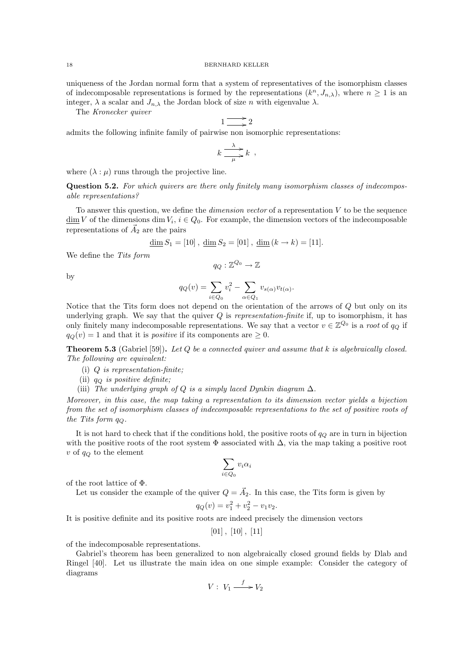uniqueness of the Jordan normal form that a system of representatives of the isomorphism classes of indecomposable representations is formed by the representations  $(k^n, J_{n,\lambda})$ , where  $n \geq 1$  is an integer,  $\lambda$  a scalar and  $J_{n,\lambda}$  the Jordan block of size n with eigenvalue  $\lambda$ .

The Kronecker quiver

$$
1 \longrightarrow 2
$$

 $\frac{1}{2}$  admits the following infinite family of pairwise non isomorphic representations:

$$
k \xrightarrow{\lambda} k ,
$$

where  $(\lambda : \mu)$  runs through the projective line.

Question 5.2. For which quivers are there only finitely many isomorphism classes of indecomposable representations?

To answer this question, we define the *dimension vector* of a representation  $V$  to be the sequence  $\underline{\dim} V$  of the dimensions dim  $V_i$ ,  $i \in Q_0$ . For example, the dimension vectors of the indecomposable representations of  $\vec{A}_2$  are the pairs

$$
\underline{\dim} S_1 = [10], \ \underline{\dim} S_2 = [01], \ \underline{\dim} (k \to k) = [11].
$$

We define the Tits form

$$
q_Q:\mathbb{Z}^{Q_0}\to\mathbb{Z}
$$

by

$$
q_Q(v) = \sum_{i \in Q_0} v_i^2 - \sum_{\alpha \in Q_1} v_{s(\alpha)} v_{t(\alpha)}.
$$

Notice that the Tits form does not depend on the orientation of the arrows of  $Q$  but only on its underlying graph. We say that the quiver  $Q$  is representation-finite if, up to isomorphism, it has only finitely many indecomposable representations. We say that a vector  $v \in \mathbb{Z}^{Q_0}$  is a root of  $q_Q$  if  $q_Q(v) = 1$  and that it is *positive* if its components are  $\geq 0$ .

**Theorem 5.3** (Gabriel [59]). Let  $Q$  be a connected quiver and assume that  $k$  is algebraically closed. The following are equivalent:

- (i)  $Q$  is representation-finite;
- (ii)  $q_O$  is positive definite;
- (iii) The underlying graph of Q is a simply laced Dynkin diagram  $\Delta$ .

Moreover, in this case, the map taking a representation to its dimension vector yields a bijection from the set of isomorphism classes of indecomposable representations to the set of positive roots of the Tits form  $q_Q$ .

It is not hard to check that if the conditions hold, the positive roots of  $q_Q$  are in turn in bijection with the positive roots of the root system  $\Phi$  associated with  $\Delta$ , via the map taking a positive root v of  $q_Q$  to the element

$$
\sum_{i\in Q_0}v_i\alpha_i
$$

of the root lattice of Φ.

Let us consider the example of the quiver  $Q = \vec{A}_2$ . In this case, the Tits form is given by

$$
q_Q(v) = v_1^2 + v_2^2 - v_1 v_2.
$$

It is positive definite and its positive roots are indeed precisely the dimension vectors

 $[01]$ ,  $[10]$ ,  $[11]$ 

of the indecomposable representations.

Gabriel's theorem has been generalized to non algebraically closed ground fields by Dlab and Ringel [40]. Let us illustrate the main idea on one simple example: Consider the category of diagrams

$$
V: V_1 \xrightarrow{f} V_2
$$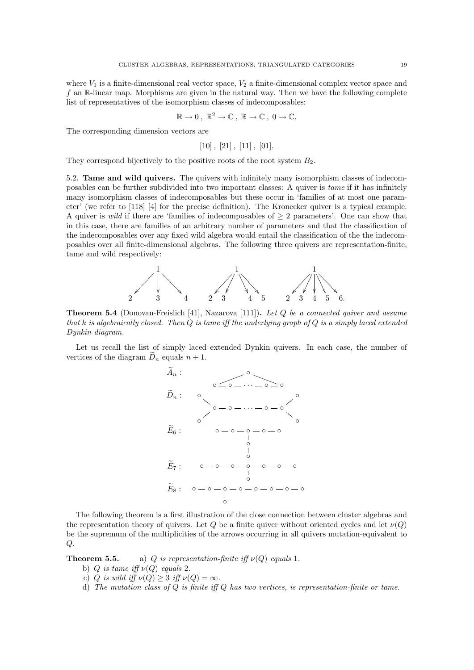where  $V_1$  is a finite-dimensional real vector space,  $V_2$  a finite-dimensional complex vector space and f an  $\mathbb R$ -linear map. Morphisms are given in the natural way. Then we have the following complete list of representatives of the isomorphism classes of indecomposables:

$$
\mathbb{R} \to 0, \ \mathbb{R}^2 \to \mathbb{C}, \ \mathbb{R} \to \mathbb{C}, \ 0 \to \mathbb{C}.
$$

The corresponding dimension vectors are

$$
[10], [21], [11], [01].
$$

They correspond bijectively to the positive roots of the root system  $B_2$ .

5.2. Tame and wild quivers. The quivers with infinitely many isomorphism classes of indecomposables can be further subdivided into two important classes: A quiver is tame if it has infinitely many isomorphism classes of indecomposables but these occur in 'families of at most one parameter' (we refer to [118] [4] for the precise definition). The Kronecker quiver is a typical example. A quiver is *wild* if there are 'families of indecomposables of  $\geq 2$  parameters'. One can show that in this case, there are families of an arbitrary number of parameters and that the classification of the indecomposables over any fixed wild algebra would entail the classification of the the indecomposables over all finite-dimensional algebras. The following three quivers are representation-finite, tame and wild respectively:



**Theorem 5.4** (Donovan-Freislich [41], Nazarova [111]). Let Q be a connected quiver and assume that k is algebraically closed. Then  $Q$  is tame iff the underlying graph of  $Q$  is a simply laced extended Dynkin diagram.

Let us recall the list of simply laced extended Dynkin quivers. In each case, the number of vertices of the diagram  $\overline{D}_n$  equals  $n + 1$ .



The following theorem is a first illustration of the close connection between cluster algebras and the representation theory of quivers. Let Q be a finite quiver without oriented cycles and let  $\nu(Q)$ be the supremum of the multiplicities of the arrows occurring in all quivers mutation-equivalent to Q.

**Theorem 5.5.** a) Q is representation-finite iff  $\nu(Q)$  equals 1.

- b) Q is tame iff  $\nu(Q)$  equals 2.
- c) Q is wild iff  $\nu(Q) \geq 3$  iff  $\nu(Q) = \infty$ .
- d) The mutation class of  $Q$  is finite iff  $Q$  has two vertices, is representation-finite or tame.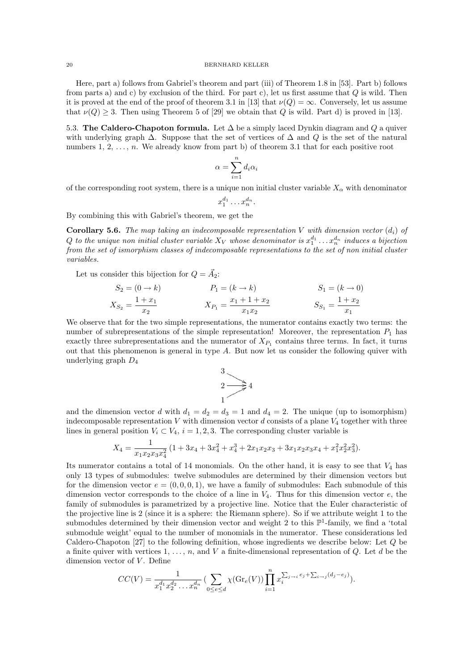Here, part a) follows from Gabriel's theorem and part (iii) of Theorem 1.8 in [53]. Part b) follows from parts a) and c) by exclusion of the third. For part c), let us first assume that  $Q$  is wild. Then it is proved at the end of the proof of theorem 3.1 in [13] that  $\nu(Q) = \infty$ . Conversely, let us assume that  $\nu(Q) \geq 3$ . Then using Theorem 5 of [29] we obtain that Q is wild. Part d) is proved in [13].

5.3. The Caldero-Chapoton formula. Let  $\Delta$  be a simply laced Dynkin diagram and Q a quiver with underlying graph  $\Delta$ . Suppose that the set of vertices of  $\Delta$  and Q is the set of the natural numbers  $1, 2, \ldots, n$ . We already know from part b) of theorem 3.1 that for each positive root

$$
\alpha = \sum_{i=1}^{n} d_i \alpha_i
$$

of the corresponding root system, there is a unique non initial cluster variable  $X_{\alpha}$  with denominator

$$
x_1^{d_1}\ldots x_n^{d_n}.
$$

By combining this with Gabriel's theorem, we get the

**Corollary 5.6.** The map taking an indecomposable representation V with dimension vector  $(d_i)$  of  $Q$  to the unique non initial cluster variable  $X_V$  whose denominator is  $x_1^{d_1} \ldots x_n^{d_n}$  induces a bijection from the set of ismorphism classes of indecomposable representations to the set of non initial cluster variables.

Let us consider this bijection for  $Q = \vec{A}_2$ :

$$
S_2 = (0 \to k) \qquad P_1 = (k \to k) \qquad S_1 = (k \to 0) \nX_{S_2} = \frac{1 + x_1}{x_2} \qquad X_{P_1} = \frac{x_1 + 1 + x_2}{x_1 x_2} \qquad S_{S_1} = \frac{1 + x_2}{x_1}
$$

We observe that for the two simple representations, the numerator contains exactly two terms: the number of subrepresentations of the simple representation! Moreover, the representation  $P_1$  has exactly three subrepresentations and the numerator of  $X_{P_1}$  contains three terms. In fact, it turns out that this phenomenon is general in type A. But now let us consider the following quiver with underlying graph  $D_4$ 



and the dimension vector d with  $d_1 = d_2 = d_3 = 1$  and  $d_4 = 2$ . The unique (up to isomorphism) indecomposable representation  $V$  with dimension vector  $d$  consists of a plane  $V_4$  together with three lines in general position  $V_i \subset V_4$ ,  $i = 1, 2, 3$ . The corresponding cluster variable is

$$
X_4 = \frac{1}{x_1 x_2 x_3 x_4^2} (1 + 3x_4 + 3x_4^2 + x_4^3 + 2x_1 x_2 x_3 + 3x_1 x_2 x_3 x_4 + x_1^2 x_2^2 x_3^2).
$$

Its numerator contains a total of 14 monomials. On the other hand, it is easy to see that  $V_4$  has only 13 types of submodules: twelve submodules are determined by their dimension vectors but for the dimension vector  $e = (0, 0, 0, 1)$ , we have a family of submodules: Each submodule of this dimension vector corresponds to the choice of a line in  $V_4$ . Thus for this dimension vector  $e$ , the family of submodules is parametrized by a projective line. Notice that the Euler characteristic of the projective line is 2 (since it is a sphere: the Riemann sphere). So if we attribute weight 1 to the submodules determined by their dimension vector and weight 2 to this  $\mathbb{P}^1$ -family, we find a 'total submodule weight' equal to the number of monomials in the numerator. These considerations led Caldero-Chapoton [27] to the following definition, whose ingredients we describe below: Let Q be a finite quiver with vertices 1, ..., n, and V a finite-dimensional representation of Q. Let d be the dimension vector of  $V$ . Define

$$
CC(V) = \frac{1}{x_1^{d_1} x_2^{d_2} \dots x_n^{d_n}} \left( \sum_{0 \le e \le d} \chi(\text{Gr}_e(V)) \prod_{i=1}^n x_i^{\sum_{j \to i} e_j + \sum_{i \to j} (d_j - e_j)} \right).
$$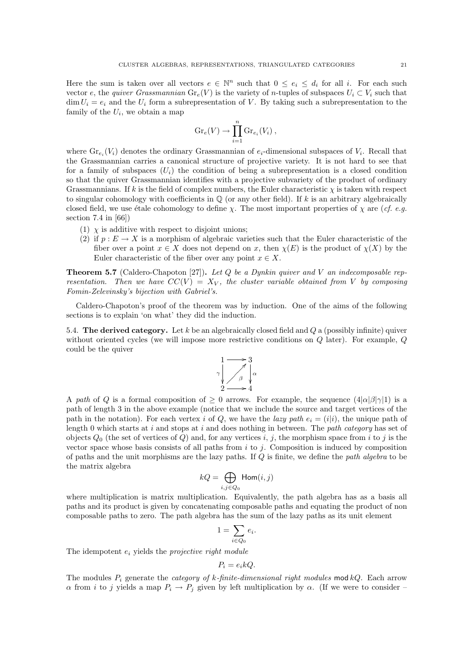Here the sum is taken over all vectors  $e \in \mathbb{N}^n$  such that  $0 \le e_i \le d_i$  for all i. For each such vector e, the quiver Grassmannian  $\text{Gr}_{e}(V)$  is the variety of n-tuples of subspaces  $U_i \subset V_i$  such that  $\dim U_i = e_i$  and the  $U_i$  form a subrepresentation of V. By taking such a subrepresentation to the family of the  $U_i$ , we obtain a map

$$
Gr_e(V) \to \prod_{i=1}^n Gr_{e_i}(V_i) ,
$$

where  $\text{Gr}_{e_i}(V_i)$  denotes the ordinary Grassmannian of  $e_i$ -dimensional subspaces of  $V_i$ . Recall that the Grassmannian carries a canonical structure of projective variety. It is not hard to see that for a family of subspaces  $(U_i)$  the condition of being a subrepresentation is a closed condition so that the quiver Grassmannian identifies with a projective subvariety of the product of ordinary Grassmannians. If k is the field of complex numbers, the Euler characteristic  $\chi$  is taken with respect to singular cohomology with coefficients in  $\mathbb Q$  (or any other field). If k is an arbitrary algebraically closed field, we use étale cohomology to define  $\chi$ . The most important properties of  $\chi$  are (*cf. e.g.* section 7.4 in [66])

- (1)  $\chi$  is additive with respect to disjoint unions;
- (2) if  $p : E \to X$  is a morphism of algebraic varieties such that the Euler characteristic of the fiber over a point  $x \in X$  does not depend on x, then  $\chi(E)$  is the product of  $\chi(X)$  by the Euler characteristic of the fiber over any point  $x \in X$ .

**Theorem 5.7** (Caldero-Chapoton [27]). Let Q be a Dynkin quiver and V an indecomposable representation. Then we have  $CC(V) = X_V$ , the cluster variable obtained from V by composing Fomin-Zelevinsky's bijection with Gabriel's.

Caldero-Chapoton's proof of the theorem was by induction. One of the aims of the following sections is to explain 'on what' they did the induction.

5.4. The derived category. Let k be an algebraically closed field and Q a (possibly infinite) quiver without oriented cycles (we will impose more restrictive conditions on  $Q$  later). For example,  $Q$ could be the quiver

1 γ /3 α 2 β @ /4

A path of Q is a formal composition of  $> 0$  arrows. For example, the sequence  $(4|\alpha|\beta|\gamma|1)$  is a path of length 3 in the above example (notice that we include the source and target vertices of the path in the notation). For each vertex i of Q, we have the lazy path  $e_i = (i|i)$ , the unique path of length 0 which starts at i and stops at i and does nothing in between. The path category has set of objects  $Q_0$  (the set of vertices of Q) and, for any vertices i, j, the morphism space from i to j is the vector space whose basis consists of all paths from  $i$  to  $j$ . Composition is induced by composition of paths and the unit morphisms are the lazy paths. If Q is finite, we define the path algebra to be the matrix algebra

$$
kQ=\bigoplus_{i,j\in Q_0}\mathsf {Hom}(i,j)
$$

where multiplication is matrix multiplication. Equivalently, the path algebra has as a basis all paths and its product is given by concatenating composable paths and equating the product of non composable paths to zero. The path algebra has the sum of the lazy paths as its unit element

$$
1 = \sum_{i \in Q_0} e_i.
$$

The idempotent  $e_i$  yields the *projective right module* 

$$
P_i = e_i k Q.
$$

The modules  $P_i$  generate the *category of k-finite-dimensional right modules* mod  $kQ$ . Each arrow α from *i* to *j* yields a map  $P_i \to P_j$  given by left multiplication by α. (If we were to consider –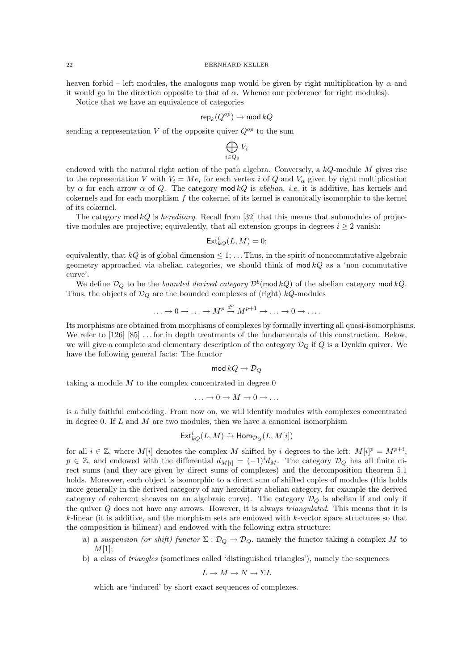## 22 BERNHARD KELLER

heaven forbid – left modules, the analogous map would be given by right multiplication by  $\alpha$  and it would go in the direction opposite to that of  $\alpha$ . Whence our preference for right modules).

Notice that we have an equivalence of categories

$$
\mathop{\mathsf{rep}}\nolimits_k(Q^{op})\to \mathop{\mathsf{mod}}\nolimits kQ
$$

sending a representation V of the opposite quiver  $Q^{op}$  to the sum

 $\bigoplus$  $i \in Q_0$ Vi

endowed with the natural right action of the path algebra. Conversely, a  $kQ$ -module M gives rise to the representation V with  $V_i = Me_i$  for each vertex i of Q and  $V_\alpha$  given by right multiplication by  $\alpha$  for each arrow  $\alpha$  of Q. The category mod kQ is abelian, i.e. it is additive, has kernels and cokernels and for each morphism  $f$  the cokernel of its kernel is canonically isomorphic to the kernel of its cokernel.

The category mod  $kQ$  is *hereditary*. Recall from [32] that this means that submodules of projective modules are projective; equivalently, that all extension groups in degrees  $i \geq 2$  vanish:

$$
\mathsf{Ext}_{kQ}^i(L, M) = 0;
$$

equivalently, that  $kQ$  is of global dimension  $\leq 1$ ; ... Thus, in the spirit of noncommutative algebraic geometry approached via abelian categories, we should think of  $\text{mod } kQ$  as a 'non commutative curve'.

We define  $\mathcal{D}_Q$  to be the *bounded derived category*  $\mathcal{D}^b$ (mod kQ) of the abelian category mod kQ. Thus, the objects of  $\mathcal{D}_Q$  are the bounded complexes of (right) kQ-modules

$$
\ldots \to 0 \to \ldots \to M^p \stackrel{d^p}{\to} M^{p+1} \to \ldots \to 0 \to \ldots.
$$

Its morphisms are obtained from morphisms of complexes by formally inverting all quasi-isomorphisms. We refer to  $[126]$   $[85]$  ... for in depth treatments of the fundamentals of this construction. Below, we will give a complete and elementary description of the category  $\mathcal{D}_Q$  if  $Q$  is a Dynkin quiver. We have the following general facts: The functor

$$
\operatorname{mod} kQ\to \mathcal{D}_Q
$$

taking a module  $M$  to the complex concentrated in degree  $0$ 

$$
\ldots \to 0 \to M \to 0 \to \ldots
$$

is a fully faithful embedding. From now on, we will identify modules with complexes concentrated in degree 0. If  $L$  and  $M$  are two modules, then we have a canonical isomorphism

$$
\mathsf{Ext}^i_{kQ}(L,M) \xrightarrow{\sim} \mathsf{Hom}_{\mathcal{D}_Q}(L,M[i])
$$

for all  $i \in \mathbb{Z}$ , where  $M[i]$  denotes the complex M shifted by i degrees to the left:  $M[i]^p = M^{p+i}$ ,  $p \in \mathbb{Z}$ , and endowed with the differential  $d_{M[i]} = (-1)^i d_M$ . The category  $\mathcal{D}_Q$  has all finite direct sums (and they are given by direct sums of complexes) and the decomposition theorem 5.1 holds. Moreover, each object is isomorphic to a direct sum of shifted copies of modules (this holds more generally in the derived category of any hereditary abelian category, for example the derived category of coherent sheaves on an algebraic curve). The category  $\mathcal{D}_Q$  is abelian if and only if the quiver  $Q$  does not have any arrows. However, it is always *triangulated*. This means that it is  $k$ -linear (it is additive, and the morphism sets are endowed with  $k$ -vector space structures so that the composition is bilinear) and endowed with the following extra structure:

- a) a suspension (or shift) functor  $\Sigma : \mathcal{D}_Q \to \mathcal{D}_Q$ , namely the functor taking a complex M to  $M[1];$
- b) a class of triangles (sometimes called 'distinguished triangles'), namely the sequences

$$
L \to M \to N \to \Sigma L
$$

which are 'induced' by short exact sequences of complexes.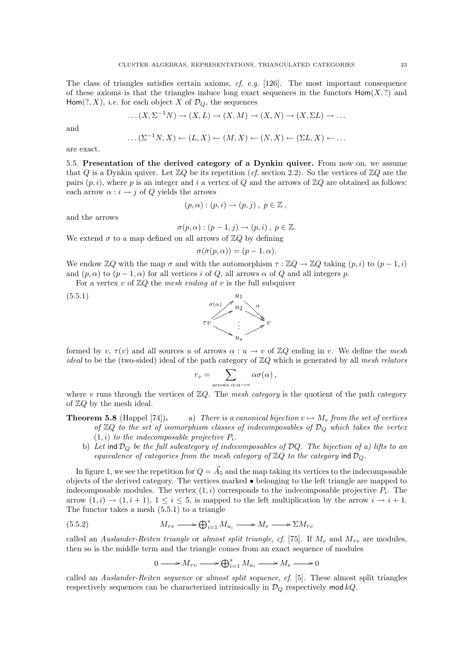The class of triangles satisfies certain axioms, cf. e.g. [126]. The most important consequence of these axioms is that the triangles induce long exact sequences in the functors  $\text{Hom}(X, ?)$  and Hom(?, X), *i.e.* for each object X of  $\mathcal{D}_Q$ , the sequences

$$
\dots (X, \Sigma^{-1}N) \to (X, L) \to (X, M) \to (X, N) \to (X, \Sigma L) \to \dots
$$

and

$$
\dots (\Sigma^{-1}N, X) \leftarrow (L, X) \leftarrow (M, X) \leftarrow (N, X) \leftarrow (\Sigma L, X) \leftarrow \dots
$$

are exact.

5.5. Presentation of the derived category of a Dynkin quiver. From now on, we assume that Q is a Dynkin quiver. Let  $\mathbb{Z}Q$  be its repetition (cf. section 2.2). So the vertices of  $\mathbb{Z}Q$  are the pairs  $(p, i)$ , where p is an integer and i a vertex of Q and the arrows of  $\mathbb{Z}Q$  are obtained as follows: each arrow  $\alpha : i \rightarrow j$  of Q yields the arrows

$$
(p, \alpha) : (p, i) \to (p, j) , p \in \mathbb{Z},
$$

and the arrows

$$
\sigma(p,\alpha) : (p-1,j) \to (p,i) , p \in \mathbb{Z}.
$$

We extend  $\sigma$  to a map defined on all arrows of  $\mathbb{Z}Q$  by defining

$$
\sigma(\sigma(p,\alpha)) = (p-1,\alpha).
$$

We endow  $\mathbb{Z}Q$  with the map  $\sigma$  and with the automorphism  $\tau : \mathbb{Z}Q \to \mathbb{Z}Q$  taking  $(p, i)$  to  $(p - 1, i)$ and  $(p, \alpha)$  to  $(p-1, \alpha)$  for all vertices i of Q, all arrows  $\alpha$  of Q and all integers p.

For a vertex v of  $ZQ$  the mesh ending at v is the full subquiver



formed by v,  $\tau(v)$  and all sources u of arrows  $\alpha : u \to v$  of  $\mathbb{Z}Q$  ending in v. We define the mesh *ideal* to be the (two-sided) ideal of the path category of  $\mathbb{Z}Q$  which is generated by all mesh relators

$$
r_v = \sum_{\text{arrows } \alpha: u \to v} \alpha \sigma(\alpha) ,
$$

where v runs through the vertices of  $\mathbb{Z}Q$ . The mesh category is the quotient of the path category of  $ZQ$  by the mesh ideal.

- **Theorem 5.8** (Happel [74]). a) There is a canonical bijection  $v \mapsto M_v$  from the set of vertices of  $\mathbb{Z}Q$  to the set of isomorphism classes of indecomposables of  $\mathcal{D}_Q$  which takes the vertex  $(1, i)$  to the indecomposable projective  $P_i$ .
	- b) Let ind  $\mathcal{D}_Q$  be the full subcategory of indecomposables of  $\mathcal{D}Q$ . The bijection of a) lifts to an equivalence of categories from the mesh category of  $\mathbb{Z}Q$  to the category ind  $\mathcal{D}_Q$ .

In figure 1, we see the repetition for  $Q = \vec{A}_5$  and the map taking its vertices to the indecomposable objects of the derived category. The vertices marked • belonging to the left triangle are mapped to indecomposable modules. The vertex  $(1, i)$  corresponds to the indecomposable projective  $P_i$ . The arrow  $(1, i) \rightarrow (1, i + 1)$ ,  $1 \leq i \leq 5$ , is mapped to the left multiplication by the arrow  $i \rightarrow i + 1$ . The functor takes a mesh (5.5.1) to a triangle

(5.5.2) 
$$
M_{\tau v} \longrightarrow \bigoplus_{i=1}^{s} M_{u_i} \longrightarrow M_v \longrightarrow \Sigma M_{\tau v}
$$

called an Auslander-Reiten triangle or almost split triangle, cf. [75]. If  $M_v$  and  $M_{\tau v}$  are modules, then so is the middle term and the triangle comes from an exact sequence of modules

$$
0 \longrightarrow M_{\tau v} \longrightarrow \bigoplus_{i=1}^{s} M_{u_i} \longrightarrow M_v \longrightarrow 0
$$

called an Auslander-Reiten sequence or almost split sequence, cf. [5]. These almost split triangles respectively sequences can be characterized intrinsically in  $\mathcal{D}_Q$  respectively mod kQ.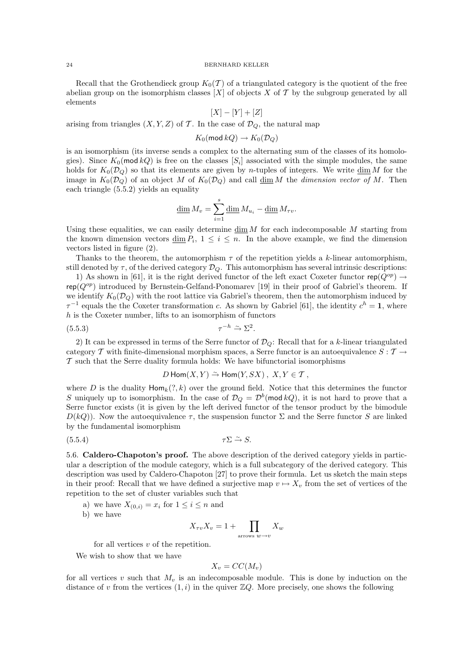Recall that the Grothendieck group  $K_0(\mathcal{T})$  of a triangulated category is the quotient of the free abelian group on the isomorphism classes  $[X]$  of objects X of T by the subgroup generated by all elements

$$
[X] - [Y] + [Z]
$$

arising from triangles  $(X, Y, Z)$  of T. In the case of  $\mathcal{D}_Q$ , the natural map

 $K_0$ (mod  $kQ$ )  $\rightarrow K_0(\mathcal{D}_Q)$ 

is an isomorphism (its inverse sends a complex to the alternating sum of the classes of its homologies). Since  $K_0(\text{mod } kQ)$  is free on the classes  $[S_i]$  associated with the simple modules, the same holds for  $K_0(\mathcal{D}_Q)$  so that its elements are given by *n*-tuples of integers. We write dim M for the image in  $K_0(\mathcal{D}_Q)$  of an object M of  $K_0(\mathcal{D}_Q)$  and call  $\dim M$  the *dimension vector of M*. Then each triangle (5.5.2) yields an equality

$$
\underline{\dim} M_v = \sum_{i=1}^s \underline{\dim} M_{u_i} - \underline{\dim} M_{\tau v}.
$$

Using these equalities, we can easily determine  $\dim M$  for each indecomposable M starting from the known dimension vectors  $\underline{\dim} P_i$ ,  $1 \leq i \leq n$ . In the above example, we find the dimension vectors listed in figure (2).

Thanks to the theorem, the automorphism  $\tau$  of the repetition yields a k-linear automorphism, still denoted by  $\tau$ , of the derived category  $\mathcal{D}_Q$ . This automorphism has several intrinsic descriptions:

1) As shown in [61], it is the right derived functor of the left exact Coxeter functor  $\mathsf{rep}(Q^{op}) \to$  $\text{rep}(Q^{op})$  introduced by Bernstein-Gelfand-Ponomarev [19] in their proof of Gabriel's theorem. If we identify  $K_0(\mathcal{D}_Q)$  with the root lattice via Gabriel's theorem, then the automorphism induced by  $\tau^{-1}$  equals the the Coxeter transformation c. As shown by Gabriel [61], the identity  $c^h = 1$ , where  $h$  is the Coxeter number, lifts to an isomorphism of functors

$$
\tau^{-h} \xrightarrow{\sim} \Sigma^2.
$$

2) It can be expressed in terms of the Serre functor of  $\mathcal{D}_Q$ : Recall that for a k-linear triangulated category  $T$  with finite-dimensional morphism spaces, a Serre functor is an autoequivalence  $S: T \rightarrow$  $\mathcal T$  such that the Serre duality formula holds: We have bifunctorial isomorphisms

$$
D\operatorname{Hom}(X,Y)\stackrel{\sim}{\to}\operatorname{Hom}(Y, SX)\,,\;X,Y\in\mathcal{T}\,,
$$

where D is the duality  $\text{Hom}_k(?, k)$  over the ground field. Notice that this determines the functor S uniquely up to isomorphism. In the case of  $\mathcal{D}_Q = \mathcal{D}^b(\text{mod } kQ)$ , it is not hard to prove that a Serre functor exists (it is given by the left derived functor of the tensor product by the bimodule  $D(kQ)$ . Now the autoequivalence  $\tau$ , the suspension functor  $\Sigma$  and the Serre functor S are linked by the fundamental isomorphism

$$
(5.5.4) \t\t \tau\Sigma \stackrel{\sim}{\rightarrow} S.
$$

5.6. Caldero-Chapoton's proof. The above description of the derived category yields in particular a description of the module category, which is a full subcategory of the derived category. This description was used by Caldero-Chapoton [27] to prove their formula. Let us sketch the main steps in their proof: Recall that we have defined a surjective map  $v \mapsto X_v$  from the set of vertices of the repetition to the set of cluster variables such that

- a) we have  $X_{(0,i)} = x_i$  for  $1 \leq i \leq n$  and
- b) we have

$$
X_{\tau v} X_v = 1 + \prod_{\text{arrows } w \to v} X_w
$$

for all vertices v of the repetition.

We wish to show that we have

$$
X_v = CC(M_v)
$$

for all vertices v such that  $M_v$  is an indecomposable module. This is done by induction on the distance of v from the vertices  $(1, i)$  in the quiver  $\mathbb{Z}Q$ . More precisely, one shows the following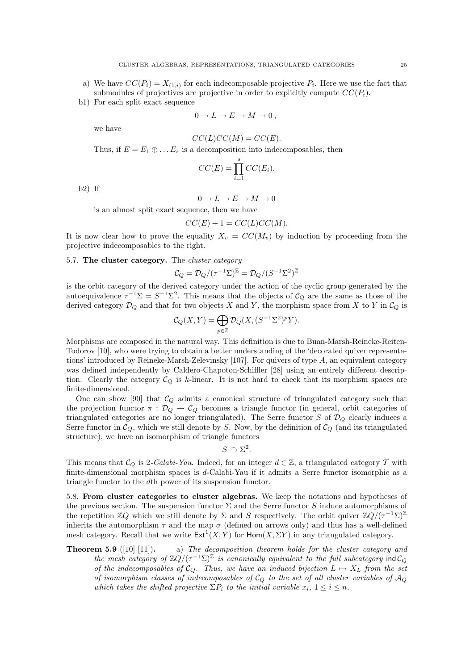- a) We have  $CC(P_i) = X_{(1,i)}$  for each indecomposable projective  $P_i$ . Here we use the fact that submodules of projectives are projective in order to explicitly compute  $CC(P_i)$ .
- b1) For each split exact sequence

$$
0 \to L \to E \to M \to 0 ,
$$

we have

$$
CC(L)CC(M) = CC(E).
$$

Thus, if  $E = E_1 \oplus \ldots E_s$  is a decomposition into indecomposables, then

$$
CC(E) = \prod_{i=1}^{s} CC(E_i).
$$

b2) If

$$
0\to L\to E\to M\to 0
$$

is an almost split exact sequence, then we have

$$
CC(E) + 1 = CC(L)CC(M).
$$

It is now clear how to prove the equality  $X_v = CC(M_v)$  by induction by proceeding from the projective indecomposables to the right.

5.7. The cluster category. The *cluster category* 

$$
\mathcal{C}_Q = \mathcal{D}_Q/(\tau^{-1}\Sigma)^{\mathbb{Z}} = \mathcal{D}_Q/(S^{-1}\Sigma^2)^{\mathbb{Z}}
$$

is the orbit category of the derived category under the action of the cyclic group generated by the autoequivalence  $\tau^{-1}\Sigma = S^{-1}\Sigma^2$ . This means that the objects of  $\mathcal{C}_Q$  are the same as those of the derived category  $\mathcal{D}_Q$  and that for two objects X and Y, the morphism space from X to Y in  $\mathcal{C}_Q$  is

$$
\mathcal{C}_Q(X,Y) = \bigoplus_{p \in \mathbb{Z}} \mathcal{D}_Q(X, (S^{-1} \Sigma^2)^p Y).
$$

Morphisms are composed in the natural way. This definition is due to Buan-Marsh-Reineke-Reiten-Todorov [10], who were trying to obtain a better understanding of the 'decorated quiver representations' introduced by Reineke-Marsh-Zelevinsky [107]. For quivers of type A, an equivalent category was defined independently by Caldero-Chapoton-Schiffler [28] using an entirely different description. Clearly the category  $C_Q$  is k-linear. It is not hard to check that its morphism spaces are finite-dimensional.

One can show [90] that  $\mathcal{C}_Q$  admits a canonical structure of triangulated category such that the projection functor  $\pi$ :  $\mathcal{D}_{Q} \rightarrow \mathcal{C}_{Q}$  becomes a triangle functor (in general, orbit categories of triangulated categories are no longer triangulated). The Serre functor  $S$  of  $\mathcal{D}_Q$  clearly induces a Serre functor in  $C_Q$ , which we still denote by S. Now, by the definition of  $C_Q$  (and its triangulated structure), we have an isomorphism of triangle functors

$$
S \xrightarrow{\sim} \Sigma^2.
$$

This means that  $C_Q$  is 2-Calabi-Yau. Indeed, for an integer  $d \in \mathbb{Z}$ , a triangulated category T with finite-dimensional morphism spaces is d-Calabi-Yau if it admits a Serre functor isomorphic as a triangle functor to the dth power of its suspension functor.

5.8. From cluster categories to cluster algebras. We keep the notations and hypotheses of the previous section. The suspension functor  $\Sigma$  and the Serre functor S induce automorphisms of the repetition  $\mathbb{Z}Q$  which we still denote by  $\Sigma$  and S respectively. The orbit quiver  $\mathbb{Z}Q/(\tau^{-1}\Sigma)^{\mathbb{Z}}$ inherits the automorphism  $\tau$  and the map  $\sigma$  (defined on arrows only) and thus has a well-defined mesh category. Recall that we write  $Ext^1(X, Y)$  for  $Hom(X, \Sigma Y)$  in any triangulated category.

**Theorem 5.9** ([10] [11]). a) The decomposition theorem holds for the cluster category and the mesh category of  $\mathbb{Z}Q/(\tau^{-1}\Sigma)^{\mathbb{Z}}$  is canonically equivalent to the full subcategory ind  $\mathcal{C}_Q$ of the indecomposables of  $C_Q$ . Thus, we have an induced bijection  $L \mapsto X_L$  from the set of isomorphism classes of indecomposables of  $C_Q$  to the set of all cluster variables of  $A_Q$ which takes the shifted projective  $\Sigma P_i$  to the initial variable  $x_i, 1 \leq i \leq n$ .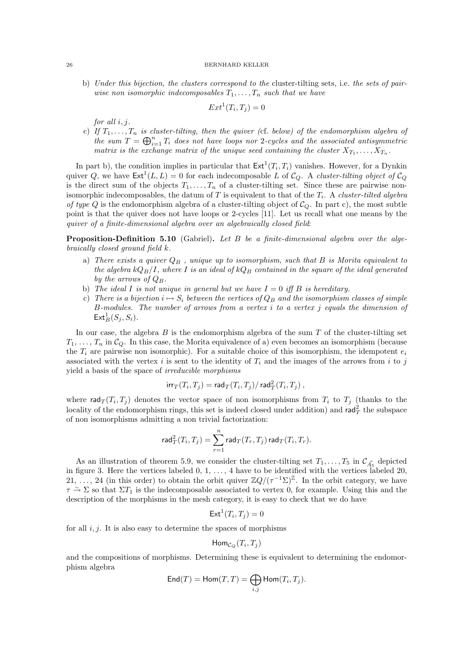#### 26 BERNHARD KELLER

b) Under this bijection, the clusters correspond to the cluster-tilting sets, i.e. the sets of pairwise non isomorphic indecomposables  $T_1, \ldots, T_n$  such that we have

$$
Ext^1(T_i, T_j) = 0
$$

for all  $i, j$ .

c) If  $T_1, \ldots, T_n$  is cluster-tilting, then the quiver (cf. below) of the endomorphism algebra of the sum  $T = \bigoplus_{i=1}^n T_i$  does not have loops nor 2-cycles and the associated antisymmetric matrix is the exchange matrix of the unique seed containing the cluster  $X_{T_1}, \ldots, X_{T_n}$ .

In part b), the condition implies in particular that  $\text{Ext}^1(T_i, T_i)$  vanishes. However, for a Dynkin quiver Q, we have  $\text{Ext}^1(L, L) = 0$  for each indecomposable L of  $\mathcal{C}_Q$ . A cluster-tilting object of  $\mathcal{C}_Q$ is the direct sum of the objects  $T_1, \ldots, T_n$  of a cluster-tilting set. Since these are pairwise nonisomorphic indecomposables, the datum of T is equivalent to that of the  $T_i$ . A cluster-tilted algebra of type Q is the endomorphism algebra of a cluster-tilting object of  $\mathcal{C}_Q$ . In part c), the most subtle point is that the quiver does not have loops or 2-cycles [11]. Let us recall what one means by the quiver of a finite-dimensional algebra over an algebraically closed field:

**Proposition-Definition 5.10** (Gabriel). Let  $B$  be a finite-dimensional algebra over the algebraically closed ground field k.

- a) There exists a quiver  $Q_B$ , unique up to isomorphism, such that B is Morita equivalent to the algebra  $kQ_B/I$ , where I is an ideal of  $kQ_B$  contained in the square of the ideal generated by the arrows of  $Q_B$ .
- b) The ideal I is not unique in general but we have  $I = 0$  iff B is hereditary.
- c) There is a bijection  $i \mapsto S_i$  between the vertices of  $Q_B$  and the isomorphism classes of simple B-modules. The number of arrows from a vertex  $i$  to a vertex  $j$  equals the dimension of  $\mathsf{Ext}^1_B(S_j, S_i).$

In our case, the algebra  $B$  is the endomorphism algebra of the sum  $T$  of the cluster-tilting set  $T_1, \ldots, T_n$  in  $C_Q$ . In this case, the Morita equivalence of a) even becomes an isomorphism (because the  $T_i$  are pairwise non isomorphic). For a suitable choice of this isomorphism, the idempotent  $e_i$ associated with the vertex i is sent to the identity of  $T_i$  and the images of the arrows from i to j yield a basis of the space of irreducible morphisms

$$
\mathsf{irr}_T(T_i,T_j) = \mathsf{rad}_T(T_i,T_j) / \mathsf{rad}_T^2(T_i,T_j) \, ,
$$

where rad $_T(T_i, T_j)$  denotes the vector space of non isomorphisms from  $T_i$  to  $T_j$  (thanks to the locality of the endomorphism rings, this set is indeed closed under addition) and  $\text{rad}_T^2$  the subspace of non isomorphisms admitting a non trivial factorization:

$$
\mathsf{rad}^2_T(T_i,T_j) = \sum_{r=1}^n \mathsf{rad}_T(T_r,T_j) \mathsf{\,rad}_T(T_i,T_r).
$$

As an illustration of theorem 5.9, we consider the cluster-tilting set  $T_1, \ldots, T_5$  in  $\mathcal{C}_{\vec{A}_5}$  depicted in figure 3. Here the vertices labeled  $0, 1, \ldots, 4$  have to be identified with the vertices labeled 20, 21, ..., 24 (in this order) to obtain the orbit quiver  $\mathbb{Z}Q/(\tau^{-1}\Sigma)^{\mathbb{Z}}$ . In the orbit category, we have  $\tau \stackrel{\sim}{\to} \Sigma$  so that  $\Sigma T_1$  is the indecomposable associated to vertex 0, for example. Using this and the description of the morphisms in the mesh category, it is easy to check that we do have

$$
\mathsf{Ext}^1(T_i,T_j)=0
$$

for all  $i, j$ . It is also easy to determine the spaces of morphisms

$$
\mathsf{Hom}_{\mathcal{C}_Q}(T_i,T_j)
$$

and the compositions of morphisms. Determining these is equivalent to determining the endomorphism algebra

$$
\mathsf{End}(T)=\mathsf{Hom}(T,T)=\bigoplus_{i,j}\mathsf{Hom}(T_i,T_j).
$$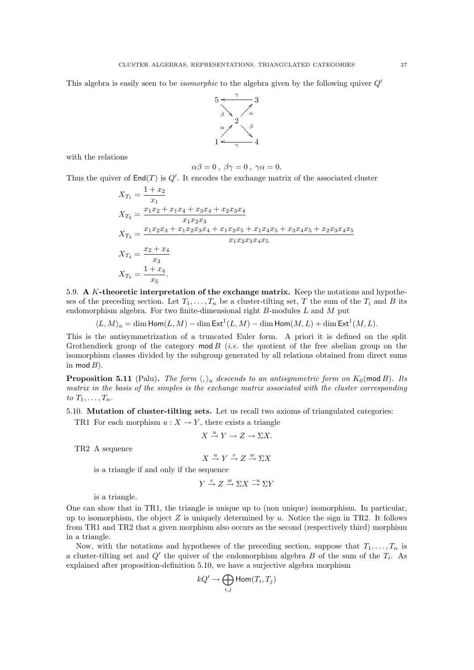This algebra is easily seen to be *isomorphic* to the algebra given by the following quiver  $Q'$ 



with the relations

$$
\alpha\beta = 0 \ , \ \beta\gamma = 0 \ , \ \gamma\alpha = 0.
$$

Thus the quiver of  $\textsf{End}(T)$  is  $Q'$ . It encodes the exchange matrix of the associated cluster  $1 + \alpha$ 

$$
X_{T_1} = \frac{1 + x_2}{x_1}
$$
  
\n
$$
X_{T_2} = \frac{x_1 x_2 + x_1 x_4 + x_3 x_4 + x_2 x_3 x_4}{x_1 x_2 x_3}
$$
  
\n
$$
X_{T_3} = \frac{x_1 x_2 x_3 + x_1 x_2 x_3 x_4 + x_1 x_2 x_5 + x_1 x_4 x_5 + x_3 x_4 x_5 + x_2 x_3 x_4 x_5}{x_1 x_2 x_3 x_4 x_5}
$$
  
\n
$$
X_{T_4} = \frac{x_2 + x_4}{x_3}
$$
  
\n
$$
X_{T_5} = \frac{1 + x_4}{x_5}.
$$

5.9. A K-theoretic interpretation of the exchange matrix. Keep the notations and hypotheses of the preceding section. Let  $T_1, \ldots, T_n$  be a cluster-tilting set, T the sum of the  $T_i$  and B its endomorphism algebra. For two finite-dimensional right  $B$ -modules  $L$  and  $M$  put

 $\langle L, M \rangle_a = \dim \textsf{Hom}(L, M) - \dim \textsf{Ext}^1(L, M) - \dim \textsf{Hom}(M, L) + \dim \textsf{Ext}^1(M, L).$ 

This is the antisymmetrization of a truncated Euler form. A priori it is defined on the split Grothendieck group of the category  $mod B$  (*i.e.* the quotient of the free abelian group on the isomorphism classes divided by the subgroup generated by all relations obtained from direct sums in mod  $B$ ).

**Proposition 5.11** (Palu). The form  $\langle \cdot \rangle_a$  descends to an antisymmetric form on  $K_0(\text{mod } B)$ . Its matrix in the basis of the simples is the exchange matrix associated with the cluster corresponding to  $T_1, \ldots, T_n$ .

5.10. Mutation of cluster-tilting sets. Let us recall two axioms of triangulated categories:

TR1 For each morphism  $u : X \to Y$ , there exists a triangle

$$
X \xrightarrow{u} Y \to Z \to \Sigma X.
$$

TR2 A sequence

 $X \stackrel{u}{\rightarrow} Y \stackrel{v}{\rightarrow} Z \stackrel{w}{\rightarrow} \Sigma X$ 

is a triangle if and only if the sequence

$$
Y \xrightarrow{v} Z \xrightarrow{w} \Sigma X \xrightarrow{-u} \Sigma Y
$$

is a triangle.

One can show that in TR1, the triangle is unique up to (non unique) isomorphism. In particular, up to isomorphism, the object  $Z$  is uniquely determined by  $u$ . Notice the sign in TR2. It follows from TR1 and TR2 that a given morphism also occurs as the second (respectively third) morphism in a triangle.

Now, with the notations and hypotheses of the preceding section, suppose that  $T_1, \ldots, T_n$  is a cluster-tilting set and  $Q'$  the quiver of the endomorphism algebra B of the sum of the  $T_i$ . As explained after proposition-definition 5.10, we have a surjective algebra morphism

$$
kQ' \to \bigoplus_{i,j} \operatorname{Hom}(T_i,T_j)
$$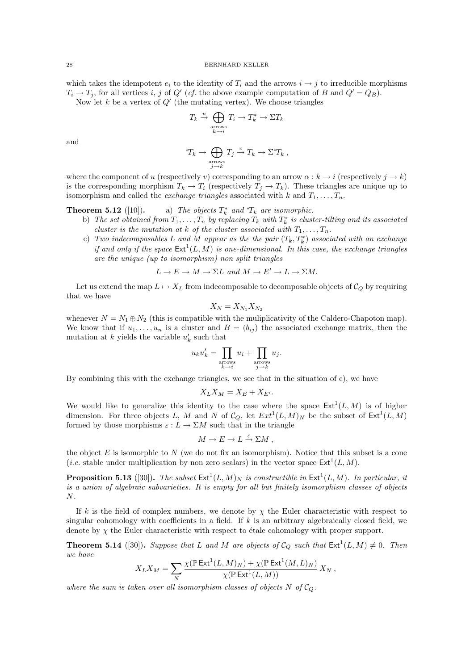## 28 BERNHARD KELLER

which takes the idempotent  $e_i$  to the identity of  $T_i$  and the arrows  $i \rightarrow j$  to irreducible morphisms  $T_i \rightarrow T_j$ , for all vertices i, j of Q' (cf. the above example computation of B and  $Q' = Q_B$ ).

Now let k be a vertex of  $Q'$  (the mutating vertex). We choose triangles

$$
T_k \xrightarrow{u} \bigoplus_{\substack{\text{arrows} \\ k \to i}} T_i \to T_k^* \to \Sigma T_k
$$

and

$$
{}^*\!T_k \to \bigoplus_{\substack{\text{arrows}\\j \to k}} T_j \stackrel{v}{\to} T_k \to \Sigma^* T_k ,
$$

where the component of u (respectively v) corresponding to an arrow  $\alpha : k \to i$  (respectively  $j \to k$ ) is the corresponding morphism  $T_k \to T_i$  (respectively  $T_j \to T_k$ ). These triangles are unique up to isomorphism and called the *exchange triangles* associated with k and  $T_1, \ldots, T_n$ .

#### Theorem 5.12  $([10])$ .  $k^*$  and  ${}^*\!T_k$  are isomorphic.

- b) The set obtained from  $T_1, \ldots, T_n$  by replacing  $T_k$  with  $T_k^*$  is cluster-tilting and its associated cluster is the mutation at k of the cluster associated with  $T_1, \ldots, T_n$ .
- c) Two indecomposables L and M appear as the the pair  $(T_k, T_k^*)$  associated with an exchange if and only if the space  $\mathsf{Ext}^1(L,M)$  is one-dimensional. In this case, the exchange triangles are the unique (up to isomorphism) non split triangles

$$
L\to E\to M\to \Sigma L\ \ and\ M\to E'\to L\to \Sigma M.
$$

Let us extend the map  $L \mapsto X_L$  from indecomposable to decomposable objects of  $\mathcal{C}_Q$  by requiring that we have

$$
X_N = X_{N_1} X_{N_2}
$$

whenever  $N = N_1 \oplus N_2$  (this is compatible with the muliplicativity of the Caldero-Chapoton map). We know that if  $u_1, \ldots, u_n$  is a cluster and  $B = (b_{ij})$  the associated exchange matrix, then the mutation at k yields the variable  $u'_k$  such that

$$
u_k u'_k = \prod_{\substack{\text{arrows} \\ k \to i}} u_i + \prod_{\substack{\text{arrows} \\ j \to k}} u_j.
$$

By combining this with the exchange triangles, we see that in the situation of c), we have

$$
X_L X_M = X_E + X_{E'}.
$$

We would like to generalize this identity to the case where the space  $\text{Ext}^1(L,M)$  is of higher dimension. For three objects L, M and N of  $C_Q$ , let  $Ext^1(L,M)_N$  be the subset of  $Ext^1(L,M)$ formed by those morphisms  $\varepsilon : L \to \Sigma M$  such that in the triangle

$$
M \to E \to L \xrightarrow{\varepsilon} \Sigma M ,
$$

the object  $E$  is isomorphic to  $N$  (we do not fix an isomorphism). Notice that this subset is a cone (*i.e.* stable under multiplication by non zero scalars) in the vector space  $\text{Ext}^1(L, M)$ .

**Proposition 5.13** ([30]). The subset  $Ext^1(L,M)_N$  is constructible in  $Ext^1(L,M)$ . In particular, it is a union of algebraic subvarieties. It is empty for all but finitely isomorphism classes of objects N.

If k is the field of complex numbers, we denote by  $\chi$  the Euler characteristic with respect to singular cohomology with coefficients in a field. If  $k$  is an arbitrary algebraically closed field, we denote by  $\chi$  the Euler characteristic with respect to étale cohomology with proper support.

**Theorem 5.14** ([30]). Suppose that L and M are objects of  $C_Q$  such that  $Ext^1(L, M) \neq 0$ . Then we have

$$
X_L X_M = \sum_N \frac{\chi(\mathbb{P} \operatorname{Ext}^1(L, M)_N) + \chi(\mathbb{P} \operatorname{Ext}^1(M, L)_N)}{\chi(\mathbb{P} \operatorname{Ext}^1(L, M))} X_N,
$$

where the sum is taken over all isomorphism classes of objects N of  $\mathcal{C}_{\mathcal{O}}$ .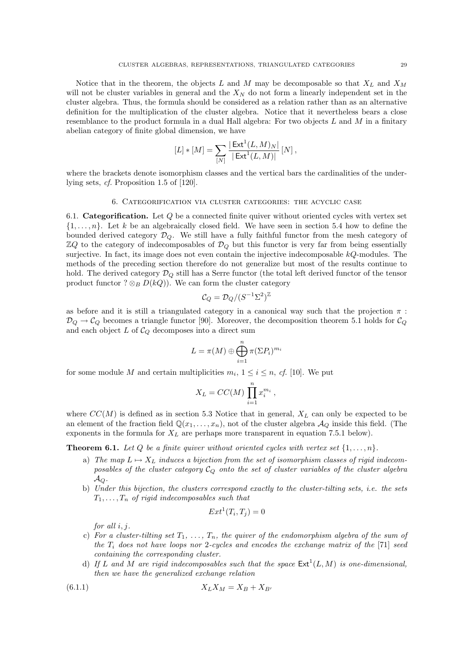Notice that in the theorem, the objects L and M may be decomposable so that  $X_L$  and  $X_M$ will not be cluster variables in general and the  $X_N$  do not form a linearly independent set in the cluster algebra. Thus, the formula should be considered as a relation rather than as an alternative definition for the multiplication of the cluster algebra. Notice that it nevertheless bears a close resemblance to the product formula in a dual Hall algebra: For two objects  $L$  and  $M$  in a finitary abelian category of finite global dimension, we have

$$
[L] * [M] = \sum_{[N]} \frac{|\operatorname{Ext}^1(L,M)_N|}{|\operatorname{Ext}^1(L,M)|} [N] \ ,
$$

where the brackets denote isomorphism classes and the vertical bars the cardinalities of the underlying sets, cf. Proposition 1.5 of [120].

#### 6. Categorification via cluster categories: the acyclic case

6.1. Categorification. Let  $Q$  be a connected finite quiver without oriented cycles with vertex set  $\{1,\ldots,n\}$ . Let k be an algebraically closed field. We have seen in section 5.4 how to define the bounded derived category  $\mathcal{D}_Q$ . We still have a fully faithful functor from the mesh category of  $\mathbb{Z}Q$  to the category of indecomposables of  $\mathcal{D}_Q$  but this functor is very far from being essentially surjective. In fact, its image does not even contain the injective indecomposable kQ-modules. The methods of the preceding section therefore do not generalize but most of the results continue to hold. The derived category  $\mathcal{D}_Q$  still has a Serre functor (the total left derived functor of the tensor product functor ?  $\otimes_B D(kQ)$ . We can form the cluster category

$$
\mathcal{C}_Q = \mathcal{D}_Q / (S^{-1} \Sigma^2)^{\mathbb{Z}}
$$

as before and it is still a triangulated category in a canonical way such that the projection  $\pi$ :  $\mathcal{D}_Q \to \mathcal{C}_Q$  becomes a triangle functor [90]. Moreover, the decomposition theorem 5.1 holds for  $\mathcal{C}_Q$ and each object  $L$  of  $\mathcal{C}_Q$  decomposes into a direct sum

$$
L = \pi(M) \oplus \bigoplus_{i=1}^{n} \pi(\Sigma P_i)^{m_i}
$$

for some module M and certain multiplicities  $m_i$ ,  $1 \le i \le n$ , cf. [10]. We put

$$
X_L = CC(M) \prod_{i=1}^n x_i^{m_i},
$$

where  $CC(M)$  is defined as in section 5.3 Notice that in general,  $X_L$  can only be expected to be an element of the fraction field  $\mathbb{Q}(x_1,\ldots,x_n)$ , not of the cluster algebra  $\mathcal{A}_Q$  inside this field. (The exponents in the formula for  $X_L$  are perhaps more transparent in equation 7.5.1 below).

**Theorem 6.1.** Let Q be a finite quiver without oriented cycles with vertex set  $\{1, \ldots, n\}$ .

- a) The map  $L \mapsto X_L$  induces a bijection from the set of isomorphism classes of rigid indecomposables of the cluster category  $C_Q$  onto the set of cluster variables of the cluster algebra  $\mathcal{A}_O$  .
- b) Under this bijection, the clusters correspond exactly to the cluster-tilting sets, i.e. the sets  $T_1, \ldots, T_n$  of rigid indecomposables such that

$$
Ext^1(T_i, T_j) = 0
$$

for all  $i, j$ .

- c) For a cluster-tilting set  $T_1, \ldots, T_n$ , the quiver of the endomorphism algebra of the sum of the  $T_i$  does not have loops nor 2-cycles and encodes the exchange matrix of the [71] seed containing the corresponding cluster.
- d) If L and M are rigid indecomposables such that the space  $\text{\textsf{Ext}}^1(L,M)$  is one-dimensional, then we have the generalized exchange relation

(6.1.1) XLX<sup>M</sup> = X<sup>B</sup> + XB<sup>0</sup>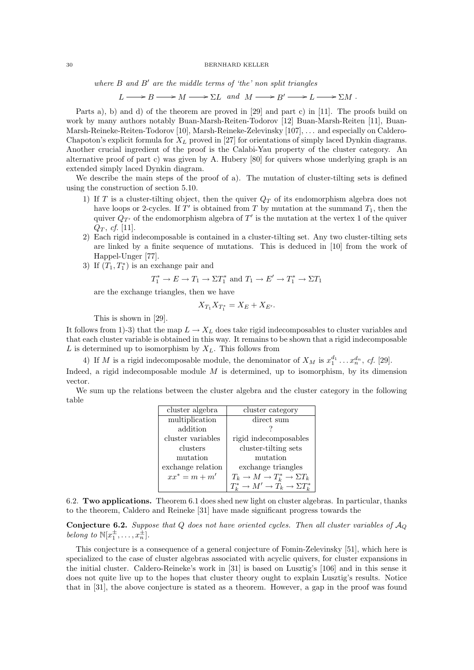## 30 BERNHARD KELLER

where  $B$  and  $B'$  are the middle terms of 'the' non split triangles

$$
L \longrightarrow B \longrightarrow M \longrightarrow \Sigma L \text{ and } M \longrightarrow B' \longrightarrow L \longrightarrow \Sigma M .
$$

Parts a), b) and d) of the theorem are proved in [29] and part c) in [11]. The proofs build on work by many authors notably Buan-Marsh-Reiten-Todorov [12] Buan-Marsh-Reiten [11], Buan-Marsh-Reineke-Reiten-Todorov [10], Marsh-Reineke-Zelevinsky [107], . . . and especially on Caldero-Chapoton's explicit formula for  $X_L$  proved in [27] for orientations of simply laced Dynkin diagrams. Another crucial ingredient of the proof is the Calabi-Yau property of the cluster category. An alternative proof of part c) was given by A. Hubery [80] for quivers whose underlying graph is an extended simply laced Dynkin diagram.

We describe the main steps of the proof of a). The mutation of cluster-tilting sets is defined using the construction of section 5.10.

- 1) If T is a cluster-tilting object, then the quiver  $Q_T$  of its endomorphism algebra does not have loops or 2-cycles. If  $T'$  is obtained from T by mutation at the summand  $T_1$ , then the quiver  $Q_{T'}$  of the endomorphism algebra of  $T'$  is the mutation at the vertex 1 of the quiver  $Q_T$ , cf. [11].
- 2) Each rigid indecomposable is contained in a cluster-tilting set. Any two cluster-tilting sets are linked by a finite sequence of mutations. This is deduced in [10] from the work of Happel-Unger [77].
- 3) If  $(T_1, T_1^*)$  is an exchange pair and

$$
T_1^* \to E \to T_1 \to \Sigma T_1^*
$$
 and  $T_1 \to E' \to T_1^* \to \Sigma T_1$ 

are the exchange triangles, then we have

$$
X_{T_1} X_{T_1^*} = X_E + X_{E'}.
$$

This is shown in [29].

It follows from 1)-3) that the map  $L \to X_L$  does take rigid indecomposables to cluster variables and that each cluster variable is obtained in this way. It remains to be shown that a rigid indecomposable L is determined up to isomorphism by  $X_L$ . This follows from

4) If M is a rigid indecomposable module, the denominator of  $X_M$  is  $x_1^{d_1} \ldots x_n^{d_n}$ , cf. [29].

Indeed, a rigid indecomposable module  $M$  is determined, up to isomorphism, by its dimension vector.

We sum up the relations between the cluster algebra and the cluster category in the following table

| cluster algebra   | cluster category                        |
|-------------------|-----------------------------------------|
| multiplication    | direct sum                              |
| addition          |                                         |
| cluster variables | rigid indecomposables                   |
| clusters          | cluster-tilting sets                    |
| mutation          | mutation                                |
| exchange relation | exchange triangles                      |
| $xx^* = m + m'$   | $T_k \to M \to T_k^* \to \Sigma T_k$    |
|                   | $T_k^* \to M' \to T_k \to \Sigma T_k^*$ |

6.2. Two applications. Theorem 6.1 does shed new light on cluster algebras. In particular, thanks to the theorem, Caldero and Reineke [31] have made significant progress towards the

**Conjecture 6.2.** Suppose that Q does not have oriented cycles. Then all cluster variables of  $\mathcal{A}_{\mathcal{Q}}$ belong to  $\mathbb{N}[x_1^{\pm}, \ldots, x_n^{\pm}].$ 

This conjecture is a consequence of a general conjecture of Fomin-Zelevinsky [51], which here is specialized to the case of cluster algebras associated with acyclic quivers, for cluster expansions in the initial cluster. Caldero-Reineke's work in [31] is based on Lusztig's [106] and in this sense it does not quite live up to the hopes that cluster theory ought to explain Lusztig's results. Notice that in [31], the above conjecture is stated as a theorem. However, a gap in the proof was found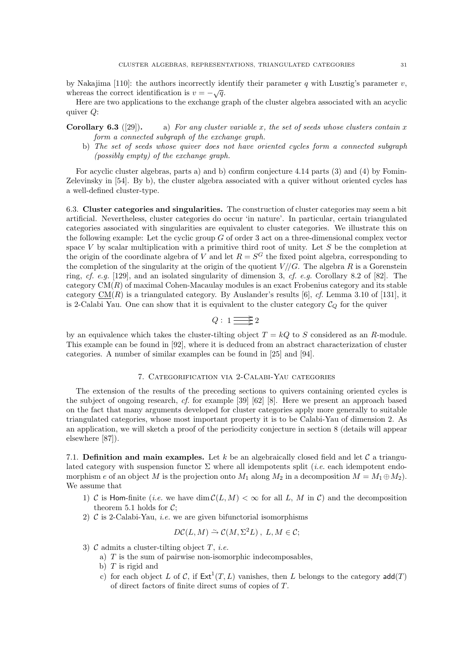by Nakajima [110]: the authors incorrectly identify their parameter q with Lusztig's parameter  $v$ , whereas the correct identification is  $v = -\sqrt{q}$ .

Here are two applications to the exchange graph of the cluster algebra associated with an acyclic quiver Q:

**Corollary 6.3** ([29]). a) For any cluster variable x, the set of seeds whose clusters contain x form a connected subgraph of the exchange graph.

b) The set of seeds whose quiver does not have oriented cycles form a connected subgraph (possibly empty) of the exchange graph.

For acyclic cluster algebras, parts a) and b) confirm conjecture 4.14 parts (3) and (4) by Fomin-Zelevinsky in [54]. By b), the cluster algebra associated with a quiver without oriented cycles has a well-defined cluster-type.

6.3. Cluster categories and singularities. The construction of cluster categories may seem a bit artificial. Nevertheless, cluster categories do occur 'in nature'. In particular, certain triangulated categories associated with singularities are equivalent to cluster categories. We illustrate this on the following example: Let the cyclic group  $G$  of order 3 act on a three-dimensional complex vector space  $V$  by scalar multiplication with a primitive third root of unity. Let  $S$  be the completion at the origin of the coordinate algebra of V and let  $R = S^G$  the fixed point algebra, corresponding to the completion of the singularity at the origin of the quotient  $V/\sqrt{G}$ . The algebra R is a Gorenstein ring, cf. e.g. [129], and an isolated singularity of dimension 3, cf. e.g. Corollary 8.2 of [82]. The category  $CM(R)$  of maximal Cohen-Macaulay modules is an exact Frobenius category and its stable category  $\underline{CM}(R)$  is a triangulated category. By Auslander's results [6], cf. Lemma 3.10 of [131], it is 2-Calabi Yau. One can show that it is equivalent to the cluster category  $\mathcal{C}_Q$  for the quiver

$$
Q: 1 \longrightarrow 2
$$

by an equivalence which takes the cluster-tilting object  $T = kQ$  to S considered as an R-module. This example can be found in [92], where it is deduced from an abstract characterization of cluster categories. A number of similar examples can be found in [25] and [94].

#### 7. Categorification via 2-Calabi-Yau categories

The extension of the results of the preceding sections to quivers containing oriented cycles is the subject of ongoing research, cf. for example [39] [62] [8]. Here we present an approach based on the fact that many arguments developed for cluster categories apply more generally to suitable triangulated categories, whose most important property it is to be Calabi-Yau of dimension 2. As an application, we will sketch a proof of the periodicity conjecture in section 8 (details will appear elsewhere [87]).

7.1. Definition and main examples. Let k be an algebraically closed field and let  $\mathcal C$  a triangulated category with suspension functor  $\Sigma$  where all idempotents split (*i.e.* each idempotent endomorphism e of an object M is the projection onto  $M_1$  along  $M_2$  in a decomposition  $M = M_1 \oplus M_2$ . We assume that

- 1) C is Hom-finite (*i.e.* we have dim  $\mathcal{C}(L, M) < \infty$  for all L, M in C) and the decomposition theorem 5.1 holds for  $C$ ;
- 2)  $\mathcal C$  is 2-Calabi-Yau, *i.e.* we are given bifunctorial isomorphisms

$$
D\mathcal{C}(L,M) \xrightarrow{\sim} \mathcal{C}(M,\Sigma^2 L), L,M \in \mathcal{C};
$$

- 3)  $\mathcal C$  admits a cluster-tilting object  $T$ , *i.e.* 
	- a)  $T$  is the sum of pairwise non-isomorphic indecomposables,
	- b)  $T$  is rigid and
	- c) for each object L of C, if  $\mathsf{Ext}^1(T, L)$  vanishes, then L belongs to the category  $\mathsf{add}(T)$ of direct factors of finite direct sums of copies of T.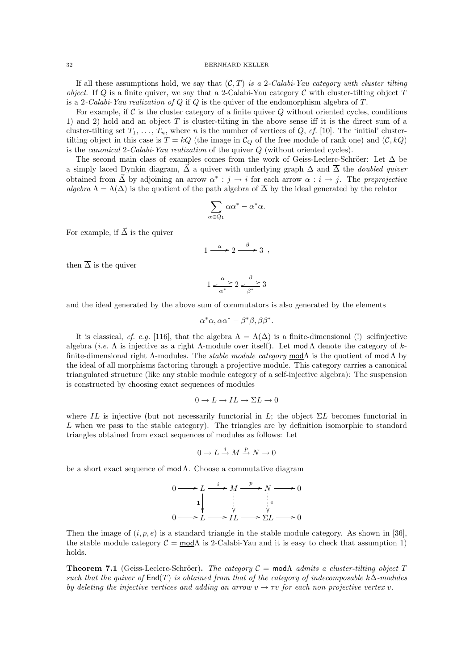If all these assumptions hold, we say that  $(C, T)$  is a 2-Calabi-Yau category with cluster tilting object. If Q is a finite quiver, we say that a 2-Calabi-Yau category C with cluster-tilting object  $T$ is a 2-Calabi-Yau realization of Q if Q is the quiver of the endomorphism algebra of  $T$ .

For example, if  $\mathcal C$  is the cluster category of a finite quiver  $Q$  without oriented cycles, conditions 1) and 2) hold and an object  $T$  is cluster-tilting in the above sense iff it is the direct sum of a cluster-tilting set  $T_1, \ldots, T_n$ , where n is the number of vertices of Q, cf. [10]. The 'initial' clustertilting object in this case is  $T = kQ$  (the image in  $C_Q$  of the free module of rank one) and  $(C, kQ)$ is the *canonical*  $2$ -*Calabi-Yau realization* of the quiver  $Q$  (without oriented cycles).

The second main class of examples comes from the work of Geiss-Leclerc-Schröer: Let  $\Delta$  be a simply laced Dynkin diagram,  $\vec{\Delta}$  a quiver with underlying graph  $\Delta$  and  $\vec{\Delta}$  the *doubled quiver* obtained from  $\vec{\Delta}$  by adjoining an arrow  $\alpha^* : j \to i$  for each arrow  $\alpha : i \to j$ . The preprojective algebra  $\Lambda = \Lambda(\Delta)$  is the quotient of the path algebra of  $\overline{\Delta}$  by the ideal generated by the relator

$$
\sum_{\alpha \in Q_1} \alpha \alpha^* - \alpha^* \alpha.
$$

For example, if  $\vec{\Delta}$  is the quiver

$$
1 \xrightarrow{\alpha} 2 \xrightarrow{\beta} 3 ,
$$

then  $\overline{\Delta}$  is the quiver

$$
1 \xrightarrow[\alpha^*]{\alpha^*} 2 \xrightarrow[\beta^*]{\beta^*} 3
$$

and the ideal generated by the above sum of commutators is also generated by the elements

$$
\alpha^*\alpha, \alpha\alpha^* - \beta^*\beta, \beta\beta^*.
$$

It is classical, cf. e.g. [116], that the algebra  $\Lambda = \Lambda(\Delta)$  is a finite-dimensional (!) selfinjective algebra (*i.e.*  $\Lambda$  is injective as a right  $\Lambda$ -module over itself). Let mod  $\Lambda$  denote the category of kfinite-dimensional right Λ-modules. The *stable module category* mod $\Lambda$  is the quotient of mod  $\Lambda$  by the ideal of all morphisms factoring through a projective module. This category carries a canonical triangulated structure (like any stable module category of a self-injective algebra): The suspension is constructed by choosing exact sequences of modules

$$
0\to L\to IL\to\Sigma L\to 0
$$

where IL is injective (but not necessarily functorial in L; the object  $\Sigma L$  becomes functorial in L when we pass to the stable category). The triangles are by definition isomorphic to standard triangles obtained from exact sequences of modules as follows: Let

$$
0 \to L \xrightarrow{i} M \xrightarrow{p} N \to 0
$$

be a short exact sequence of modΛ. Choose a commutative diagram

$$
0 \longrightarrow L \longrightarrow M \longrightarrow N \longrightarrow 0
$$
  
\n
$$
1 \downarrow \qquad \qquad \downarrow e
$$
  
\n
$$
0 \longrightarrow L \longrightarrow IL \longrightarrow \Sigma L \longrightarrow 0
$$

Then the image of  $(i, p, e)$  is a standard triangle in the stable module category. As shown in [36], the stable module category  $\mathcal{C} = \text{mod}\Lambda$  is 2-Calabi-Yau and it is easy to check that assumption 1) holds.

**Theorem 7.1** (Geiss-Leclerc-Schröer). The category  $C = \text{mod}\Lambda$  admits a cluster-tilting object T such that the quiver of  $\text{End}(T)$  is obtained from that of the category of indecomposable k∆-modules by deleting the injective vertices and adding an arrow  $v \rightarrow \tau v$  for each non projective vertex v.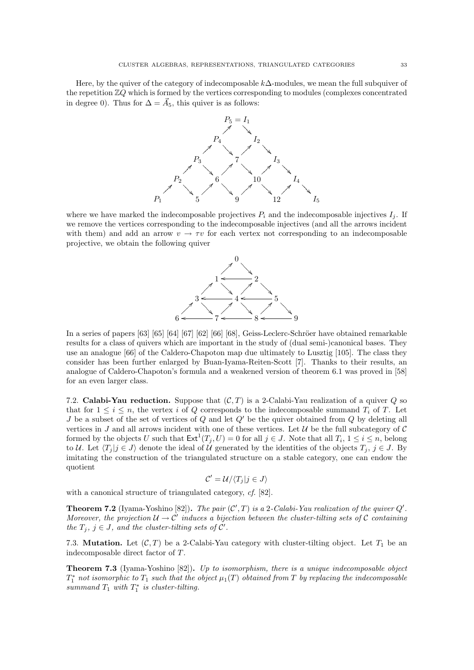Here, by the quiver of the category of indecomposable  $k\Delta$ -modules, we mean the full subquiver of the repetition  $ZQ$  which is formed by the vertices corresponding to modules (complexes concentrated in degree 0). Thus for  $\Delta = \vec{A}_5$ , this quiver is as follows:



where we have marked the indecomposable projectives  $P_i$  and the indecomposable injectives  $I_i$ . If we remove the vertices corresponding to the indecomposable injectives (and all the arrows incident with them) and add an arrow  $v \to \tau v$  for each vertex not corresponding to an indecomposable projective, we obtain the following quiver



In a series of papers [63] [65] [64] [67] [62] [66] [68], Geiss-Leclerc-Schröer have obtained remarkable results for a class of quivers which are important in the study of (dual semi-)canonical bases. They use an analogue [66] of the Caldero-Chapoton map due ultimately to Lusztig [105]. The class they consider has been further enlarged by Buan-Iyama-Reiten-Scott [7]. Thanks to their results, an analogue of Caldero-Chapoton's formula and a weakened version of theorem 6.1 was proved in [58] for an even larger class.

7.2. Calabi-Yau reduction. Suppose that  $(C, T)$  is a 2-Calabi-Yau realization of a quiver Q so that for  $1 \leq i \leq n$ , the vertex i of Q corresponds to the indecomposable summand  $T_i$  of T. Let J be a subset of the set of vertices of  $Q$  and let  $Q'$  be the quiver obtained from  $Q$  by deleting all vertices in J and all arrows incident with one of these vertices. Let  $\mathcal U$  be the full subcategory of  $\mathcal C$ formed by the objects U such that  $\mathsf{Ext}^1(T_j,U)=0$  for all  $j\in J$ . Note that all  $T_i, 1\leq i\leq n$ , belong to U. Let  $\langle T_i | j \in J \rangle$  denote the ideal of U generated by the identities of the objects  $T_i$ ,  $j \in J$ . By imitating the construction of the triangulated structure on a stable category, one can endow the quotient

$$
\mathcal{C}' = \mathcal{U}/\langle T_j|j \in J \rangle
$$

with a canonical structure of triangulated category, *cf.* [82].

**Theorem 7.2** (Iyama-Yoshino [82]). The pair  $(C', T)$  is a 2-Calabi-Yau realization of the quiver Q'. Moreover, the projection  $\mathcal{U} \to \mathcal{C}'$  induces a bijection between the cluster-tilting sets of C containing the  $T_j$ ,  $j \in J$ , and the cluster-tilting sets of  $\mathcal{C}'$ .

7.3. Mutation. Let  $(C, T)$  be a 2-Calabi-Yau category with cluster-tilting object. Let  $T_1$  be an indecomposable direct factor of T.

**Theorem 7.3** (Iyama-Yoshino  $[82]$ ). Up to isomorphism, there is a unique indecomposable object  $T_{1}^{\ast}$  not isomorphic to  $T_{1}$  such that the object  $\mu_{1}(T)$  obtained from  $T$  by replacing the indecomposable summand  $T_1$  with  $T_1^*$  is cluster-tilting.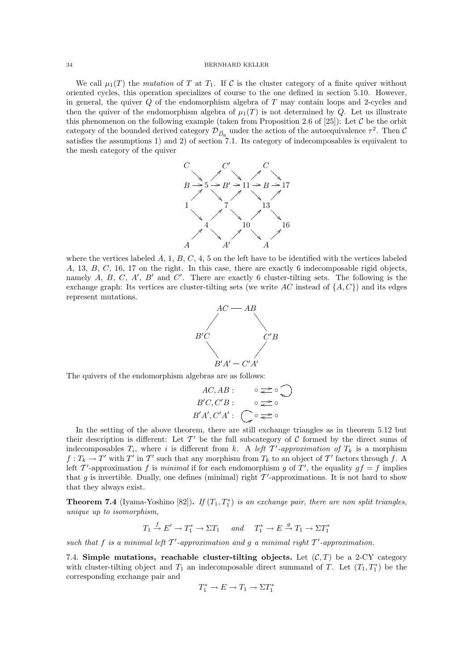## 34 BERNHARD KELLER

We call  $\mu_1(T)$  the mutation of T at  $T_1$ . If C is the cluster category of a finite quiver without oriented cycles, this operation specializes of course to the one defined in section 5.10. However, in general, the quiver  $Q$  of the endomorphism algebra of  $T$  may contain loops and 2-cycles and then the quiver of the endomorphism algebra of  $\mu_1(T)$  is not determined by Q. Let us illustrate this phenomenon on the following example (taken from Proposition 2.6 of [25]): Let  $\mathcal C$  be the orbit category of the bounded derived category  $\mathcal{D}_{\vec{D}_6}$  under the action of the autoequivalence  $\tau^2$ . Then C satisfies the assumptions 1) and 2) of section 7.1. Its category of indecomposables is equivalent to the mesh category of the quiver



where the vertices labeled  $A$ , 1,  $B$ ,  $C$ , 4, 5 on the left have to be identified with the vertices labeled A, 13, B, C, 16, 17 on the right. In this case, there are exactly 6 indecomposable rigid objects, namely A, B, C, A', B' and C'. There are exactly 6 cluster-tilting sets. The following is the exchange graph: Its vertices are cluster-tilting sets (we write AC instead of  $\{A, C\}$ ) and its edges represent mutations.



The quivers of the endomorphism algebras are as follows:

$$
AC, AB: \qquad \circ \geq \circ \bigcirc
$$
  

$$
B'C, C'B: \qquad \circ \geq \circ
$$
  

$$
B'A', C'A': \qquad \circ \geq \circ
$$

In the setting of the above theorem, there are still exchange triangles as in theorem 5.12 but their description is different: Let  $\mathcal{T}'$  be the full subcategory of  $\mathcal C$  formed by the direct sums of indecomposables  $T_i$ , where i is different from k. A left T'-approximation of  $T_k$  is a morphism  $f: T_k \to T'$  with  $T'$  in  $T'$  such that any morphism from  $T_k$  to an object of  $T'$  factors through f. A left T'-approximation f is minimal if for each endomorphism g of T', the equality  $gf = f$  implies that g is invertible. Dually, one defines (minimal) right  $\mathcal{T}'$ -approximations. It is not hard to show that they always exist.

**Theorem 7.4** (Iyama-Yoshino [82]). If  $(T_1, T_1^*)$  is an exchange pair, there are non split triangles, unique up to isomorphism,

$$
T_1 \xrightarrow{f} E' \to T_1^* \to \Sigma T_1
$$
 and  $T_1^* \to E \xrightarrow{g} T_1 \to \Sigma T_1^*$ 

such that f is a minimal left  $T'$ -approximation and g a minimal right  $T'$ -approximation.

7.4. Simple mutations, reachable cluster-tilting objects. Let  $(C, T)$  be a 2-CY category with cluster-tilting object and  $T_1$  an indecomposable direct summand of T. Let  $(T_1, T_1^*)$  be the corresponding exchange pair and

$$
T_1^* \to E \to T_1 \to \Sigma T_1^*
$$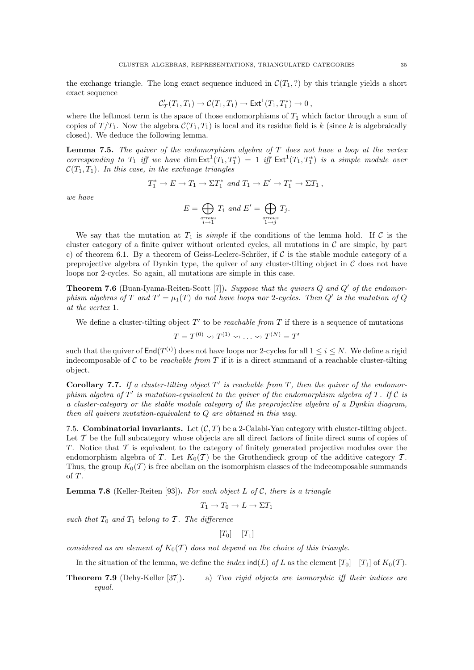the exchange triangle. The long exact sequence induced in  $\mathcal{C}(T_1, ?)$  by this triangle yields a short exact sequence

$$
\mathcal{C}'_T(T_1,T_1)\to \mathcal{C}(T_1,T_1)\to \text{Ext}^1(T_1,T_1^*)\to 0\,,
$$

where the leftmost term is the space of those endomorphisms of  $T_1$  which factor through a sum of copies of  $T/T_1$ . Now the algebra  $C(T_1, T_1)$  is local and its residue field is k (since k is algebraically closed). We deduce the following lemma.

**Lemma 7.5.** The quiver of the endomorphism algebra of  $T$  does not have a loop at the vertex corresponding to  $T_1$  iff we have  $\dim \text{Ext}^1(T_1, T_1^*) = 1$  iff  $\text{Ext}^1(T_1, T_1^*)$  is a simple module over  $\mathcal{C}(T_1, T_1)$ . In this case, in the exchange triangles

$$
T_1^* \to E \to T_1 \to \Sigma T_1^*
$$
 and  $T_1 \to E' \to T_1^* \to \Sigma T_1$ ,

we have

$$
E = \bigoplus_{\substack{arrows \atop i \to 1}} T_i \text{ and } E' = \bigoplus_{\substack{arrows \atop 1 \to j}} T_j.
$$

We say that the mutation at  $T_1$  is *simple* if the conditions of the lemma hold. If C is the cluster category of a finite quiver without oriented cycles, all mutations in  $\mathcal C$  are simple, by part c) of theorem 6.1. By a theorem of Geiss-Leclerc-Schröer, if  $\mathcal C$  is the stable module category of a preprojective algebra of Dynkin type, the quiver of any cluster-tilting object in  $\mathcal C$  does not have loops nor 2-cycles. So again, all mutations are simple in this case.

**Theorem 7.6** (Buan-Iyama-Reiten-Scott [7]). Suppose that the quivers Q and Q' of the endomorphism algebras of T and  $T' = \mu_1(T)$  do not have loops nor 2-cycles. Then  $Q'$  is the mutation of Q at the vertex 1.

We define a cluster-tilting object  $T'$  to be *reachable from*  $T$  if there is a sequence of mutations

$$
T = T^{(0)} \rightsquigarrow T^{(1)} \rightsquigarrow \dots \rightsquigarrow T^{(N)} = T'
$$

such that the quiver of  $\mathsf{End}(T^{(i)})$  does not have loops nor 2-cycles for all  $1 \le i \le N$ . We define a rigid indecomposable of  $C$  to be *reachable from*  $T$  if it is a direct summand of a reachable cluster-tilting object.

**Corollary 7.7.** If a cluster-tilting object  $T'$  is reachable from  $T$ , then the quiver of the endomorphism algebra of  $T'$  is mutation-equivalent to the quiver of the endomorphism algebra of T. If  $\mathcal C$  is a cluster-category or the stable module category of the preprojective algebra of a Dynkin diagram, then all quivers mutation-equivalent to Q are obtained in this way.

7.5. **Combinatorial invariants.** Let  $(C, T)$  be a 2-Calabi-Yau category with cluster-tilting object. Let  $\mathcal T$  be the full subcategory whose objects are all direct factors of finite direct sums of copies of T. Notice that  $\mathcal T$  is equivalent to the category of finitely generated projective modules over the endomorphism algebra of T. Let  $K_0(\mathcal{T})$  be the Grothendieck group of the additive category T. Thus, the group  $K_0(\mathcal{T})$  is free abelian on the isomorphism classes of the indecomposable summands of T.

**Lemma 7.8** (Keller-Reiten [93]). For each object L of C, there is a triangle

$$
T_1 \to T_0 \to L \to \Sigma T_1
$$

such that  $T_0$  and  $T_1$  belong to T. The difference

$$
[T_0] - [T_1]
$$

considered as an element of  $K_0(T)$  does not depend on the choice of this triangle.

In the situation of the lemma, we define the *index* ind(L) of L as the element  $[T_0]-[T_1]$  of  $K_0(T)$ .

**Theorem 7.9** (Dehy-Keller [37]). a) Two rigid objects are isomorphic iff their indices are equal.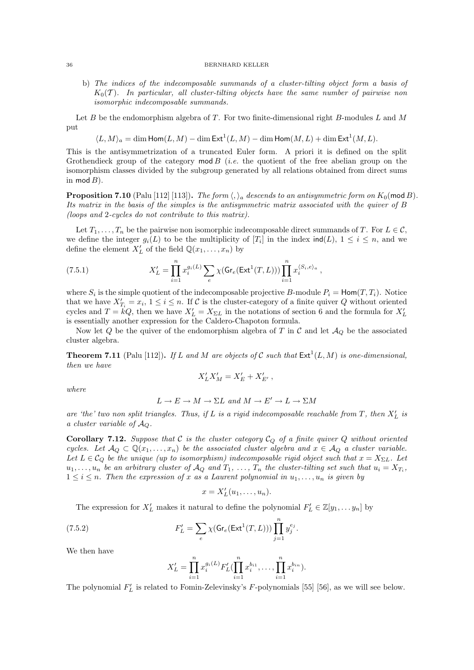## 36 BERNHARD KELLER

b) The indices of the indecomposable summands of a cluster-tilting object form a basis of  $K_0(\mathcal{T})$ . In particular, all cluster-tilting objects have the same number of pairwise non isomorphic indecomposable summands.

Let B be the endomorphism algebra of T. For two finite-dimensional right B-modules  $L$  and  $M$ put

 $\langle L, M\rangle_a=\dim{\sf Hom}(L,M)-\dim{\sf Ext}^1(L,M)-\dim{\sf Hom}(M,L)+\dim{\sf Ext}^1(M,L).$ 

This is the antisymmetrization of a truncated Euler form. A priori it is defined on the split Grothendieck group of the category  $mod B$  (*i.e.* the quotient of the free abelian group on the isomorphism classes divided by the subgroup generated by all relations obtained from direct sums in mod  $B$ ).

**Proposition 7.10** (Palu [112] [113]). The form  $\langle, \rangle_a$  descends to an antisymmetric form on  $K_0(\text{mod } B)$ . Its matrix in the basis of the simples is the antisymmetric matrix associated with the quiver of B (loops and 2-cycles do not contribute to this matrix).

Let  $T_1, \ldots, T_n$  be the pairwise non isomorphic indecomposable direct summands of T. For  $L \in \mathcal{C}$ , we define the integer  $g_i(L)$  to be the multiplicity of  $[T_i]$  in the index  $\text{ind}(L)$ ,  $1 \leq i \leq n$ , and we define the element  $X'_L$  of the field  $\mathbb{Q}(x_1,\ldots,x_n)$  by

(7.5.1) 
$$
X'_{L} = \prod_{i=1}^{n} x_{i}^{g_{i}(L)} \sum_{e} \chi(\text{Gr}_{e}(\text{Ext}^{1}(T, L))) \prod_{i=1}^{n} x_{i}^{\langle S_{i}, e \rangle_{a}},
$$

where  $S_i$  is the simple quotient of the indecomposable projective B-module  $P_i = \text{Hom}(T, T_i)$ . Notice that we have  $X'_{T_i} = x_i, 1 \leq i \leq n$ . If C is the cluster-category of a finite quiver Q without oriented cycles and  $T = \dot{k}Q$ , then we have  $X_L' = X_{\Sigma L}$  in the notations of section 6 and the formula for  $X_L'$ is essentially another expression for the Caldero-Chapoton formula.

Now let Q be the quiver of the endomorphism algebra of T in C and let  $\mathcal{A}_Q$  be the associated cluster algebra.

**Theorem 7.11** (Palu [112]). If L and M are objects of C such that  $Ext^1(L, M)$  is one-dimensional, then we have

$$
X^\prime_L X^\prime_M = X^\prime_E + X^\prime_{E^\prime} \ ,
$$

where

$$
L \to E \to M \to \Sigma L
$$
 and  $M \to E' \to L \to \Sigma M$ 

are 'the' two non split triangles. Thus, if L is a rigid indecomposable reachable from T, then  $X'_L$  is a cluster variable of  $A_{\Omega}$ .

**Corollary 7.12.** Suppose that C is the cluster category  $C_Q$  of a finite quiver Q without oriented cycles. Let  $A_Q \subset \mathbb{Q}(x_1,\ldots,x_n)$  be the associated cluster algebra and  $x \in A_Q$  a cluster variable. Let  $L \in \mathcal{C}_Q$  be the unique (up to isomorphism) indecomposable rigid object such that  $x = X_{\Sigma L}$ . Let  $u_1, \ldots, u_n$  be an arbitrary cluster of  $\mathcal{A}_Q$  and  $T_1, \ldots, T_n$  the cluster-tilting set such that  $u_i = X_{T_i}$ ,  $1 \leq i \leq n$ . Then the expression of x as a Laurent polynomial in  $u_1, \ldots, u_n$  is given by

$$
x = X_L'(u_1, \ldots, u_n).
$$

The expression for  $X'_L$  makes it natural to define the polynomial  $F'_L \in \mathbb{Z}[y_1, \ldots y_n]$  by

(7.5.2) 
$$
F'_{L} = \sum_{e} \chi(\text{Gr}_{e}(\text{Ext}^{1}(T, L))) \prod_{j=1}^{n} y_{j}^{e_{j}}.
$$

We then have

$$
X'_{L} = \prod_{i=1}^{n} x_{i}^{g_{i}(L)} F'_{L} (\prod_{i=1}^{n} x_{i}^{b_{i1}}, \dots, \prod_{i=1}^{n} x_{i}^{b_{in}}).
$$

The polynomial  $F'_{L}$  is related to Fomin-Zelevinsky's F-polynomials [55] [56], as we will see below.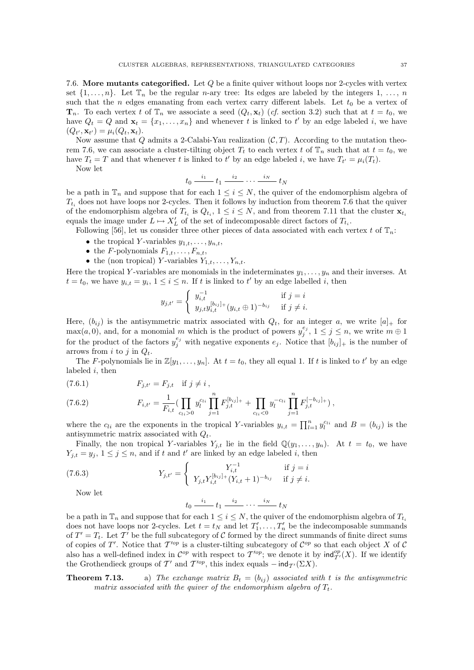7.6. More mutants categorified. Let  $Q$  be a finite quiver without loops nor 2-cycles with vertex set  $\{1,\ldots,n\}$ . Let  $\mathbb{T}_n$  be the regular *n*-ary tree: Its edges are labeled by the integers 1, ..., *n* such that the n edges emanating from each vertex carry different labels. Let  $t_0$  be a vertex of  $\mathbf{T}_n$ . To each vertex t of  $\mathbb{T}_n$  we associate a seed  $(Q_t, \mathbf{x}_t)$  (cf. section 3.2) such that at  $t = t_0$ , we have  $Q_t = Q$  and  $\mathbf{x}_t = \{x_1, \ldots, x_n\}$  and whenever t is linked to t' by an edge labeled i, we have  $(Q_{t'}, \mathbf{x}_{t'}) = \mu_i(Q_t, \mathbf{x}_t).$ 

Now assume that Q admits a 2-Calabi-Yau realization  $(C, T)$ . According to the mutation theorem 7.6, we can associate a cluster-tilting object  $T_t$  to each vertex t of  $\mathbb{T}_n$  such that at  $t = t_0$ , we have  $T_t = T$  and that whenever t is linked to t' by an edge labeled i, we have  $T_{t'} = \mu_i(T_t)$ .

Now let

$$
t_0 \stackrel{i_1}{\xrightarrow{}} t_1 \stackrel{i_2}{\xrightarrow{}} \cdots \stackrel{i_N}{\xrightarrow{}} t_N
$$

be a path in  $\mathbb{T}_n$  and suppose that for each  $1 \leq i \leq N$ , the quiver of the endomorphism algebra of  $T_{t_i}$  does not have loops nor 2-cycles. Then it follows by induction from theorem 7.6 that the quiver of the endomorphism algebra of  $T_{t_i}$  is  $Q_{t_i}$ ,  $1 \leq i \leq N$ , and from theorem 7.11 that the cluster  $\mathbf{x}_{t_i}$ equals the image under  $L \mapsto X_L'$  of the set of indecomposable direct factors of  $T_{t_i}$ .

Following [56], let us consider three other pieces of data associated with each vertex t of  $\mathbb{T}_n$ .

- the tropical Y-variables  $y_{1,t}, \ldots, y_{n,t}$ ,
- the F-polynomials  $F_{1,t}, \ldots, F_{n,t}$ ,
- the (non tropical) Y-variables  $Y_{1,t}, \ldots, Y_{n,t}$ .

Here the tropical Y-variables are monomials in the indeterminates  $y_1, \ldots, y_n$  and their inverses. At  $t = t_0$ , we have  $y_{i,t} = y_i$ ,  $1 \leq i \leq n$ . If t is linked to t' by an edge labelled i, then

$$
y_{j,t'} = \begin{cases} y_{i,t}^{-1} & \text{if } j = i \\ y_{j,t}y_{i,t}^{[b_{ij}]_+}(y_{i,t} \oplus 1)^{-b_{ij}} & \text{if } j \neq i. \end{cases}
$$

Here,  $(b_{ij})$  is the antisymmetric matrix associated with  $Q_t$ , for an integer a, we write  $[a]_+$  for  $\max(a, 0)$ , and, for a monomial m which is the product of powers  $y_j^{e_j}$ ,  $1 \leq j \leq n$ , we write  $m \oplus 1$ for the product of the factors  $y_j^{e_j}$  with negative exponents  $e_j$ . Notice that  $[b_{ij}]_+$  is the number of arrows from i to j in  $Q_t$ .

The F-polynomials lie in  $\mathbb{Z}[y_1,\ldots,y_n]$ . At  $t = t_0$ , they all equal 1. If t is linked to t' by an edge labeled  $i$ , then

(7.6.1) 
$$
F_{j,t'} = F_{j,t} \text{ if } j \neq i ,
$$

(7.6.2) 
$$
F_{i,t'} = \frac{1}{F_{i,t}} \left( \prod_{c_{li} > 0} y_l^{c_{li}} \prod_{j=1}^n F_{j,t}^{[b_{ij}]_+} + \prod_{c_{li} < 0} y_l^{-c_{li}} \prod_{j=1}^n F_{j,t}^{[-b_{ij}]_+} \right),
$$

where the  $c_{li}$  are the exponents in the tropical Y-variables  $y_{i,t} = \prod_{l=1}^{n} y_l^{c_{li}}$  and  $B = (b_{ij})$  is the antisymmetric matrix associated with  $Q_t$ .

Finally, the non tropical Y-variables  $Y_{j,t}$  lie in the field  $\mathbb{Q}(y_1,\ldots,y_n)$ . At  $t = t_0$ , we have  $Y_{j,t} = y_j, 1 \leq j \leq n$ , and if t and t' are linked by an edge labeled i, then

(7.6.3) 
$$
Y_{j,t'} = \begin{cases} Y_{j,t}^{-1} & \text{if } j = i \\ Y_{j,t} Y_{i,t}^{[b_{ij}]_+} (Y_{i,t} + 1)^{-b_{ij}} & \text{if } j \neq i. \end{cases}
$$

Now let

$$
t_0 \stackrel{i_1}{\xrightarrow{}} t_1 \stackrel{i_2}{\xrightarrow{}} \cdots \stackrel{i_N}{\xrightarrow{}} t_N
$$

be a path in  $\mathbb{T}_n$  and suppose that for each  $1 \leq i \leq N$ , the quiver of the endomorphism algebra of  $T_{t_i}$ does not have loops nor 2-cycles. Let  $t = t_N$  and let  $T'_1, \ldots, T'_n$  be the indecomposable summands of  $T' = T_t$ . Let T' be the full subcategory of C formed by the direct summands of finite direct sums of copies of T'. Notice that  $\mathcal{T}^{top}$  is a cluster-tilting subcategory of  $\mathcal{C}^{op}$  so that each object X of C also has a well-defined index in  $\mathcal{C}^{op}$  with respect to  $\mathcal{T}'^{op}$ ; we denote it by  $\text{ind}_{\mathcal{I}'}^{op}(X)$ . If we identify the Grothendieck groups of  $\mathcal{T}'$  and  $\mathcal{T}'^{op}$ , this index equals  $-\operatorname{ind}_{\mathcal{T}'}(\Sigma X)$ .

**Theorem 7.13.** a) The exchange matrix  $B_t = (b_{ij})$  associated with t is the antisymmetric matrix associated with the quiver of the endomorphism algebra of  $T_t$ .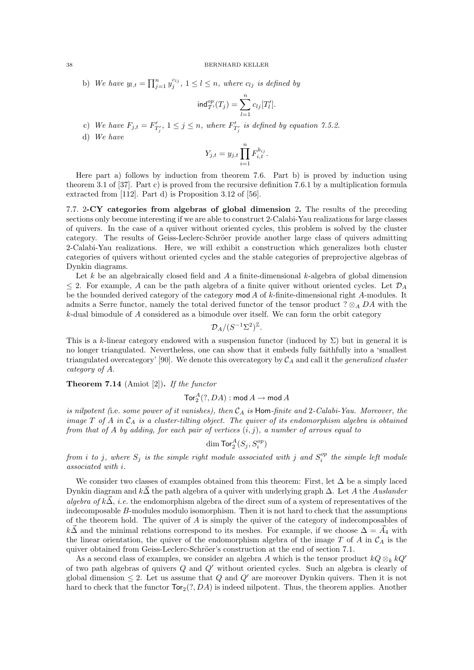b) We have  $y_{l,t} = \prod_{j=1}^{n} y_j^{c_{lj}}, 1 \leq l \leq n$ , where  $c_{lj}$  is defined by

$$
\operatorname{ind}_{\mathcal{T}'}^{op}(T_j) = \sum_{l=1}^n c_{lj}[T'_l].
$$

c) We have  $F_{j,t} = F'_{T'_{j}}$ ,  $1 \leq j \leq n$ , where  $F'_{T'_{j}}$  is defined by equation 7.5.2.

d) We have

$$
Y_{j,t} = y_{j,t} \prod_{i=1}^{n} F_{i,t}^{b_{ij}}.
$$

Here part a) follows by induction from theorem 7.6. Part b) is proved by induction using theorem 3.1 of [37]. Part c) is proved from the recursive definition 7.6.1 by a multiplication formula extracted from [112]. Part d) is Proposition 3.12 of [56].

7.7. 2-CY categories from algebras of global dimension 2. The results of the preceding sections only become interesting if we are able to construct 2-Calabi-Yau realizations for large classes of quivers. In the case of a quiver without oriented cycles, this problem is solved by the cluster category. The results of Geiss-Leclerc-Schröer provide another large class of quivers admitting 2-Calabi-Yau realizations. Here, we will exhibit a construction which generalizes both cluster categories of quivers without oriented cycles and the stable categories of preprojective algebras of Dynkin diagrams.

Let k be an algebraically closed field and A a finite-dimensional k-algebra of global dimension  $\leq$  2. For example, A can be the path algebra of a finite quiver without oriented cycles. Let  $\mathcal{D}_A$ be the bounded derived category of the category  $mod A$  of  $k$ -finite-dimensional right  $A$ -modules. It admits a Serre functor, namely the total derived functor of the tensor product ?  $\otimes_A DA$  with the k-dual bimodule of A considered as a bimodule over itself. We can form the orbit category

$$
\mathcal{D}_A/(S^{-1}\Sigma^2)^{\mathbb{Z}}.
$$

This is a k-linear category endowed with a suspension functor (induced by  $\Sigma$ ) but in general it is no longer triangulated. Nevertheless, one can show that it embeds fully faithfully into a 'smallest triangulated overcategory' [90]. We denote this overcategory by  $C_A$  and call it the *generalized cluster* category of A.

**Theorem 7.14** (Amiot [2]). If the functor

$$
\operatorname{\mathsf{Tor}}_2^A(?,DA):\operatorname{\mathsf{mod}} A\to\operatorname{\mathsf{mod}} A
$$

is nilpotent (i.e. some power of it vanishes), then  $C_A$  is Hom-finite and 2-Calabi-Yau. Moreover, the image  $T$  of  $A$  in  $C_A$  is a cluster-tilting object. The quiver of its endomorphism algebra is obtained from that of A by adding, for each pair of vertices  $(i, j)$ , a number of arrows equal to

$$
\dim\mathrm{Tor}_2^A(S_j,S_i^{op})
$$

from i to j, where  $S_j$  is the simple right module associated with j and  $S_i^{op}$  the simple left module associated with i.

We consider two classes of examples obtained from this theorem: First, let  $\Delta$  be a simply laced Dynkin diagram and  $k\vec{\Delta}$  the path algebra of a quiver with underlying graph  $\Delta$ . Let A the Auslander algebra of  $k\Delta$ , *i.e.* the endomorphism algebra of the direct sum of a system of representatives of the indecomposable B-modules modulo isomorphism. Then it is not hard to check that the assumptions of the theorem hold. The quiver of  $A$  is simply the quiver of the category of indecomposables of  $k\vec{\Delta}$  and the minimal relations correspond to its meshes. For example, if we choose  $\Delta = \vec{A}_4$  with the linear orientation, the quiver of the endomorphism algebra of the image T of A in  $\mathcal{C}_A$  is the quiver obtained from Geiss-Leclerc-Schröer's construction at the end of section 7.1.

As a second class of examples, we consider an algebra A which is the tensor product  $kQ \otimes_k kQ'$ of two path algebras of quivers  $Q$  and  $Q'$  without oriented cycles. Such an algebra is clearly of global dimension  $\leq 2$ . Let us assume that Q and Q' are moreover Dynkin quivers. Then it is not hard to check that the functor  $\text{Tor}_2(?, DA)$  is indeed nilpotent. Thus, the theorem applies. Another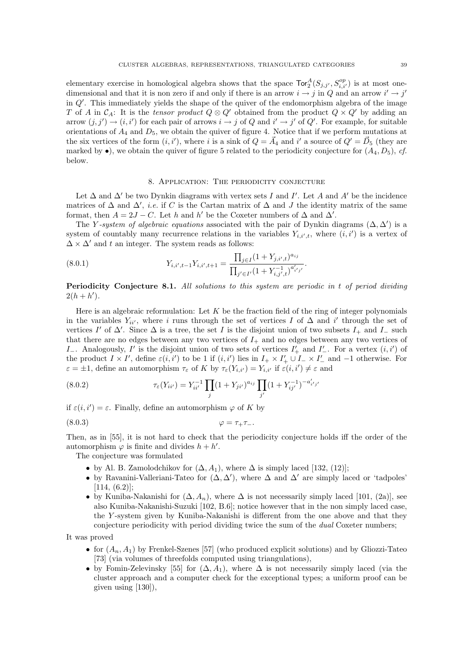elementary exercise in homological algebra shows that the space  $\text{Tor}_2^A(S_{j,j'}, S_{i,i'}^{op})$  is at most onedimensional and that it is non zero if and only if there is an arrow  $i \to j$  in Q and an arrow  $i' \to j'$ in  $Q'$ . This immediately yields the shape of the quiver of the endomorphism algebra of the image T of A in  $C_A$ : It is the tensor product  $Q \otimes Q'$  obtained from the product  $Q \times Q'$  by adding an arrow  $(j, j') \rightarrow (i, i')$  for each pair of arrows  $i \rightarrow j$  of Q and  $i' \rightarrow j'$  of Q'. For example, for suitable orientations of  $A_4$  and  $D_5$ , we obtain the quiver of figure 4. Notice that if we perform mutations at the six vertices of the form  $(i, i')$ , where i is a sink of  $Q = \vec{A}_4$  and i' a source of  $Q' = \vec{D}_5$  (they are marked by  $\bullet$ ), we obtain the quiver of figure 5 related to the periodicity conjecture for  $(A_4, D_5)$ , cf. below.

#### 8. Application: The periodicity conjecture

Let  $\Delta$  and  $\Delta'$  be two Dynkin diagrams with vertex sets I and I'. Let A and A' be the incidence matrices of  $\Delta$  and  $\Delta'$ , *i.e.* if C is the Cartan matrix of  $\Delta$  and J the identity matrix of the same format, then  $A = 2J - C$ . Let h and h' be the Coxeter numbers of  $\Delta$  and  $\Delta'$ .

The Y-system of algebraic equations associated with the pair of Dynkin diagrams  $(\Delta, \Delta')$  is a system of countably many recurrence relations in the variables  $Y_{i,i',t}$ , where  $(i,i')$  is a vertex of  $\Delta \times \Delta'$  and t an integer. The system reads as follows:

(8.0.1) 
$$
Y_{i,i',t-1}Y_{i,i',t+1} = \frac{\prod_{j\in I} (1+Y_{j,i',t})^{a_{ij}}}{\prod_{j'\in I'} (1+Y_{i,j',t}^{-1})^{a'_{i'j'}}}.
$$

Periodicity Conjecture 8.1. All solutions to this system are periodic in t of period dividing  $2(h + h')$ .

Here is an algebraic reformulation: Let  $K$  be the fraction field of the ring of integer polynomials in the variables  $Y_{ii'}$ , where i runs through the set of vertices I of  $\Delta$  and i' through the set of vertices I' of  $\Delta'$ . Since  $\Delta$  is a tree, the set I is the disjoint union of two subsets  $I_+$  and  $I_-$  such that there are no edges between any two vertices of  $I_+$  and no edges between any two vertices of I\_. Analogously, I' is the disjoint union of two sets of vertices  $I'_{+}$  and  $I'_{-}$ . For a vertex  $(i, i')$  of the product  $I \times I'$ , define  $\varepsilon(i, i')$  to be 1 if  $(i, i')$  lies in  $I_+ \times I'_+ \cup I_- \times I'_-$  and  $-1$  otherwise. For  $\varepsilon = \pm 1$ , define an automorphism  $\tau_{\varepsilon}$  of K by  $\tau_{\varepsilon}(Y_{i,i'}) = Y_{i,i'}$  if  $\varepsilon(i,i') \neq \varepsilon$  and

(8.0.2) 
$$
\tau_{\varepsilon}(Y_{ii'}) = Y_{ii'}^{-1} \prod_j (1 + Y_{ji'})^{a_{ij}} \prod_{j'} (1 + Y_{ij'}^{-1})^{-a'_{i'j'}}
$$

if  $\varepsilon(i, i') = \varepsilon$ . Finally, define an automorphism  $\varphi$  of K by

$$
\varphi = \tau_+ \tau_-.
$$

Then, as in [55], it is not hard to check that the periodicity conjecture holds iff the order of the automorphism  $\varphi$  is finite and divides  $h + h'$ .

The conjecture was formulated

- by Al. B. Zamolodchikov for  $(\Delta, A_1)$ , where  $\Delta$  is simply laced [132, (12)];
- by Ravanini-Valleriani-Tateo for  $(\Delta, \Delta')$ , where  $\Delta$  and  $\Delta'$  are simply laced or 'tadpoles'  $[114, (6.2)];$
- by Kuniba-Nakanishi for  $(\Delta, A_n)$ , where  $\Delta$  is not necessarily simply laced [101, (2a)], see also Kuniba-Nakanishi-Suzuki [102, B.6]; notice however that in the non simply laced case, the Y -system given by Kuniba-Nakanishi is different from the one above and that they conjecture periodicity with period dividing twice the sum of the dual Coxeter numbers;

It was proved

- for  $(A_n, A_1)$  by Frenkel-Szenes [57] (who produced explicit solutions) and by Gliozzi-Tateo [73] (via volumes of threefolds computed using triangulations),
- by Fomin-Zelevinsky [55] for  $(\Delta, A_1)$ , where  $\Delta$  is not necessarily simply laced (via the cluster approach and a computer check for the exceptional types; a uniform proof can be given using [130]),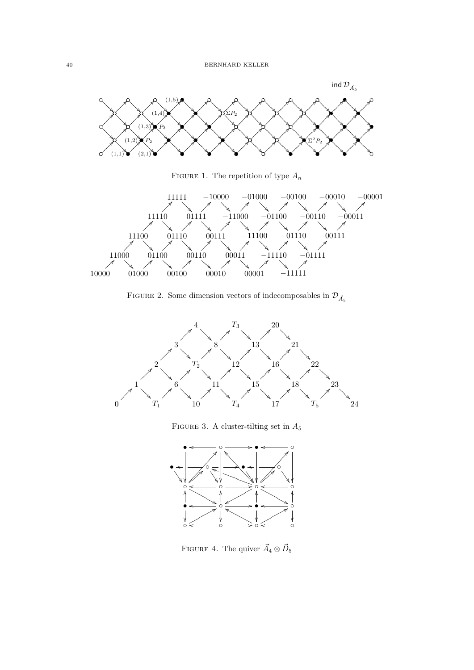

FIGURE 1. The repetition of type  $A_n$ 



FIGURE 2. Some dimension vectors of indecomposables in  $\mathcal{D}_{\vec{A}_5}$ 



FIGURE 3. A cluster-tilting set in  $\mathcal{A}_5$ 



FIGURE 4. The quiver  $\vec{A}_4 \otimes \vec{D}_5$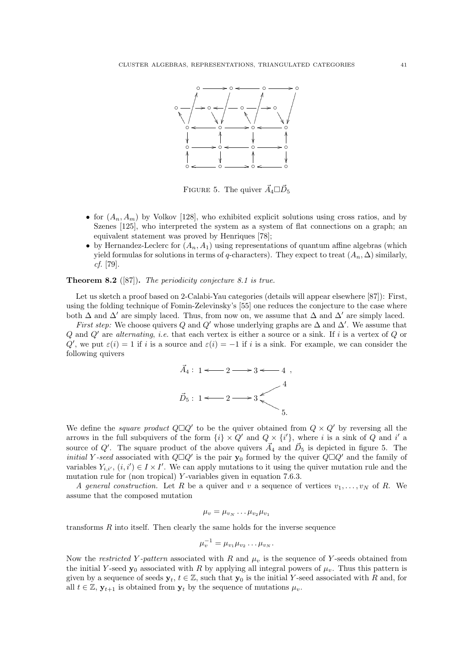

FIGURE 5. The quiver  $\vec{A}_4 \Box \vec{D}_5$ 

- for  $(A_n, A_m)$  by Volkov [128], who exhibited explicit solutions using cross ratios, and by Szenes [125], who interpreted the system as a system of flat connections on a graph; an equivalent statement was proved by Henriques [78];
- by Hernandez-Leclerc for  $(A_n, A_1)$  using representations of quantum affine algebras (which yield formulas for solutions in terms of q-characters). They expect to treat  $(A_n, \Delta)$  similarly, cf. [79].

**Theorem 8.2** ([87]). The periodicity conjecture 8.1 is true.

Let us sketch a proof based on 2-Calabi-Yau categories (details will appear elsewhere [87]): First, using the folding technique of Fomin-Zelevinsky's [55] one reduces the conjecture to the case where both  $\Delta$  and  $\Delta'$  are simply laced. Thus, from now on, we assume that  $\Delta$  and  $\Delta'$  are simply laced.

First step: We choose quivers Q and Q' whose underlying graphs are  $\Delta$  and  $\Delta'$ . We assume that  $Q$  and  $Q'$  are *alternating, i.e.* that each vertex is either a source or a sink. If i is a vertex of  $Q$  or Q', we put  $\varepsilon(i) = 1$  if i is a source and  $\varepsilon(i) = -1$  if i is a sink. For example, we can consider the following quivers

$$
\vec{A}_4: 1 \longleftarrow 2 \longrightarrow 3 \longleftarrow 4,
$$
\n
$$
\vec{D}_5: 1 \longleftarrow 2 \longrightarrow 3 \longleftarrow 4
$$
\n
$$
\begin{matrix}\n4 \\
5\n\end{matrix}
$$

We define the *square product*  $Q \Box Q'$  to be the quiver obtained from  $Q \times Q'$  by reversing all the arrows in the full subquivers of the form  $\{i\} \times Q'$  and  $Q \times \{i'\}$ , where i is a sink of Q and i' a source of Q'. The square product of the above quivers  $\vec{A}_4$  and  $\vec{D}_5$  is depicted in figure 5. The *initial Y-seed* associated with  $Q \Box Q'$  is the pair  $y_0$  formed by the quiver  $Q \Box Q'$  and the family of variables  $Y_{i,i'}$ ,  $(i, i') \in I \times I'$ . We can apply mutations to it using the quiver mutation rule and the mutation rule for (non tropical)  $Y$ -variables given in equation 7.6.3.

A general construction. Let R be a quiver and v a sequence of vertices  $v_1, \ldots, v_N$  of R. We assume that the composed mutation

$$
\mu_v = \mu_{v_N} \dots \mu_{v_2} \mu_{v_1}
$$

transforms R into itself. Then clearly the same holds for the inverse sequence

$$
\mu_v^{-1} = \mu_{v_1} \mu_{v_2} \dots \mu_{v_N}.
$$

Now the restricted Y-pattern associated with R and  $\mu_v$  is the sequence of Y-seeds obtained from the initial Y-seed  $y_0$  associated with R by applying all integral powers of  $\mu_v$ . Thus this pattern is given by a sequence of seeds  $y_t$ ,  $t \in \mathbb{Z}$ , such that  $y_0$  is the initial Y-seed associated with R and, for all  $t \in \mathbb{Z}$ ,  $\mathbf{y}_{t+1}$  is obtained from  $\mathbf{y}_t$  by the sequence of mutations  $\mu_v$ .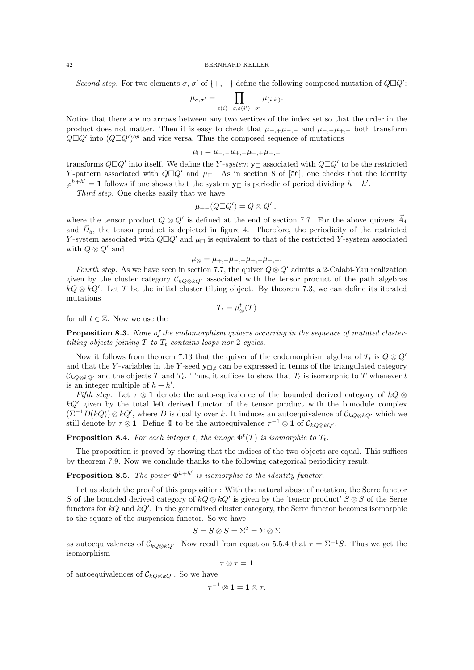Second step. For two elements  $\sigma$ ,  $\sigma'$  of  $\{+, -\}$  define the following composed mutation of  $Q\square Q'$ :

$$
\mu_{\sigma,\sigma'} = \prod_{\varepsilon(i) = \sigma, \varepsilon(i') = \sigma'} \mu_{(i,i')}.
$$

Notice that there are no arrows between any two vertices of the index set so that the order in the product does not matter. Then it is easy to check that  $\mu_{++}+\mu_{--}$  and  $\mu_{-}+\mu_{+-}$  both transform  $Q \Box Q'$  into  $(Q \Box Q')^{op}$  and vice versa. Thus the composed sequence of mutations

$$
\mu_{\square} = \mu_{-,-} \mu_{+,+} \mu_{-,+} \mu_{+,-}
$$

transforms  $Q \Box Q'$  into itself. We define the Y-system  $\mathbf{y}_{\Box}$  associated with  $Q \Box Q'$  to be the restricted Y-pattern associated with  $Q\square Q'$  and  $\mu_{\square}$ . As in section 8 of [56], one checks that the identity  $\varphi^{h+h'} = 1$  follows if one shows that the system  $\mathbf{y}_{\square}$  is periodic of period dividing  $h + h'$ .

Third step. One checks easily that we have

$$
\mu_{+-}(Q\square Q')=Q\otimes Q'\,,
$$

where the tensor product  $Q \otimes Q'$  is defined at the end of section 7.7. For the above quivers  $\vec{A}_4$ and  $\vec{D}_5$ , the tensor product is depicted in figure 4. Therefore, the periodicity of the restricted Y-system associated with  $Q\square Q'$  and  $\mu_{\square}$  is equivalent to that of the restricted Y-system associated with  $Q \otimes Q'$  and

$$
\mu_{\otimes} = \mu_{+,-} \mu_{-,-} \mu_{+,+} \mu_{-,+}.
$$

Fourth step. As we have seen in section 7.7, the quiver  $Q \otimes Q'$  admits a 2-Calabi-Yau realization given by the cluster category  $\mathcal{C}_{kQ\otimes kQ'}$  associated with the tensor product of the path algebras  $kQ \otimes kQ'$ . Let T be the initial cluster tilting object. By theorem 7.3, we can define its iterated mutations

 $T_t = \mu_{\otimes}^t(T)$ 

for all  $t \in \mathbb{Z}$ . Now we use the

Proposition 8.3. None of the endomorphism quivers occurring in the sequence of mutated clustertilting objects joining  $T$  to  $T_t$  contains loops nor 2-cycles.

Now it follows from theorem 7.13 that the quiver of the endomorphism algebra of  $T_t$  is  $Q \otimes Q'$ and that the Y-variables in the Y-seed  $\mathbf{y}_{\Box,t}$  can be expressed in terms of the triangulated category  $\mathcal{C}_{kQ\otimes kQ'}$  and the objects T and  $T_t$ . Thus, it suffices to show that  $T_t$  is isomorphic to T whenever t is an integer multiple of  $h + h'$ .

Fifth step. Let  $\tau \otimes 1$  denote the auto-equivalence of the bounded derived category of kQ  $\otimes$  $kQ'$  given by the total left derived functor of the tensor product with the bimodule complex  $(\Sigma^{-1}D(kQ))\otimes kQ'$ , where D is duality over k. It induces an autoequivalence of  $\mathcal{C}_{kQ\otimes kQ'}$  which we still denote by  $\tau \otimes \mathbf{1}$ . Define  $\Phi$  to be the autoequivalence  $\tau^{-1} \otimes \mathbf{1}$  of  $\mathcal{C}_{kQ \otimes kQ'}$ .

**Proposition 8.4.** For each integer t, the image  $\Phi^t(T)$  is isomorphic to  $T_t$ .

The proposition is proved by showing that the indices of the two objects are equal. This suffices by theorem 7.9. Now we conclude thanks to the following categorical periodicity result:

**Proposition 8.5.** The power  $\Phi^{h+h'}$  is isomorphic to the identity functor.

Let us sketch the proof of this proposition: With the natural abuse of notation, the Serre functor S of the bounded derived category of  $kQ \otimes kQ'$  is given by the 'tensor product'  $S \otimes S$  of the Serre functors for  $kQ$  and  $kQ'$ . In the generalized cluster category, the Serre functor becomes isomorphic to the square of the suspension functor. So we have

$$
S = S \otimes S = \Sigma^2 = \Sigma \otimes \Sigma
$$

as autoequivalences of  $\mathcal{C}_{kO\otimes kO'}$ . Now recall from equation 5.5.4 that  $\tau = \Sigma^{-1}S$ . Thus we get the isomorphism

 $\tau\otimes\tau=\mathbf{1}$ 

of autoequivalences of  $C_{kQ\otimes kQ'}$ . So we have

$$
\tau^{-1}\otimes \mathbf{1}=\mathbf{1}\otimes \tau.
$$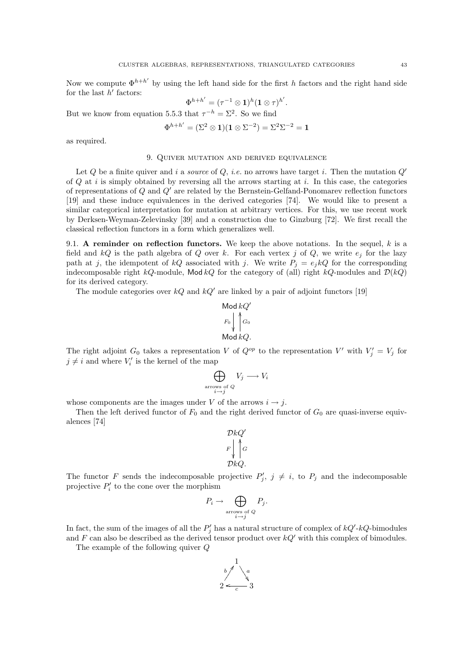Now we compute  $\Phi^{h+h'}$  by using the left hand side for the first h factors and the right hand side for the last  $h'$  factors:

$$
\Phi^{h+h'}=(\tau^{-1}\otimes \mathbf{1})^h(\mathbf{1}\otimes \tau)^{h'}.
$$

But we know from equation 5.5.3 that  $\tau^{-h} = \Sigma^2$ . So we find

$$
\Phi^{h+h'} = (\Sigma^2 \otimes \mathbf{1})(\mathbf{1} \otimes \Sigma^{-2}) = \Sigma^2 \Sigma^{-2} = \mathbf{1}
$$

as required.

#### 9. Quiver mutation and derived equivalence

Let Q be a finite quiver and i a source of Q, i.e. no arrows have target i. Then the mutation  $Q'$ of  $Q$  at i is simply obtained by reversing all the arrows starting at i. In this case, the categories of representations of  $Q$  and  $Q'$  are related by the Bernstein-Gelfand-Ponomarev reflection functors [19] and these induce equivalences in the derived categories [74]. We would like to present a similar categorical interpretation for mutation at arbitrary vertices. For this, we use recent work by Derksen-Weyman-Zelevinsky [39] and a construction due to Ginzburg [72]. We first recall the classical reflection functors in a form which generalizes well.

9.1. A reminder on reflection functors. We keep the above notations. In the sequel,  $k$  is a field and  $kQ$  is the path algebra of Q over k. For each vertex j of Q, we write  $e_j$  for the lazy path at j, the idempotent of kQ associated with j. We write  $P_i = e_j kQ$  for the corresponding indecomposable right  $kQ$ -module, Mod  $kQ$  for the category of (all) right  $kQ$ -modules and  $\mathcal{D}(kQ)$ for its derived category.

The module categories over  $kQ$  and  $kQ'$  are linked by a pair of adjoint functors [19]

$$
\begin{array}{c}\n\text{Mod } kQ' \\
F_0 \downarrow \uparrow G_0 \\
\text{Mod } kQ.\n\end{array}
$$

The right adjoint  $G_0$  takes a representation V of  $Q^{op}$  to the representation V' with  $V'_j = V_j$  for  $j \neq i$  and where  $V_i'$  is the kernel of the map

$$
\bigoplus_{\text{arrows of } Q} V_j \longrightarrow V_i
$$

whose components are the images under V of the arrows  $i \rightarrow j$ .

Then the left derived functor of  $F_0$  and the right derived functor of  $G_0$  are quasi-inverse equivalences [74]

$$
\mathcal{D}kQ'
$$
  

$$
F \downarrow G
$$
  

$$
\mathcal{D}kQ.
$$

The functor F sends the indecomposable projective  $P'_j$ ,  $j \neq i$ , to  $P_j$  and the indecomposable projective  $P'_i$  to the cone over the morphism

$$
P_i \to \bigoplus_{\substack{\text{arrows of }Q \\ i \to j}} P_j.
$$

In fact, the sum of the images of all the  $P'_j$  has a natural structure of complex of  $kQ'$ - $kQ$ -bimodules and F can also be described as the derived tensor product over  $kQ'$  with this complex of bimodules.

The example of the following quiver Q

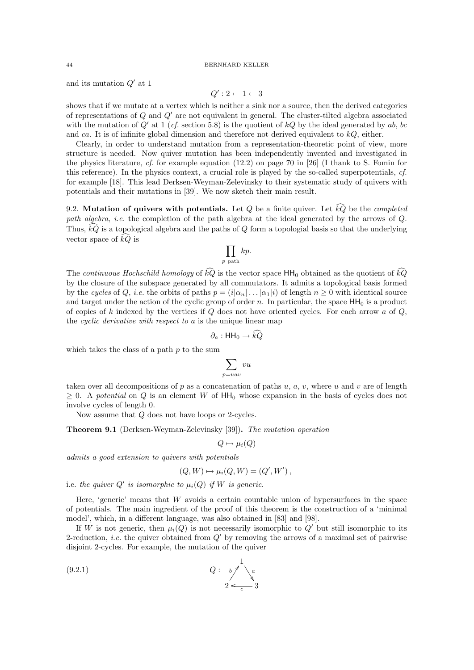and its mutation  $Q'$  at 1

$$
Q':2\leftarrow 1\leftarrow 3
$$

shows that if we mutate at a vertex which is neither a sink nor a source, then the derived categories of representations of  $Q$  and  $Q'$  are not equivalent in general. The cluster-tilted algebra associated with the mutation of  $Q'$  at 1 (cf. section 5.8) is the quotient of kQ by the ideal generated by ab, bc and  $ca$ . It is of infinite global dimension and therefore not derived equivalent to  $kQ$ , either.

Clearly, in order to understand mutation from a representation-theoretic point of view, more structure is needed. Now quiver mutation has been independently invented and investigated in the physics literature, cf. for example equation  $(12.2)$  on page 70 in [26] (I thank to S. Fomin for this reference). In the physics context, a crucial role is played by the so-called superpotentials, cf. for example [18]. This lead Derksen-Weyman-Zelevinsky to their systematic study of quivers with potentials and their mutations in [39]. We now sketch their main result.

9.2. Mutation of quivers with potentials. Let  $Q$  be a finite quiver. Let  $k\overline{Q}$  be the *completed* path algebra, i.e. the completion of the path algebra at the ideal generated by the arrows of Q. Thus,  $k\hat{Q}$  is a topological algebra and the paths of Q form a topologial basis so that the underlying vector space of  $k\widehat{Q}$  is

$$
\prod_{p \text{ path}} kp.
$$

The continuous Hochschild homology of  $\widehat{kQ}$  is the vector space  $HH_0$  obtained as the quotient of  $\widehat{kQ}$ by the closure of the subspace generated by all commutators. It admits a topological basis formed by the cycles of Q, i.e. the orbits of paths  $p = (i|\alpha_n| \dots |\alpha_1|i)$  of length  $n \ge 0$  with identical source and target under the action of the cyclic group of order n. In particular, the space  $HH_0$  is a product of copies of k indexed by the vertices if  $Q$  does not have oriented cycles. For each arrow a of  $Q$ , the cyclic derivative with respect to a is the unique linear map

$$
\partial_a: \mathsf{HH}_0 \to \widehat{kQ}
$$

which takes the class of a path  $p$  to the sum

$$
\sum_{p=uav} vu
$$

taken over all decompositions of p as a concatenation of paths u, a, v, where u and v are of length  $\geq$  0. A potential on Q is an element W of HH<sub>0</sub> whose expansion in the basis of cycles does not involve cycles of length 0.

Now assume that Q does not have loops or 2-cycles.

Theorem 9.1 (Derksen-Weyman-Zelevinsky [39]). The mutation operation

$$
Q \mapsto \mu_i(Q)
$$

admits a good extension to quivers with potentials

$$
(Q, W) \mapsto \mu_i(Q, W) = (Q', W') ,
$$

i.e. the quiver  $Q'$  is isomorphic to  $\mu_i(Q)$  if W is generic.

Here, 'generic' means that  $W$  avoids a certain countable union of hypersurfaces in the space of potentials. The main ingredient of the proof of this theorem is the construction of a 'minimal model', which, in a different language, was also obtained in [83] and [98].

If W is not generic, then  $\mu_i(Q)$  is not necessarily isomorphic to Q' but still isomorphic to its 2-reduction, *i.e.* the quiver obtained from  $Q'$  by removing the arrows of a maximal set of pairwise disjoint 2-cycles. For example, the mutation of the quiver

$$
(9.2.1)
$$
  $Q: \int_{2 \leq \frac{1}{c} 3}^{1} \text{ } \text{ } Q$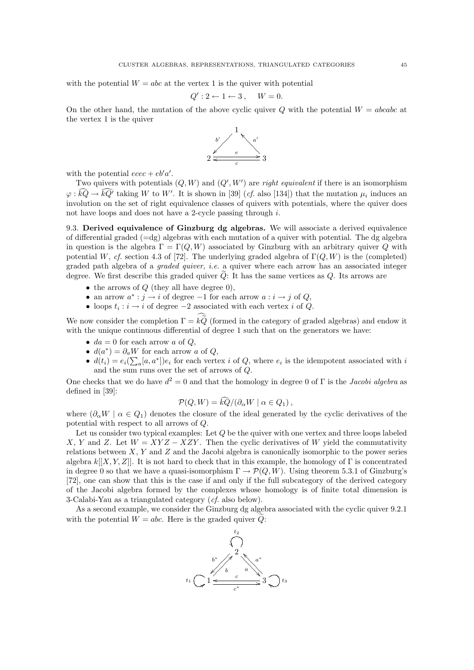with the potential  $W = abc$  at the vertex 1 is the quiver with potential

$$
Q': 2 \leftarrow 1 \leftarrow 3, \quad W = 0.
$$

On the other hand, the mutation of the above cyclic quiver Q with the potential  $W = abcabc$  at the vertex 1 is the quiver



with the potential  $ece + eb'a'.$ 

Two quivers with potentials  $(Q, W)$  and  $(Q', W')$  are *right equivalent* if there is an isomorphism  $\varphi : k\tilde{Q} \to \tilde{k}Q'$  taking W to W'. It is shown in [39] (cf. also [134]) that the mutation  $\mu_i$  induces an involution on the set of right equivalence classes of quivers with potentials, where the quiver does not have loops and does not have a 2-cycle passing through i.

9.3. Derived equivalence of Ginzburg dg algebras. We will associate a derived equivalence of differential graded  $(=\mathrm{dg})$  algebras with each mutation of a quiver with potential. The dg algebra in question is the algebra  $\Gamma = \Gamma(Q, W)$  associated by Ginzburg with an arbitrary quiver Q with potential W, cf. section 4.3 of [72]. The underlying graded algebra of  $\Gamma(Q, W)$  is the (completed) graded path algebra of a graded quiver, i.e. a quiver where each arrow has an associated integer degree. We first describe this graded quiver  $\tilde{Q}$ : It has the same vertices as Q. Its arrows are

- $\bullet$  the arrows of  $Q$  (they all have degree 0),
- an arrow  $a^*: j \to i$  of degree  $-1$  for each arrow  $a: i \to j$  of  $Q$ ,
- loops  $t_i : i \to i$  of degree  $-2$  associated with each vertex i of Q.

We now consider the completion  $\Gamma = k\tilde{Q}$  (formed in the category of graded algebras) and endow it with the unique continuous differential of degree 1 such that on the generators we have:

- $da = 0$  for each arrow a of Q,
- $d(a^*) = \partial_a W$  for each arrow a of Q,
- $d(t_i) = e_i(\sum_a [a, a^*])e_i$  for each vertex i of Q, where  $e_i$  is the idempotent associated with i and the sum runs over the set of arrows of Q.

One checks that we do have  $d^2 = 0$  and that the homology in degree 0 of  $\Gamma$  is the *Jacobi algebra* as defined in [39]:

$$
\mathcal{P}(Q,W)=\widehat{kQ}/(\partial_{\alpha}W\mid\alpha\in Q_1),
$$

where  $(\partial_{\alpha}W \mid \alpha \in Q_1)$  denotes the closure of the ideal generated by the cyclic derivatives of the potential with respect to all arrows of Q.

Let us consider two typical examples: Let Q be the quiver with one vertex and three loops labeled X, Y and Z. Let  $W = XYZ - XZY$ . Then the cyclic derivatives of W yield the commutativity relations between  $X, Y$  and  $Z$  and the Jacobi algebra is canonically isomorphic to the power series algebra  $k[[X, Y, Z]]$ . It is not hard to check that in this example, the homology of  $\Gamma$  is concentrated in degree 0 so that we have a quasi-isomorphism  $\Gamma \to \mathcal{P}(Q, W)$ . Using theorem 5.3.1 of Ginzburg's [72], one can show that this is the case if and only if the full subcategory of the derived category of the Jacobi algebra formed by the complexes whose homology is of finite total dimension is 3-Calabi-Yau as a triangulated category (cf. also below).

As a second example, we consider the Ginzburg dg algebra associated with the cyclic quiver 9.2.1 with the potential  $W = abc$ . Here is the graded quiver  $\tilde{Q}$ :

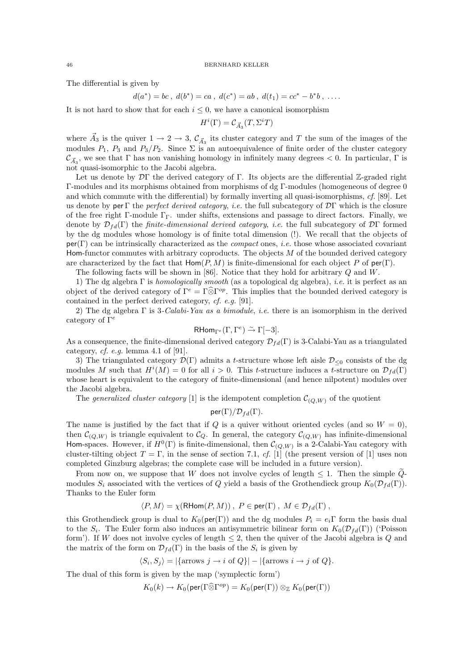The differential is given by

$$
d(a^*) = bc \, , \, d(b^*) = ca \, , \, d(c^*) = ab \, , \, d(t_1) = cc^* - b^*b \, , \, \ldots
$$

It is not hard to show that for each  $i \leq 0$ , we have a canonical isomorphism

$$
H^i(\Gamma) = \mathcal{C}_{\vec{A}_3}(T, \Sigma^i T)
$$

where  $\vec{A}_3$  is the quiver  $1 \to 2 \to 3$ ,  $\mathcal{C}_{\vec{A}_3}$  its cluster category and T the sum of the images of the modules  $P_1$ ,  $P_3$  and  $P_3/P_2$ . Since  $\Sigma$  is an autoequivalence of finite order of the cluster category  $\mathcal{C}_{\vec{A}_3}$ , we see that  $\Gamma$  has non vanishing homology in infinitely many degrees  $< 0$ . In particular,  $\Gamma$  is not quasi-isomorphic to the Jacobi algebra.

Let us denote by  $\mathcal{D}\Gamma$  the derived category of  $\Gamma$ . Its objects are the differential Z-graded right Γ-modules and its morphisms obtained from morphisms of dg Γ-modules (homogeneous of degree 0 and which commute with the differential) by formally inverting all quasi-isomorphisms, cf. [89]. Let us denote by per Γ the *perfect derived category, i.e.* the full subcategory of  $\mathcal{D}\Gamma$  which is the closure of the free right Γ-module  $\Gamma_{\Gamma}$ . under shifts, extensions and passage to direct factors. Finally, we denote by  $\mathcal{D}_{fd}(\Gamma)$  the *finite-dimensional derived category, i.e.* the full subcategory of  $\mathcal{D}\Gamma$  formed by the dg modules whose homology is of finite total dimension (!). We recall that the objects of  $per(\Gamma)$  can be intrinsically characterized as the *compact* ones, *i.e.* those whose associated covariant Hom-functor commutes with arbitrary coproducts. The objects  $M$  of the bounded derived category are characterized by the fact that  $\text{Hom}(P, M)$  is finite-dimensional for each object P of per(Γ).

The following facts will be shown in [86]. Notice that they hold for arbitrary Q and W.

1) The dg algebra  $\Gamma$  is *homologically smooth* (as a topological dg algebra), *i.e.* it is perfect as an object of the derived category of  $\Gamma^e = \Gamma \widehat{\otimes} \Gamma^{op}$ . This implies that the bounded derived category is contained in the perfect derived category, cf. e.g. [91].

2) The dg algebra  $\Gamma$  is 3-Calabi-Yau as a bimodule, i.e. there is an isomorphism in the derived category of  $\Gamma^e$ 

$$
\mathsf{RHom}_{\Gamma^e}(\Gamma,\Gamma^e)\stackrel{\sim}{\to} \Gamma[-3].
$$

As a consequence, the finite-dimensional derived category  $\mathcal{D}_{fd}(\Gamma)$  is 3-Calabi-Yau as a triangulated category, cf. e.g. lemma 4.1 of [91].

3) The triangulated category  $\mathcal{D}(\Gamma)$  admits a t-structure whose left aisle  $\mathcal{D}_{\leq 0}$  consists of the dg modules M such that  $H^{i}(M) = 0$  for all  $i > 0$ . This t-structure induces a t-structure on  $\mathcal{D}_{fd}(\Gamma)$ whose heart is equivalent to the category of finite-dimensional (and hence nilpotent) modules over the Jacobi algebra.

The generalized cluster category [1] is the idempotent completion  $\mathcal{C}_{(Q,W)}$  of the quotient

$$
per(\Gamma)/\mathcal{D}_{fd}(\Gamma).
$$

The name is justified by the fact that if Q is a quiver without oriented cycles (and so  $W = 0$ ), then  $\mathcal{C}_{(Q,W)}$  is triangle equivalent to  $\mathcal{C}_Q$ . In general, the category  $\mathcal{C}_{(Q,W)}$  has infinite-dimensional Hom-spaces. However, if  $H^0(\Gamma)$  is finite-dimensional, then  $\mathcal{C}_{(Q,W)}$  is a 2-Calabi-Yau category with cluster-tilting object  $T = \Gamma$ , in the sense of section 7.1, cf. [1] (the present version of [1] uses non completed Ginzburg algebras; the complete case will be included in a future version).

From now on, we suppose that W does not involve cycles of length  $\leq 1$ . Then the simple  $\tilde{Q}$ modules  $S_i$  associated with the vertices of Q yield a basis of the Grothendieck group  $K_0(\mathcal{D}_{fd}(\Gamma))$ . Thanks to the Euler form

$$
\langle P, M \rangle = \chi(\mathsf{RHom}(P, M)), \ P \in \mathsf{per}(\Gamma), \ M \in \mathcal{D}_{fd}(\Gamma),
$$

this Grothendieck group is dual to  $K_0(\text{per}(\Gamma))$  and the dg modules  $P_i = e_i \Gamma$  form the basis dual to the  $S_i$ . The Euler form also induces an antisymmetric bilinear form on  $K_0(\mathcal{D}_{fd}(\Gamma))$  ('Poisson form'). If W does not involve cycles of length  $\leq$  2, then the quiver of the Jacobi algebra is Q and the matrix of the form on  $\mathcal{D}_{fd}(\Gamma)$  in the basis of the  $S_i$  is given by

$$
\langle S_i, S_j \rangle = |\{\text{arrows } j \to i \text{ of } Q\}| - |\{\text{arrows } i \to j \text{ of } Q\}.
$$

The dual of this form is given by the map ('symplectic form')

 $K_0(k) \to K_0(\mathsf{per}(\Gamma \widehat{\otimes} \Gamma^{op}) = K_0(\mathsf{per}(\Gamma)) \otimes_{\mathbb{Z}} K_0(\mathsf{per}(\Gamma))$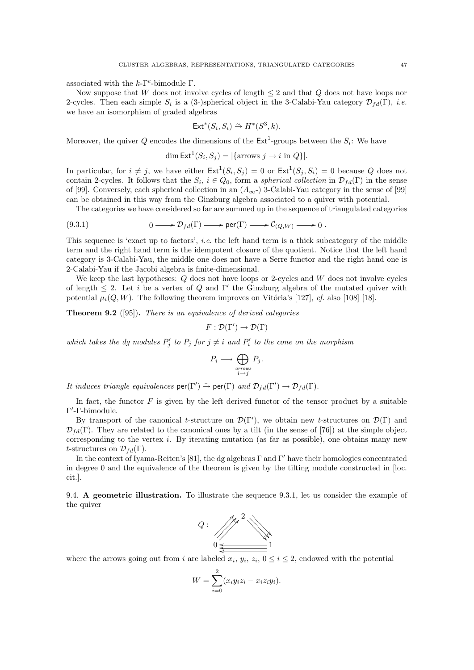associated with the  $k-\Gamma^e$ -bimodule  $\Gamma$ .

Now suppose that W does not involve cycles of length  $\leq 2$  and that Q does not have loops nor 2-cycles. Then each simple  $S_i$  is a (3-)spherical object in the 3-Calabi-Yau category  $\mathcal{D}_{fd}(\Gamma)$ , *i.e.* we have an isomorphism of graded algebras

$$
\mathsf{Ext}^*(S_i, S_i) \xrightarrow{\sim} H^*(S^3, k).
$$

Moreover, the quiver Q encodes the dimensions of the  $\text{Ext}^1$ -groups between the  $S_i$ : We have

$$
\dim \operatorname{Ext}^1(S_i, S_j) = |\{\text{arrows } j \to i \text{ in } Q\}|.
$$

In particular, for  $i \neq j$ , we have either  $\text{Ext}^1(S_i, S_j) = 0$  or  $\text{Ext}^1(S_j, S_i) = 0$  because Q does not contain 2-cycles. It follows that the  $S_i$ ,  $i \in Q_0$ , form a *spherical collection* in  $\mathcal{D}_{fd}(\Gamma)$  in the sense of [99]. Conversely, each spherical collection in an  $(A_{\infty})$  3-Calabi-Yau category in the sense of [99] can be obtained in this way from the Ginzburg algebra associated to a quiver with potential.

The categories we have considered so far are summed up in the sequence of triangulated categories

$$
(9.3.1) \t 0 \longrightarrow \mathcal{D}_{fd}(\Gamma) \longrightarrow \text{per}(\Gamma) \longrightarrow \mathcal{C}_{(Q,W)} \longrightarrow 0.
$$

This sequence is 'exact up to factors', *i.e.* the left hand term is a thick subcategory of the middle term and the right hand term is the idempotent closure of the quotient. Notice that the left hand category is 3-Calabi-Yau, the middle one does not have a Serre functor and the right hand one is 2-Calabi-Yau if the Jacobi algebra is finite-dimensional.

We keep the last hypotheses:  $Q$  does not have loops or 2-cycles and  $W$  does not involve cycles of length  $\leq 2$ . Let i be a vertex of Q and Γ' the Ginzburg algebra of the mutated quiver with potential  $\mu_i(Q, W)$ . The following theorem improves on Vitória's [127], cf. also [108] [18].

Theorem 9.2 ([95]). There is an equivalence of derived categories

$$
F:\mathcal{D}(\Gamma')\to\mathcal{D}(\Gamma)
$$

which takes the dg modules  $P'_j$  to  $P_j$  for  $j \neq i$  and  $P'_i$  to the cone on the morphism

$$
P_i \longrightarrow \bigoplus_{\substack{\text{arrows}\\i \rightarrow j}} P_j.
$$

It induces triangle equivalences  $\textsf{per}(\Gamma') \stackrel{\sim}{\to} \textsf{per}(\Gamma)$  and  $\mathcal{D}_{fd}(\Gamma') \to \mathcal{D}_{fd}(\Gamma)$ .

In fact, the functor  $F$  is given by the left derived functor of the tensor product by a suitable Γ'-Γ-bimodule.

By transport of the canonical t-structure on  $\mathcal{D}(\Gamma')$ , we obtain new t-structures on  $\mathcal{D}(\Gamma)$  and  $\mathcal{D}_{fd}(\Gamma)$ . They are related to the canonical ones by a tilt (in the sense of [76]) at the simple object corresponding to the vertex  $i$ . By iterating mutation (as far as possible), one obtains many new t-structures on  $\mathcal{D}_{fd}(\Gamma)$ .

In the context of Iyama-Reiten's [81], the dg algebras  $\Gamma$  and  $\Gamma'$  have their homologies concentrated in degree 0 and the equivalence of the theorem is given by the tilting module constructed in [loc. cit.].

9.4. A geometric illustration. To illustrate the sequence 9.3.1, let us consider the example of the quiver



where the arrows going out from i are labeled  $x_i, y_i, z_i, 0 \le i \le 2$ , endowed with the potential

$$
W = \sum_{i=0}^{2} (x_i y_i z_i - x_i z_i y_i).
$$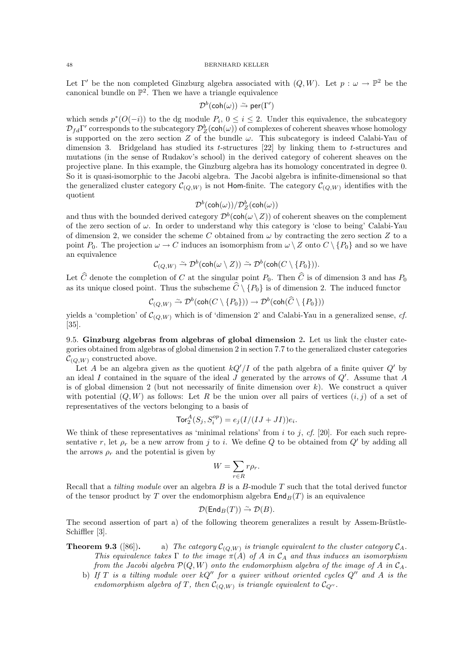Let  $\Gamma'$  be the non completed Ginzburg algebra associated with  $(Q, W)$ . Let  $p : \omega \to \mathbb{P}^2$  be the canonical bundle on  $\mathbb{P}^2$ . Then we have a triangle equivalence

$$
\mathcal{D}^b(\mathsf{coh}(\omega)) \xrightarrow{\sim} \mathsf{per}(\Gamma')
$$

which sends  $p^*(O(-i))$  to the dg module  $P_i$ ,  $0 \leq i \leq 2$ . Under this equivalence, the subcategory  ${\cal D}_{fd}\Gamma'$  corresponds to the subcategory  ${\cal D}_Z^b(\mathsf{coh}(\omega))$  of complexes of coherent sheaves whose homology is supported on the zero section Z of the bundle  $\omega$ . This subcategory is indeed Calabi-Yau of dimension 3. Bridgeland has studied its t-structures  $[22]$  by linking them to t-structures and mutations (in the sense of Rudakov's school) in the derived category of coherent sheaves on the projective plane. In this example, the Ginzburg algebra has its homology concentrated in degree 0. So it is quasi-isomorphic to the Jacobi algebra. The Jacobi algebra is infinite-dimensional so that the generalized cluster category  $\mathcal{C}_{(Q,W)}$  is not Hom-finite. The category  $\mathcal{C}_{(Q,W)}$  identifies with the quotient

$$
\mathcal{D}^b(\mathrm{coh}(\omega))/\mathcal{D}_Z^b(\mathrm{coh}(\omega))
$$

and thus with the bounded derived category  $\mathcal{D}^b(\text{coh}(\omega \setminus Z))$  of coherent sheaves on the complement of the zero section of  $\omega$ . In order to understand why this category is 'close to being' Calabi-Yau of dimension 2, we consider the scheme C obtained from  $\omega$  by contracting the zero section Z to a point  $P_0$ . The projection  $\omega \to C$  induces an isomorphism from  $\omega \setminus Z$  onto  $C \setminus \{P_0\}$  and so we have an equivalence

$$
\mathcal{C}_{(Q,W)} \stackrel{\sim}{\rightarrow} \mathcal{D}^b(\operatorname{coh}(\omega \setminus Z)) \stackrel{\sim}{\rightarrow} \mathcal{D}^b(\operatorname{coh}(C \setminus \{P_0\})).
$$

Let  $\widehat{C}$  denote the completion of C at the singular point  $P_0$ . Then  $\widehat{C}$  is of dimension 3 and has  $P_0$ as its unique closed point. Thus the subscheme  $\hat{C} \setminus \{P_0\}$  is of dimension 2. The induced functor

$$
\mathcal{C}_{(Q,W)} \xrightarrow{\sim} \mathcal{D}^b(\operatorname{coh}(C \setminus \{P_0\})) \rightarrow \mathcal{D}^b(\operatorname{coh}(\widehat{C} \setminus \{P_0\}))
$$

yields a 'completion' of  $\mathcal{C}_{(Q,W)}$  which is of 'dimension 2' and Calabi-Yau in a generalized sense, cf. [35].

9.5. Ginzburg algebras from algebras of global dimension 2. Let us link the cluster categories obtained from algebras of global dimension 2 in section 7.7 to the generalized cluster categories  $\mathcal{C}_{(Q,W)}$  constructed above.

Let A be an algebra given as the quotient  $kQ'/I$  of the path algebra of a finite quiver  $Q'$  by an ideal I contained in the square of the ideal J generated by the arrows of  $Q'$ . Assume that A is of global dimension 2 (but not necessarily of finite dimension over  $k$ ). We construct a quiver with potential  $(Q, W)$  as follows: Let R be the union over all pairs of vertices  $(i, j)$  of a set of representatives of the vectors belonging to a basis of

$$
\operatorname{Tor}_2^A(S_j,S_i^{op})=e_j(I/(IJ+JI))e_i.
$$

We think of these representatives as 'minimal relations' from  $i$  to  $j$ ,  $cf.$  [20]. For each such representative r, let  $\rho_r$  be a new arrow from j to i. We define Q to be obtained from Q' by adding all the arrows  $\rho_r$  and the potential is given by

$$
W = \sum_{r \in R} r \rho_r.
$$

Recall that a *tilting module* over an algebra  $B$  is a  $B$ -module  $T$  such that the total derived functor of the tensor product by T over the endomorphism algebra  $\text{End}_B(T)$  is an equivalence

$$
\mathcal{D}(\mathsf{End}_B(T)) \xrightarrow{\sim} \mathcal{D}(B).
$$

The second assertion of part a) of the following theorem generalizes a result by Assem-Brüstle-Schiffler [3].

**Theorem 9.3** ([86]). a) The category  $\mathcal{C}_{(Q,W)}$  is triangle equivalent to the cluster category  $\mathcal{C}_A$ . This equivalence takes  $\Gamma$  to the image  $\pi(A)$  of A in  $\mathcal{C}_A$  and thus induces an isomorphism from the Jacobi algebra  $\mathcal{P}(Q, W)$  onto the endomorphism algebra of the image of A in  $\mathcal{C}_A$ .

b) If T is a tilting module over  $kQ''$  for a quiver without oriented cycles  $Q''$  and A is the endomorphism algebra of T, then  $\mathcal{C}_{(Q,W)}$  is triangle equivalent to  $\mathcal{C}_{Q''}$ .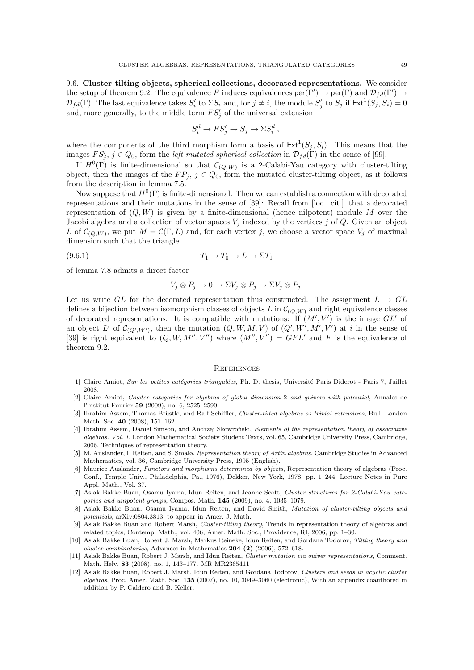9.6. Cluster-tilting objects, spherical collections, decorated representations. We consider the setup of theorem 9.2. The equivalence F induces equivalences  $\text{per}(\Gamma') \to \text{per}(\Gamma)$  and  $\mathcal{D}_{fd}(\Gamma') \to$  $\mathcal{D}_{fd}(\Gamma)$ . The last equivalence takes  $S_i'$  to  $\Sigma S_i$  and, for  $j \neq i$ , the module  $S_j'$  to  $S_j$  if  $\text{Ext}^1(S_j, S_i) = 0$ and, more generally, to the middle term  $FS'_{j}$  of the universal extension

$$
S_i^d \to FS_j' \to S_j \to \Sigma S_i^d,
$$

where the components of the third morphism form a basis of  $\text{Ext}^1(S_j, S_i)$ . This means that the images  $FS'_j$ ,  $j \in Q_0$ , form the *left mutated spherical collection* in  $\mathcal{D}_{fd}(\Gamma)$  in the sense of [99].

If  $H^0(\Gamma)$  is finite-dimensional so that  $\mathcal{C}_{(Q,W)}$  is a 2-Calabi-Yau category with cluster-tilting object, then the images of the  $FP_j$ ,  $j \in Q_0$ , form the mutated cluster-tilting object, as it follows from the description in lemma 7.5.

Now suppose that  $H^0(\Gamma)$  is finite-dimensional. Then we can establish a connection with decorated representations and their mutations in the sense of [39]: Recall from [loc. cit.] that a decorated representation of  $(Q, W)$  is given by a finite-dimensional (hence nilpotent) module M over the Jacobi algebra and a collection of vector spaces  $V_i$  indexed by the vertices j of Q. Given an object L of  $\mathcal{C}_{(Q,W)}$ , we put  $M = \mathcal{C}(\Gamma, L)$  and, for each vertex j, we choose a vector space  $V_j$  of maximal dimension such that the triangle

$$
(9.6.1) \t\t T_1 \to T_0 \to L \to \Sigma T_1
$$

of lemma 7.8 admits a direct factor

$$
V_j \otimes P_j \to 0 \to \Sigma V_j \otimes P_j \to \Sigma V_j \otimes P_j.
$$

Let us write GL for the decorated representation thus constructed. The assignment  $L \mapsto GL$ defines a bijection between isomorphism classes of objects L in  $\mathcal{C}_{(Q,W)}$  and right equivalence classes of decorated representations. It is compatible with mutations: If  $(M', V')$  is the image  $GL'$  of an object L' of  $\mathcal{C}_{(Q',W')}$ , then the mutation  $(Q, W, M, V)$  of  $(Q', W', M', V')$  at i in the sense of [39] is right equivalent to  $(Q, W, M'', V'')$  where  $(M'', V'') = GFL'$  and F is the equivalence of theorem 9.2.

#### **REFERENCES**

- [1] Claire Amiot, Sur les petites catégories triangulées, Ph. D. thesis, Université Paris Diderot Paris 7, Juillet 2008.
- [2] Claire Amiot, Cluster categories for algebras of global dimension 2 and quivers with potential, Annales de l'institut Fourier 59 (2009), no. 6, 2525–2590.
- [3] Ibrahim Assem, Thomas Brüstle, and Ralf Schiffler, Cluster-tilted algebras as trivial extensions, Bull. London Math. Soc. 40 (2008), 151–162.
- [4] Ibrahim Assem, Daniel Simson, and Andrzej Skowroński, Elements of the representation theory of associative algebras. Vol. 1, London Mathematical Society Student Texts, vol. 65, Cambridge University Press, Cambridge, 2006, Techniques of representation theory.
- [5] M. Auslander, I. Reiten, and S. Smalø, Representation theory of Artin algebras, Cambridge Studies in Advanced Mathematics, vol. 36, Cambridge University Press, 1995 (English).
- [6] Maurice Auslander, Functors and morphisms determined by objects, Representation theory of algebras (Proc. Conf., Temple Univ., Philadelphia, Pa., 1976), Dekker, New York, 1978, pp. 1–244. Lecture Notes in Pure Appl. Math., Vol. 37.
- [7] Aslak Bakke Buan, Osamu Iyama, Idun Reiten, and Jeanne Scott, Cluster structures for 2-Calabi-Yau categories and unipotent groups, Compos. Math. 145 (2009), no. 4, 1035–1079.
- [8] Aslak Bakke Buan, Osamu Iyama, Idun Reiten, and David Smith, Mutation of cluster-tilting objects and potentials, arXiv:0804.3813, to appear in Amer. J. Math.
- [9] Aslak Bakke Buan and Robert Marsh, Cluster-tilting theory, Trends in representation theory of algebras and related topics, Contemp. Math., vol. 406, Amer. Math. Soc., Providence, RI, 2006, pp. 1–30.
- [10] Aslak Bakke Buan, Robert J. Marsh, Markus Reineke, Idun Reiten, and Gordana Todorov, Tilting theory and cluster combinatorics, Advances in Mathematics 204 (2) (2006), 572–618.
- [11] Aslak Bakke Buan, Robert J. Marsh, and Idun Reiten, Cluster mutation via quiver representations, Comment. Math. Helv. 83 (2008), no. 1, 143–177. MR MR2365411
- [12] Aslak Bakke Buan, Robert J. Marsh, Idun Reiten, and Gordana Todorov, Clusters and seeds in acyclic cluster algebras, Proc. Amer. Math. Soc. 135 (2007), no. 10, 3049–3060 (electronic), With an appendix coauthored in addition by P. Caldero and B. Keller.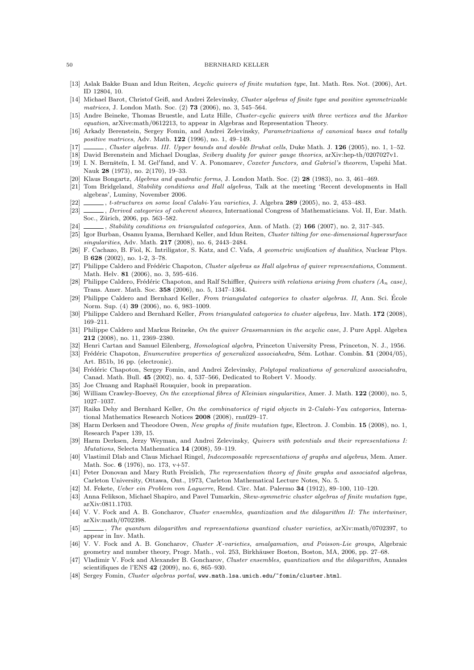#### 50 BERNHARD KELLER

- [13] Aslak Bakke Buan and Idun Reiten, Acyclic quivers of finite mutation type, Int. Math. Res. Not. (2006), Art. ID 12804, 10.
- [14] Michael Barot, Christof Geiß, and Andrei Zelevinsky, Cluster algebras of finite type and positive symmetrizable matrices, J. London Math. Soc. (2) 73 (2006), no. 3, 545–564.
- [15] Andre Beineke, Thomas Bruestle, and Lutz Hille, Cluster-cyclic quivers with three vertices and the Markov equation, arXive:math/0612213, to appear in Algebras and Representation Theory.
- [16] Arkady Berenstein, Sergey Fomin, and Andrei Zelevinsky, Parametrizations of canonical bases and totally positive matrices, Adv. Math. 122 (1996), no. 1, 49–149.
- [17] , Cluster algebras. III. Upper bounds and double Bruhat cells, Duke Math. J. 126 (2005), no. 1, 1–52.
- [18] David Berenstein and Michael Douglas, Seiberg duality for quiver gauge theories, arXiv:hep-th/0207027v1.
- [19] I. N. Bernšteĭn, I. M. Gel'fand, and V. A. Ponomarev, Coxeter functors, and Gabriel's theorem, Uspehi Mat. Nauk 28 (1973), no. 2(170), 19–33.
- [20] Klaus Bongartz, Algebras and quadratic forms, J. London Math. Soc. (2) 28 (1983), no. 3, 461–469.
- [21] Tom Bridgeland, Stability conditions and Hall algebras, Talk at the meeting 'Recent developments in Hall algebras', Luminy, November 2006.
- [22] , t-structures on some local Calabi-Yau varieties, J. Algebra 289 (2005), no. 2, 453-483.
- [23] , Derived categories of coherent sheaves, International Congress of Mathematicians. Vol. II, Eur. Math. Soc., Zürich, 2006, pp. 563-582.
- [24] , Stability conditions on triangulated categories, Ann. of Math. (2) 166 (2007), no. 2, 317–345.
- [25] Igor Burban, Osamu Iyama, Bernhard Keller, and Idun Reiten, Cluster tilting for one-dimensional hypersurface singularities, Adv. Math. 217 (2008), no. 6, 2443–2484.
- [26] F. Cachazo, B. Fiol, K. Intriligator, S. Katz, and C. Vafa, A geometric unification of dualities, Nuclear Phys. B 628 (2002), no. 1-2, 3–78.
- [27] Philippe Caldero and Frédéric Chapoton, Cluster algebras as Hall algebras of quiver representations, Comment. Math. Helv. 81 (2006), no. 3, 595–616.
- [28] Philippe Caldero, Frédéric Chapoton, and Ralf Schiffler, Quivers with relations arising from clusters  $(A_n \, \, \text{case})$ , Trans. Amer. Math. Soc. 358 (2006), no. 5, 1347–1364.
- [29] Philippe Caldero and Bernhard Keller, From triangulated categories to cluster algebras. II, Ann. Sci. École Norm. Sup. (4) 39 (2006), no. 6, 983–1009.
- [30] Philippe Caldero and Bernhard Keller, From triangulated categories to cluster algebras, Inv. Math. 172 (2008), 169–211.
- [31] Philippe Caldero and Markus Reineke, On the quiver Grassmannian in the acyclic case, J. Pure Appl. Algebra 212 (2008), no. 11, 2369–2380.
- [32] Henri Cartan and Samuel Eilenberg, Homological algebra, Princeton University Press, Princeton, N. J., 1956.
- [33] Frédéric Chapoton, *Enumerative properties of generalized associahedra*, Sém. Lothar. Combin. **51** (2004/05), Art. B51b, 16 pp. (electronic).
- [34] Frédéric Chapoton, Sergey Fomin, and Andrei Zelevinsky, Polytopal realizations of generalized associahedra, Canad. Math. Bull. 45 (2002), no. 4, 537–566, Dedicated to Robert V. Moody.
- [35] Joe Chuang and Raphaël Rouquier, book in preparation.
- [36] William Crawley-Boevey, On the exceptional fibres of Kleinian singularities, Amer. J. Math. 122 (2000), no. 5, 1027–1037.
- [37] Raika Dehy and Bernhard Keller, On the combinatorics of rigid objects in 2-Calabi-Yau categories, International Mathematics Research Notices 2008 (2008), rnn029–17.
- [38] Harm Derksen and Theodore Owen, New graphs of finite mutation type, Electron. J. Combin. 15 (2008), no. 1, Research Paper 139, 15.
- [39] Harm Derksen, Jerzy Weyman, and Andrei Zelevinsky, Quivers with potentials and their representations I: Mutations, Selecta Mathematica 14 (2008), 59–119.
- [40] Vlastimil Dlab and Claus Michael Ringel, Indecomposable representations of graphs and algebras, Mem. Amer. Math. Soc. 6 (1976), no. 173, v+57.
- [41] Peter Donovan and Mary Ruth Freislich, The representation theory of finite graphs and associated algebras, Carleton University, Ottawa, Ont., 1973, Carleton Mathematical Lecture Notes, No. 5.
- [42] M. Fekete, Ueber ein Problem von Laguerre, Rend. Circ. Mat. Palermo 34 (1912), 89–100, 110–120.
- [43] Anna Felikson, Michael Shapiro, and Pavel Tumarkin, Skew-symmetric cluster algebras of finite mutation type, arXiv:0811.1703.
- [44] V. V. Fock and A. B. Goncharov, Cluster ensembles, quantization and the dilogarithm II: The intertwiner, arXiv:math/0702398.
- [45] , The quantum dilogarithm and representations quantized cluster varieties, arXiv:math/0702397, to appear in Inv. Math.
- [46] V. V. Fock and A. B. Goncharov, Cluster X-varieties, amalgamation, and Poisson-Lie groups, Algebraic geometry and number theory, Progr. Math., vol. 253, Birkhäuser Boston, Boston, MA, 2006, pp. 27-68.
- [47] Vladimir V. Fock and Alexander B. Goncharov, Cluster ensembles, quantization and the dilogarithm, Annales scientifiques de l'ENS 42 (2009), no. 6, 865–930.
- [48] Sergey Fomin, Cluster algebras portal, www.math.lsa.umich.edu/~fomin/cluster.html.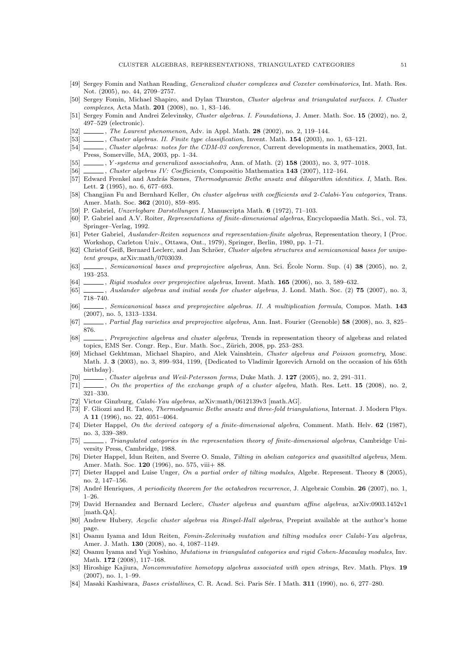- [49] Sergey Fomin and Nathan Reading, Generalized cluster complexes and Coxeter combinatorics, Int. Math. Res. Not. (2005), no. 44, 2709–2757.
- [50] Sergey Fomin, Michael Shapiro, and Dylan Thurston, Cluster algebras and triangulated surfaces. I. Cluster complexes, Acta Math. 201 (2008), no. 1, 83–146.
- [51] Sergey Fomin and Andrei Zelevinsky, Cluster algebras. I. Foundations, J. Amer. Math. Soc. 15 (2002), no. 2, 497–529 (electronic).
- [52] , The Laurent phenomenon, Adv. in Appl. Math. 28 (2002), no. 2, 119-144.
- [53] , Cluster algebras. II. Finite type classification, Invent. Math. 154 (2003), no. 1, 63–121.
- [54] , Cluster algebras: notes for the CDM-03 conference, Current developments in mathematics, 2003, Int. Press, Somerville, MA, 2003, pp. 1–34.
- [55] , Y-systems and generalized associahedra, Ann. of Math. (2) 158 (2003), no. 3, 977–1018.
- [56] Cluster algebras IV: Coefficients, Compositio Mathematica 143 (2007), 112–164.
- [57] Edward Frenkel and András Szenes, Thermodynamic Bethe ansatz and dilogarithm identities. I, Math. Res. Lett. 2 (1995), no. 6, 677–693.
- [58] Changjian Fu and Bernhard Keller, On cluster algebras with coefficients and 2-Calabi-Yau categories, Trans. Amer. Math. Soc. 362 (2010), 859–895.
- [59] P. Gabriel, Unzerlegbare Darstellungen I, Manuscripta Math. 6 (1972), 71–103.
- [60] P. Gabriel and A.V. Roiter, Representations of finite-dimensional algebras, Encyclopaedia Math. Sci., vol. 73, Springer–Verlag, 1992.
- [61] Peter Gabriel, Auslander-Reiten sequences and representation-finite algebras, Representation theory, I (Proc. Workshop, Carleton Univ., Ottawa, Ont., 1979), Springer, Berlin, 1980, pp. 1–71.
- [62] Christof Geiß, Bernard Leclerc, and Jan Schröer, Cluster algebra structures and semicanonical bases for unipotent groups, arXiv:math/0703039.
- [63] Semicanonical bases and preprojective algebras, Ann. Sci. Ecole Norm. Sup. (4) 38 (2005), no. 2, 193–253.
- [64] , Rigid modules over preprojective algebras, Invent. Math. **165** (2006), no. 3, 589–632.
- [65] , Auslander algebras and initial seeds for cluster algebras, J. Lond. Math. Soc. (2) 75 (2007), no. 3, 718–740.
- [66] , Semicanonical bases and preprojective algebras. II. A multiplication formula, Compos. Math. 143 (2007), no. 5, 1313–1334.
- [67] , Partial flag varieties and preprojective algebras, Ann. Inst. Fourier (Grenoble) 58 (2008), no. 3, 825– 876.
- [68] , Preprojective algebras and cluster algebras, Trends in representation theory of algebras and related topics, EMS Ser. Congr. Rep., Eur. Math. Soc., Zürich, 2008, pp. 253-283.
- [69] Michael Gekhtman, Michael Shapiro, and Alek Vainshtein, Cluster algebras and Poisson geometry, Mosc. Math. J. 3 (2003), no. 3, 899–934, 1199, {Dedicated to Vladimir Igorevich Arnold on the occasion of his 65th birthday}.
- [70] , Cluster algebras and Weil-Petersson forms, Duke Math. J. 127 (2005), no. 2, 291–311.
- [71] , On the properties of the exchange graph of a cluster algebra, Math. Res. Lett. 15 (2008), no. 2, 321–330.
- [72] Victor Ginzburg, Calabi-Yau algebras, arXiv:math/0612139v3 [math.AG].
- [73] F. Gliozzi and R. Tateo, Thermodynamic Bethe ansatz and three-fold triangulations, Internat. J. Modern Phys. A 11 (1996), no. 22, 4051–4064.
- [74] Dieter Happel, On the derived category of a finite-dimensional algebra, Comment. Math. Helv. 62 (1987), no. 3, 339–389.
- [75] , Triangulated categories in the representation theory of finite-dimensional algebras, Cambridge University Press, Cambridge, 1988.
- [76] Dieter Happel, Idun Reiten, and Sverre O. Smalø, Tilting in abelian categories and quasitilted algebras, Mem. Amer. Math. Soc. 120 (1996), no. 575, viii+ 88.
- [77] Dieter Happel and Luise Unger, On a partial order of tilting modules, Algebr. Represent. Theory 8 (2005), no. 2, 147–156.
- [78] André Henriques, A periodicity theorem for the octahedron recurrence, J. Algebraic Combin. 26 (2007), no. 1, 1–26.
- [79] David Hernandez and Bernard Leclerc, Cluster algebras and quantum affine algebras, arXiv:0903.1452v1 [math.QA].
- [80] Andrew Hubery, Acyclic cluster algebras via Ringel-Hall algebras, Preprint available at the author's home page.
- [81] Osamu Iyama and Idun Reiten, Fomin-Zelevinsky mutation and tilting modules over Calabi-Yau algebras, Amer. J. Math. 130 (2008), no. 4, 1087–1149.
- [82] Osamu Iyama and Yuji Yoshino, Mutations in triangulated categories and rigid Cohen-Macaulay modules, Inv. Math. 172 (2008), 117–168.
- [83] Hiroshige Kajiura, Noncommutative homotopy algebras associated with open strings, Rev. Math. Phys. 19 (2007), no. 1, 1–99.
- [84] Masaki Kashiwara, Bases cristallines, C. R. Acad. Sci. Paris S´er. I Math. 311 (1990), no. 6, 277–280.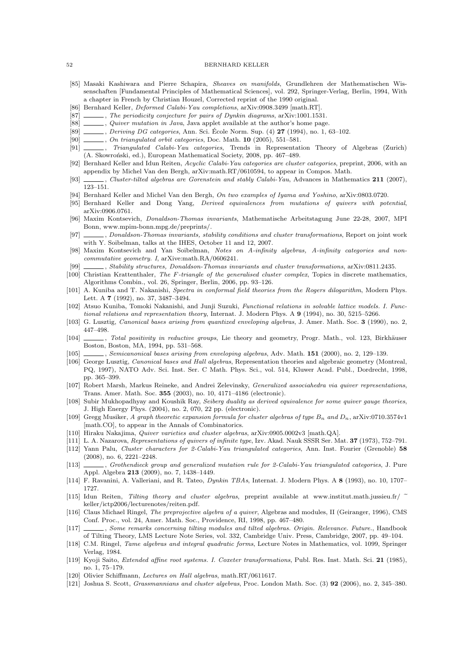## 52 BERNHARD KELLER

- [85] Masaki Kashiwara and Pierre Schapira, Sheaves on manifolds, Grundlehren der Mathematischen Wissenschaften [Fundamental Principles of Mathematical Sciences], vol. 292, Springer-Verlag, Berlin, 1994, With a chapter in French by Christian Houzel, Corrected reprint of the 1990 original.
- [86] Bernhard Keller, Deformed Calabi-Yau completions, arXiv:0908.3499 [math.RT].
- [87] , The periodicity conjecture for pairs of Dynkin diagrams, arXiv:1001.1531.
- [88]  $\_\_\_\_\_\_\_\_\$ guiver mutation in Java, Java applet available at the author's home page.
- [89] , Deriving DG categories, Ann. Sci. École Norm. Sup.  $(4)$  27 (1994), no. 1, 63–102.
- [90] , On triangulated orbit categories, Doc. Math. **10** (2005), 551-581.
- [91]  $\ldots$ , Triangulated Calabi-Yau categories, Trends in Representation Theory of Algebras (Zurich) (A. Skowroński, ed.), European Mathematical Society, 2008, pp. 467-489.
- [92] Bernhard Keller and Idun Reiten, Acyclic Calabi-Yau categories are cluster categories, preprint, 2006, with an appendix by Michel Van den Bergh, arXiv:math.RT/0610594, to appear in Compos. Math.
- [93] , Cluster-tilted algebras are Gorenstein and stably Calabi-Yau, Advances in Mathematics 211 (2007), 123–151.
- [94] Bernhard Keller and Michel Van den Bergh, On two examples of Iyama and Yoshino, arXiv:0803.0720.
- [95] Bernhard Keller and Dong Yang, Derived equivalences from mutations of quivers with potential, arXiv:0906.0761.
- [96] Maxim Kontsevich, Donaldson-Thomas invariants, Mathematische Arbeitstagung June 22-28, 2007, MPI Bonn, www.mpim-bonn.mpg.de/preprints/.
- [97] , Donaldson-Thomas invariants, stability conditions and cluster transformations, Report on joint work with Y. Soibelman, talks at the IHES, October 11 and 12, 2007.
- [98] Maxim Kontsevich and Yan Soibelman, Notes on A-infinity algebras, A-infinity categories and noncommutative geometry. I, arXive:math.RA/0606241.
- [99] , Stability structures, Donaldson-Thomas invariants and cluster transformations, arXiv:0811.2435.
- [100] Christian Krattenthaler, The F-triangle of the generalised cluster complex, Topics in discrete mathematics, Algorithms Combin., vol. 26, Springer, Berlin, 2006, pp. 93–126.
- [101] A. Kuniba and T. Nakanishi, Spectra in conformal field theories from the Rogers dilogarithm, Modern Phys. Lett. A 7 (1992), no. 37, 3487–3494.
- [102] Atsuo Kuniba, Tomoki Nakanishi, and Junji Suzuki, Functional relations in solvable lattice models. I. Functional relations and representation theory, Internat. J. Modern Phys. A 9 (1994), no. 30, 5215–5266.
- [103] G. Lusztig, Canonical bases arising from quantized enveloping algebras, J. Amer. Math. Soc. 3 (1990), no. 2, 447–498.
- [104] , Total positivity in reductive groups, Lie theory and geometry, Progr. Math., vol. 123, Birkhäuser Boston, Boston, MA, 1994, pp. 531–568.
- [105] , Semicanonical bases arising from enveloping algebras, Adv. Math. 151 (2000), no. 2, 129–139.
- [106] George Lusztig, Canonical bases and Hall algebras, Representation theories and algebraic geometry (Montreal, PQ, 1997), NATO Adv. Sci. Inst. Ser. C Math. Phys. Sci., vol. 514, Kluwer Acad. Publ., Dordrecht, 1998, pp. 365–399.
- [107] Robert Marsh, Markus Reineke, and Andrei Zelevinsky, Generalized associahedra via quiver representations, Trans. Amer. Math. Soc. 355 (2003), no. 10, 4171–4186 (electronic).
- [108] Subir Mukhopadhyay and Koushik Ray, Seiberg duality as derived equivalence for some quiver gauge theories, J. High Energy Phys. (2004), no. 2, 070, 22 pp. (electronic).
- [109] Gregg Musiker, A graph theoretic expansion formula for cluster algebras of type  $B_n$  and  $D_n$ , arXiv:0710.3574v1 [math.CO], to appear in the Annals of Combinatorics.
- [110] Hiraku Nakajima, Quiver varieties and cluster algebras, arXiv:0905.0002v3 [math.QA].
- [111] L. A. Nazarova, Representations of quivers of infinite type, Izv. Akad. Nauk SSSR Ser. Mat. 37 (1973), 752–791.
- [112] Yann Palu, Cluster characters for 2-Calabi-Yau triangulated categories, Ann. Inst. Fourier (Grenoble) 58 (2008), no. 6, 2221–2248.
- [113] Grothendieck group and generalized mutation rule for 2-Calabi-Yau triangulated categories, J. Pure Appl. Algebra 213 (2009), no. 7, 1438–1449.
- [114] F. Ravanini, A. Valleriani, and R. Tateo, Dynkin TBAs, Internat. J. Modern Phys. A 8 (1993), no. 10, 1707– 1727.
- [115] Idun Reiten, Tilting theory and cluster algebras, preprint available at www.institut.math.jussieu.fr/  $\tilde{ }$ keller/ictp2006/lecturenotes/reiten.pdf.
- [116] Claus Michael Ringel, The preprojective algebra of a quiver, Algebras and modules, II (Geiranger, 1996), CMS Conf. Proc., vol. 24, Amer. Math. Soc., Providence, RI, 1998, pp. 467–480.
- [117] , Some remarks concerning tilting modules and tilted algebras. Origin. Relevance. Future., Handbook of Tilting Theory, LMS Lecture Note Series, vol. 332, Cambridge Univ. Press, Cambridge, 2007, pp. 49–104.
- [118] C.M. Ringel, Tame algebras and integral quadratic forms, Lecture Notes in Mathematics, vol. 1099, Springer Verlag, 1984.
- [119] Kyoji Saito, Extended affine root systems. I. Coxeter transformations, Publ. Res. Inst. Math. Sci. 21 (1985), no. 1, 75–179.
- [120] Olivier Schiffmann, Lectures on Hall algebras, math.RT/0611617.
- [121] Joshua S. Scott, Grassmannians and cluster algebras, Proc. London Math. Soc. (3) 92 (2006), no. 2, 345–380.